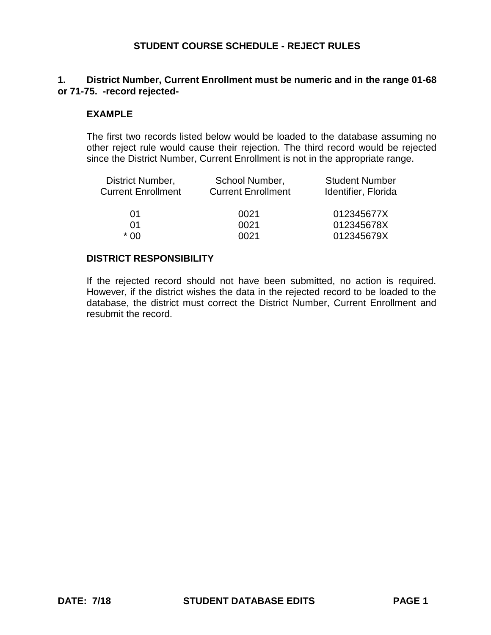## **1. District Number, Current Enrollment must be numeric and in the range 01-68 or 71-75. -record rejected-**

#### **EXAMPLE**

The first two records listed below would be loaded to the database assuming no other reject rule would cause their rejection. The third record would be rejected since the District Number, Current Enrollment is not in the appropriate range.

| District Number,          | School Number,            | <b>Student Number</b> |
|---------------------------|---------------------------|-----------------------|
| <b>Current Enrollment</b> | <b>Current Enrollment</b> | Identifier, Florida   |
| 01                        | 0021                      | 012345677X            |
| 01                        | 0021                      | 012345678X            |
| * በበ                      | 0021                      | 012345679X            |

#### **DISTRICT RESPONSIBILITY**

If the rejected record should not have been submitted, no action is required. However, if the district wishes the data in the rejected record to be loaded to the database, the district must correct the District Number, Current Enrollment and resubmit the record.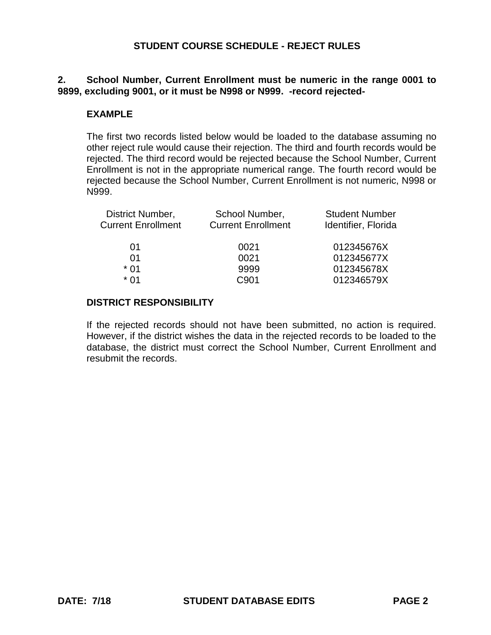## **2. School Number, Current Enrollment must be numeric in the range 0001 to 9899, excluding 9001, or it must be N998 or N999. -record rejected-**

#### **EXAMPLE**

The first two records listed below would be loaded to the database assuming no other reject rule would cause their rejection. The third and fourth records would be rejected. The third record would be rejected because the School Number, Current Enrollment is not in the appropriate numerical range. The fourth record would be rejected because the School Number, Current Enrollment is not numeric, N998 or N999.

| District Number,          | School Number,            | <b>Student Number</b> |
|---------------------------|---------------------------|-----------------------|
| <b>Current Enrollment</b> | <b>Current Enrollment</b> | Identifier, Florida   |
|                           |                           |                       |
| 01                        | 0021                      | 012345676X            |
| 01                        | 0021                      | 012345677X            |
| $*$ 01                    | 9999                      | 012345678X            |
| * በ1                      | C901                      | 012346579X            |
|                           |                           |                       |

#### **DISTRICT RESPONSIBILITY**

If the rejected records should not have been submitted, no action is required. However, if the district wishes the data in the rejected records to be loaded to the database, the district must correct the School Number, Current Enrollment and resubmit the records.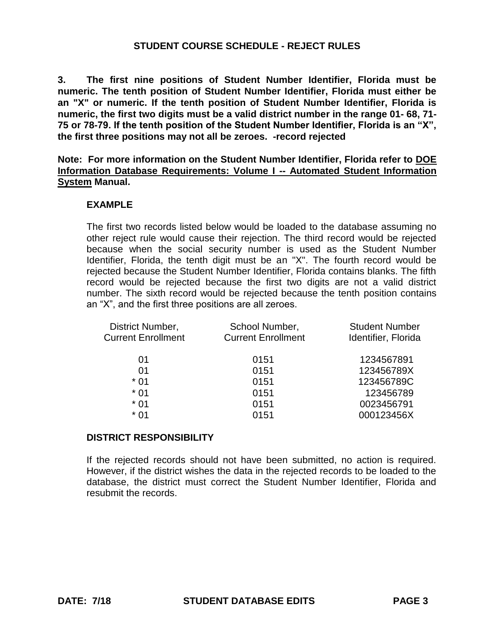**3. The first nine positions of Student Number Identifier, Florida must be numeric. The tenth position of Student Number Identifier, Florida must either be an "X" or numeric. If the tenth position of Student Number Identifier, Florida is numeric, the first two digits must be a valid district number in the range 01- 68, 71- 75 or 78-79. If the tenth position of the Student Number Identifier, Florida is an "X", the first three positions may not all be zeroes. -record rejected**

**Note: For more information on the Student Number Identifier, Florida refer to DOE Information Database Requirements: Volume I -- Automated Student Information System Manual.**

## **EXAMPLE**

The first two records listed below would be loaded to the database assuming no other reject rule would cause their rejection. The third record would be rejected because when the social security number is used as the Student Number Identifier, Florida, the tenth digit must be an "X". The fourth record would be rejected because the Student Number Identifier, Florida contains blanks. The fifth record would be rejected because the first two digits are not a valid district number. The sixth record would be rejected because the tenth position contains an "X", and the first three positions are all zeroes.

| District Number,          | School Number,            | <b>Student Number</b> |
|---------------------------|---------------------------|-----------------------|
| <b>Current Enrollment</b> | <b>Current Enrollment</b> | Identifier, Florida   |
| 01                        | 0151                      | 1234567891            |
| 01                        | 0151                      | 123456789X            |
| $*01$                     | 0151                      | 123456789C            |
| $*01$                     | 0151                      | 123456789             |
| $*$ 01                    | 0151                      | 0023456791            |
| * በ1                      | 0151                      | 000123456X            |
|                           |                           |                       |

## **DISTRICT RESPONSIBILITY**

If the rejected records should not have been submitted, no action is required. However, if the district wishes the data in the rejected records to be loaded to the database, the district must correct the Student Number Identifier, Florida and resubmit the records.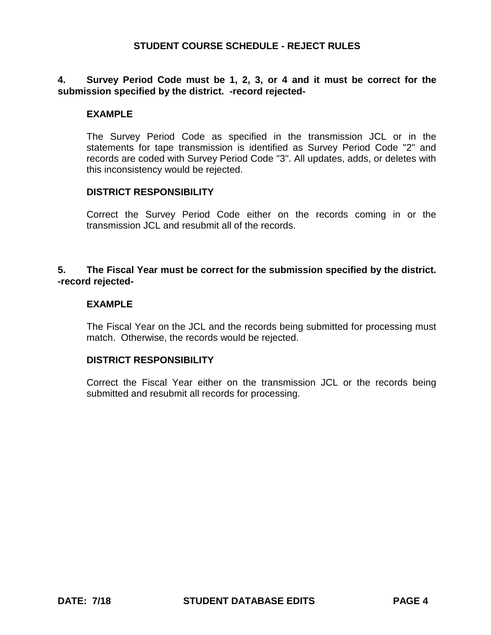## **4. Survey Period Code must be 1, 2, 3, or 4 and it must be correct for the submission specified by the district. -record rejected-**

#### **EXAMPLE**

The Survey Period Code as specified in the transmission JCL or in the statements for tape transmission is identified as Survey Period Code "2" and records are coded with Survey Period Code "3". All updates, adds, or deletes with this inconsistency would be rejected.

#### **DISTRICT RESPONSIBILITY**

Correct the Survey Period Code either on the records coming in or the transmission JCL and resubmit all of the records.

## **5. The Fiscal Year must be correct for the submission specified by the district. -record rejected-**

#### **EXAMPLE**

The Fiscal Year on the JCL and the records being submitted for processing must match. Otherwise, the records would be rejected.

#### **DISTRICT RESPONSIBILITY**

Correct the Fiscal Year either on the transmission JCL or the records being submitted and resubmit all records for processing.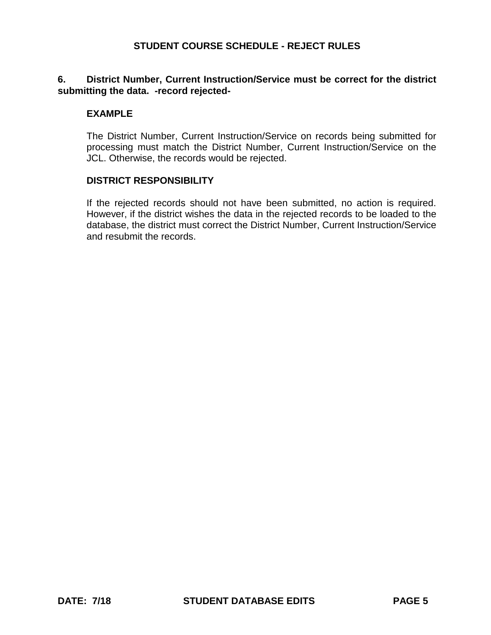## **6. District Number, Current Instruction/Service must be correct for the district submitting the data. -record rejected-**

#### **EXAMPLE**

The District Number, Current Instruction/Service on records being submitted for processing must match the District Number, Current Instruction/Service on the JCL. Otherwise, the records would be rejected.

#### **DISTRICT RESPONSIBILITY**

If the rejected records should not have been submitted, no action is required. However, if the district wishes the data in the rejected records to be loaded to the database, the district must correct the District Number, Current Instruction/Service and resubmit the records.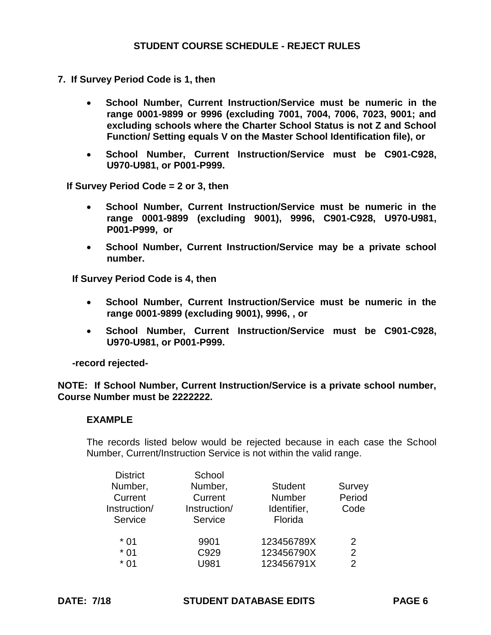- **7. If Survey Period Code is 1, then** 
	- **School Number, Current Instruction/Service must be numeric in the range 0001-9899 or 9996 (excluding 7001, 7004, 7006, 7023, 9001; and excluding schools where the Charter School Status is not Z and School Function/ Setting equals V on the Master School Identification file), or**
	- **School Number, Current Instruction/Service must be C901-C928, U970-U981, or P001-P999.**

 **If Survey Period Code = 2 or 3, then** 

- **School Number, Current Instruction/Service must be numeric in the range 0001-9899 (excluding 9001), 9996, C901-C928, U970-U981, P001-P999, or**
- **School Number, Current Instruction/Service may be a private school number.**

**If Survey Period Code is 4, then** 

- **School Number, Current Instruction/Service must be numeric in the range 0001-9899 (excluding 9001), 9996, , or**
- **School Number, Current Instruction/Service must be C901-C928, U970-U981, or P001-P999.**

**-record rejected-**

**NOTE: If School Number, Current Instruction/Service is a private school number, Course Number must be 2222222.**

## **EXAMPLE**

The records listed below would be rejected because in each case the School Number, Current/Instruction Service is not within the valid range.

| <b>District</b> | School       |                |               |
|-----------------|--------------|----------------|---------------|
| Number,         | Number,      | <b>Student</b> | Survey        |
| Current         | Current      | <b>Number</b>  | Period        |
| Instruction/    | Instruction/ | Identifier,    | Code          |
| Service         | Service      | Florida        |               |
| $*01$           | 9901         | 123456789X     | 2             |
| $*01$           | C929         | 123456790X     | 2             |
| $*01$           | U981         | 123456791X     | $\mathcal{P}$ |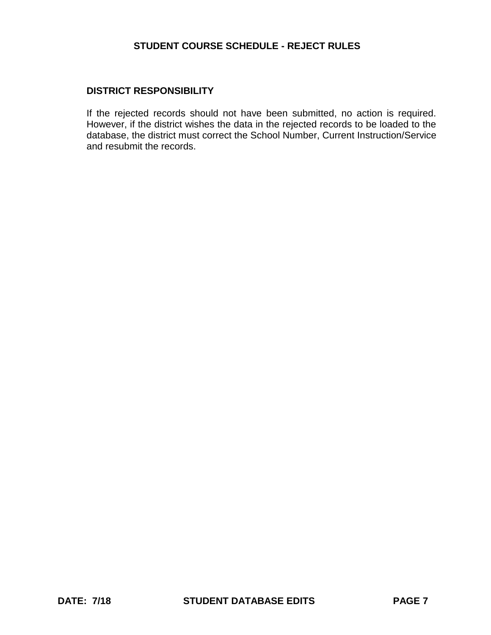#### **DISTRICT RESPONSIBILITY**

If the rejected records should not have been submitted, no action is required. However, if the district wishes the data in the rejected records to be loaded to the database, the district must correct the School Number, Current Instruction/Service and resubmit the records.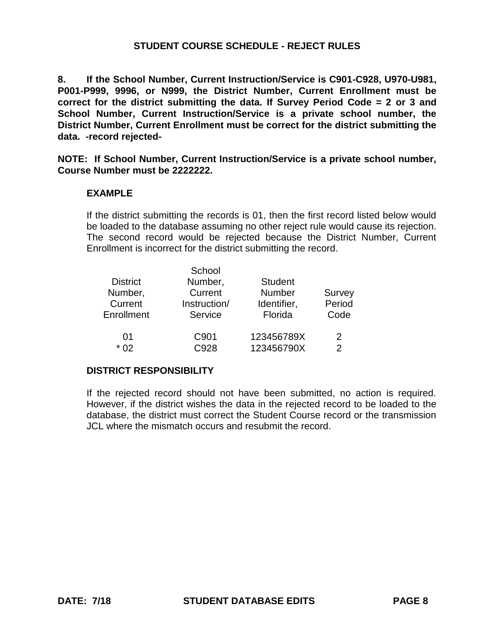**8. If the School Number, Current Instruction/Service is C901-C928, U970-U981, P001-P999, 9996, or N999, the District Number, Current Enrollment must be correct for the district submitting the data. If Survey Period Code = 2 or 3 and School Number, Current Instruction/Service is a private school number, the District Number, Current Enrollment must be correct for the district submitting the data. -record rejected-**

**NOTE: If School Number, Current Instruction/Service is a private school number, Course Number must be 2222222.**

## **EXAMPLE**

If the district submitting the records is 01, then the first record listed below would be loaded to the database assuming no other reject rule would cause its rejection. The second record would be rejected because the District Number, Current Enrollment is incorrect for the district submitting the record.

|                 | School       |                |               |
|-----------------|--------------|----------------|---------------|
| <b>District</b> | Number,      | <b>Student</b> |               |
| Number,         | Current      | <b>Number</b>  | Survey        |
| Current         | Instruction/ | Identifier,    | Period        |
| Enrollment      | Service      | Florida        | Code          |
|                 |              |                |               |
| 01              | C901         | 123456789X     | $\mathcal{P}$ |
| $*02$           | C928         | 123456790X     | $\mathcal{P}$ |
|                 |              |                |               |

## **DISTRICT RESPONSIBILITY**

If the rejected record should not have been submitted, no action is required. However, if the district wishes the data in the rejected record to be loaded to the database, the district must correct the Student Course record or the transmission JCL where the mismatch occurs and resubmit the record.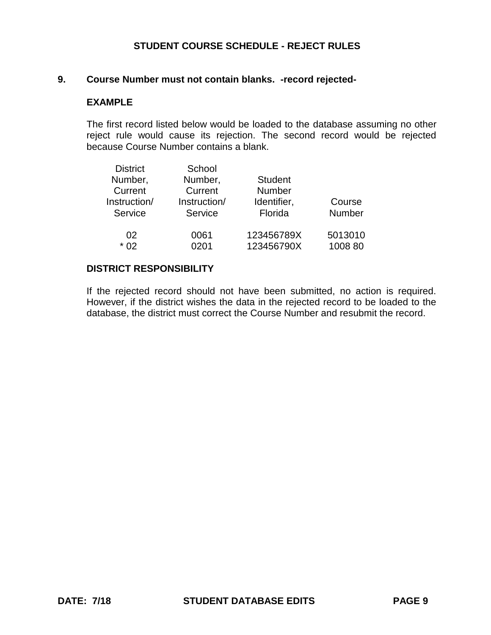#### **9. Course Number must not contain blanks. -record rejected-**

#### **EXAMPLE**

The first record listed below would be loaded to the database assuming no other reject rule would cause its rejection. The second record would be rejected because Course Number contains a blank.

| School       |                |            |
|--------------|----------------|------------|
| Number,      | <b>Student</b> |            |
| Current      | <b>Number</b>  |            |
| Instruction/ | Identifier,    | Course     |
| Service      | Florida        | Number     |
|              |                |            |
| 0061         | 123456789X     | 5013010    |
| 0201         |                | 1008 80    |
|              |                | 123456790X |

#### **DISTRICT RESPONSIBILITY**

If the rejected record should not have been submitted, no action is required. However, if the district wishes the data in the rejected record to be loaded to the database, the district must correct the Course Number and resubmit the record.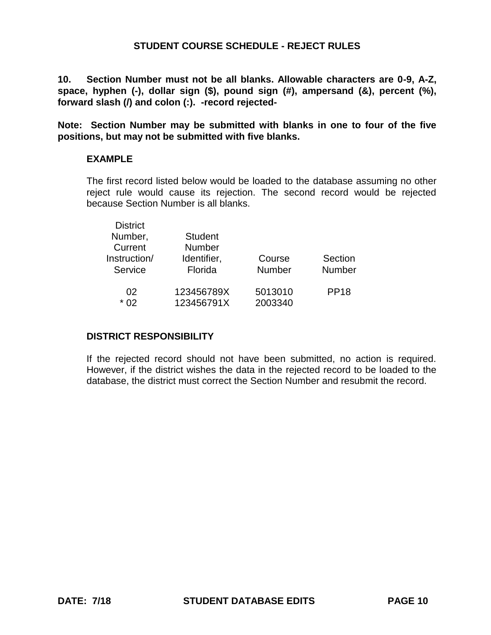**10. Section Number must not be all blanks. Allowable characters are 0-9, A-Z, space, hyphen (-), dollar sign (\$), pound sign (#), ampersand (&), percent (%), forward slash (/) and colon (:). -record rejected-**

**Note: Section Number may be submitted with blanks in one to four of the five positions, but may not be submitted with five blanks.**

#### **EXAMPLE**

The first record listed below would be loaded to the database assuming no other reject rule would cause its rejection. The second record would be rejected because Section Number is all blanks.

| <b>District</b><br>Number,<br>Current<br>Instruction/<br>Service | <b>Student</b><br><b>Number</b><br>Identifier,<br>Florida | Course<br><b>Number</b> | Section<br><b>Number</b> |
|------------------------------------------------------------------|-----------------------------------------------------------|-------------------------|--------------------------|
| 02                                                               | 123456789X                                                | 5013010                 | <b>PP18</b>              |
| * በ2                                                             | 123456791X                                                | 2003340                 |                          |

#### **DISTRICT RESPONSIBILITY**

If the rejected record should not have been submitted, no action is required. However, if the district wishes the data in the rejected record to be loaded to the database, the district must correct the Section Number and resubmit the record.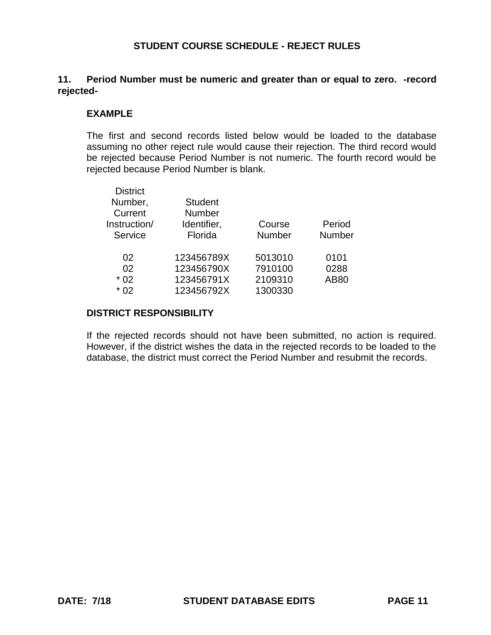## **11. Period Number must be numeric and greater than or equal to zero. -record rejected-**

### **EXAMPLE**

The first and second records listed below would be loaded to the database assuming no other reject rule would cause their rejection. The third record would be rejected because Period Number is not numeric. The fourth record would be rejected because Period Number is blank.

| <b>District</b> |                |               |               |
|-----------------|----------------|---------------|---------------|
| Number,         | <b>Student</b> |               |               |
| Current         | <b>Number</b>  |               |               |
| Instruction/    | Identifier,    | Course        | Period        |
| Service         | Florida        | <b>Number</b> | <b>Number</b> |
| 02              | 123456789X     | 5013010       | 0101          |
|                 |                |               |               |
| 02              | 123456790X     | 7910100       | 0288          |
| $*02$           | 123456791X     | 2109310       | <b>AB80</b>   |
| $*02$           | 123456792X     | 1300330       |               |
|                 |                |               |               |

#### **DISTRICT RESPONSIBILITY**

If the rejected records should not have been submitted, no action is required. However, if the district wishes the data in the rejected records to be loaded to the database, the district must correct the Period Number and resubmit the records.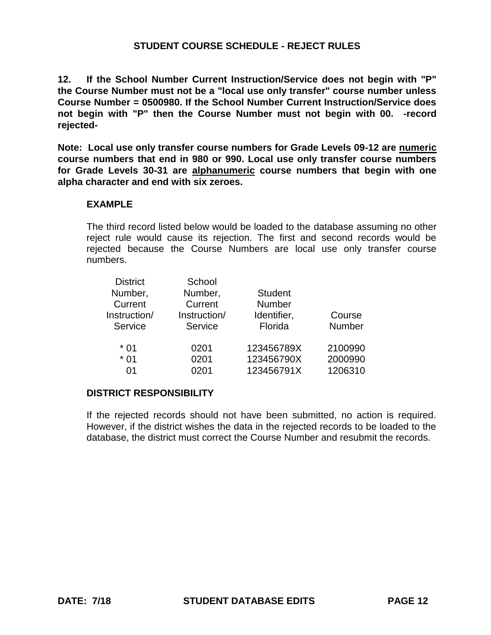**12. If the School Number Current Instruction/Service does not begin with "P" the Course Number must not be a "local use only transfer" course number unless Course Number = 0500980. If the School Number Current Instruction/Service does not begin with "P" then the Course Number must not begin with 00. -record rejected-**

**Note: Local use only transfer course numbers for Grade Levels 09-12 are numeric course numbers that end in 980 or 990. Local use only transfer course numbers for Grade Levels 30-31 are alphanumeric course numbers that begin with one alpha character and end with six zeroes.**

#### **EXAMPLE**

The third record listed below would be loaded to the database assuming no other reject rule would cause its rejection. The first and second records would be rejected because the Course Numbers are local use only transfer course numbers.

| <b>District</b> | School       |                |         |
|-----------------|--------------|----------------|---------|
| Number,         | Number,      | <b>Student</b> |         |
| Current         | Current      | <b>Number</b>  |         |
| Instruction/    | Instruction/ | Identifier,    | Course  |
| Service         | Service      | Florida        | Number  |
| * 01            | 0201         | 123456789X     | 2100990 |
| $*01$           | 0201         | 123456790X     | 2000990 |
| $^{\circ}$      | 0201         | 123456791X     | 1206310 |

#### **DISTRICT RESPONSIBILITY**

If the rejected records should not have been submitted, no action is required. However, if the district wishes the data in the rejected records to be loaded to the database, the district must correct the Course Number and resubmit the records.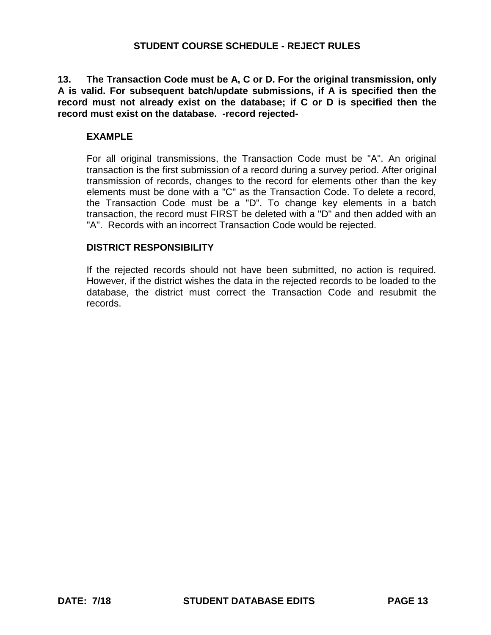**13. The Transaction Code must be A, C or D. For the original transmission, only A is valid. For subsequent batch/update submissions, if A is specified then the record must not already exist on the database; if C or D is specified then the record must exist on the database. -record rejected-**

### **EXAMPLE**

For all original transmissions, the Transaction Code must be "A". An original transaction is the first submission of a record during a survey period. After original transmission of records, changes to the record for elements other than the key elements must be done with a "C" as the Transaction Code. To delete a record, the Transaction Code must be a "D". To change key elements in a batch transaction, the record must FIRST be deleted with a "D" and then added with an "A". Records with an incorrect Transaction Code would be rejected.

## **DISTRICT RESPONSIBILITY**

If the rejected records should not have been submitted, no action is required. However, if the district wishes the data in the rejected records to be loaded to the database, the district must correct the Transaction Code and resubmit the records.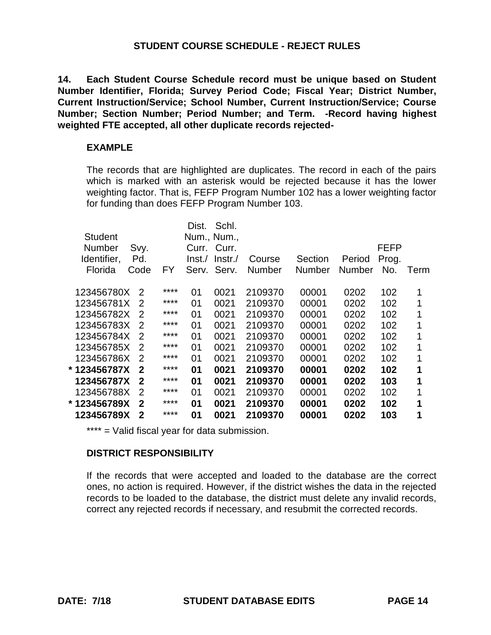**14. Each Student Course Schedule record must be unique based on Student Number Identifier, Florida; Survey Period Code; Fiscal Year; District Number, Current Instruction/Service; School Number, Current Instruction/Service; Course Number; Section Number; Period Number; and Term. -Record having highest weighted FTE accepted, all other duplicate records rejected-**

#### **EXAMPLE**

The records that are highlighted are duplicates. The record in each of the pairs which is marked with an asterisk would be rejected because it has the lower weighting factor. That is, FEFP Program Number 102 has a lower weighting factor for funding than does FEFP Program Number 103.

|                |                  |      | Dist.  | Schl.       |               |               |        |       |      |
|----------------|------------------|------|--------|-------------|---------------|---------------|--------|-------|------|
| <b>Student</b> |                  |      |        | Num., Num., |               |               |        |       |      |
| Number         | Svy.             |      | Curr.  | Curr.       |               |               |        | FEFP  |      |
| Identifier,    | Pd.              |      | Inst./ | Instr.      | Course        | Section       | Period | Prog. |      |
| Florida        | Code             | FY   | Serv.  | Serv.       | <b>Number</b> | <b>Number</b> | Number | No.   | Term |
|                |                  | **** |        |             |               |               |        |       |      |
| 123456780X     | $\mathcal{P}$    |      | 01     | 0021        | 2109370       | 00001         | 0202   | 102   | 1    |
| 123456781X     | 2                | **** | 01     | 0021        | 2109370       | 00001         | 0202   | 102   | 1    |
| 123456782X     | 2                | **** | 01     | 0021        | 2109370       | 00001         | 0202   | 102   | 1    |
| 123456783X     | 2                | **** | 01     | 0021        | 2109370       | 00001         | 0202   | 102   | 1    |
| 123456784X     | 2                | **** | 01     | 0021        | 2109370       | 00001         | 0202   | 102   | 1    |
| 123456785X     | 2                | **** | 01     | 0021        | 2109370       | 00001         | 0202   | 102   | 1    |
| 123456786X     | 2                | **** | 01     | 0021        | 2109370       | 00001         | 0202   | 102   | 1    |
| * 123456787X   | $\mathbf 2$      | **** | 01     | 0021        | 2109370       | 00001         | 0202   | 102   | 1    |
| 123456787X     | $\boldsymbol{2}$ | **** | 01     | 0021        | 2109370       | 00001         | 0202   | 103   | 1    |
| 123456788X     | $\mathcal{P}$    | **** | 01     | 0021        | 2109370       | 00001         | 0202   | 102   | 1    |
| * 123456789X   | $\mathbf 2$      | **** | 01     | 0021        | 2109370       | 00001         | 0202   | 102   | 1    |
| 123456789X     | 2                | **** | 01     | 0021        | 2109370       | 00001         | 0202   | 103   | 1    |
|                |                  |      |        |             |               |               |        |       |      |

\*\*\*\* = Valid fiscal year for data submission.

#### **DISTRICT RESPONSIBILITY**

If the records that were accepted and loaded to the database are the correct ones, no action is required. However, if the district wishes the data in the rejected records to be loaded to the database, the district must delete any invalid records, correct any rejected records if necessary, and resubmit the corrected records.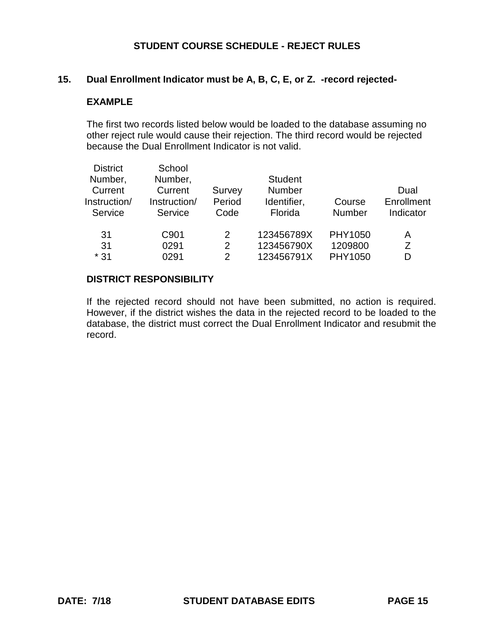#### **15. Dual Enrollment Indicator must be A, B, C, E, or Z. -record rejected-**

#### **EXAMPLE**

The first two records listed below would be loaded to the database assuming no other reject rule would cause their rejection. The third record would be rejected because the Dual Enrollment Indicator is not valid.

| <b>District</b><br>Number,<br>Current<br>Instruction/ | School<br>Number,<br>Current<br>Instruction/ | Survey<br>Period        | <b>Student</b><br><b>Number</b><br>Identifier, | Course                        | Dual<br>Enrollment |
|-------------------------------------------------------|----------------------------------------------|-------------------------|------------------------------------------------|-------------------------------|--------------------|
| Service                                               | Service                                      | Code                    | Florida                                        | <b>Number</b>                 | Indicator          |
| 31<br>31<br>$*31$                                     | C901<br>0291<br>0291                         | 2<br>2<br>$\mathcal{P}$ | 123456789X<br>123456790X<br>123456791X         | PHY1050<br>1209800<br>PHY1050 | Α<br>Z<br>D        |

### **DISTRICT RESPONSIBILITY**

If the rejected record should not have been submitted, no action is required. However, if the district wishes the data in the rejected record to be loaded to the database, the district must correct the Dual Enrollment Indicator and resubmit the record.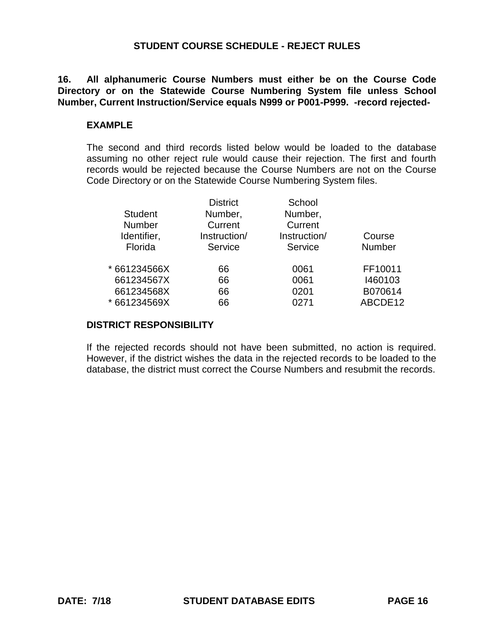**16. All alphanumeric Course Numbers must either be on the Course Code Directory or on the Statewide Course Numbering System file unless School Number, Current Instruction/Service equals N999 or P001-P999. -record rejected-**

#### **EXAMPLE**

The second and third records listed below would be loaded to the database assuming no other reject rule would cause their rejection. The first and fourth records would be rejected because the Course Numbers are not on the Course Code Directory or on the Statewide Course Numbering System files.

|                | <b>District</b> | School       |               |
|----------------|-----------------|--------------|---------------|
| <b>Student</b> | Number,         | Number,      |               |
| <b>Number</b>  | Current         | Current      |               |
| Identifier,    | Instruction/    | Instruction/ | Course        |
| Florida        | Service         | Service      | <b>Number</b> |
| * 661234566X   | 66              | 0061         | FF10011       |
| 661234567X     | 66              | 0061         | 1460103       |
| 661234568X     | 66              | 0201         | B070614       |
| * 661234569X   | 66              | 0271         | ABCDE12       |
|                |                 |              |               |

#### **DISTRICT RESPONSIBILITY**

If the rejected records should not have been submitted, no action is required. However, if the district wishes the data in the rejected records to be loaded to the database, the district must correct the Course Numbers and resubmit the records.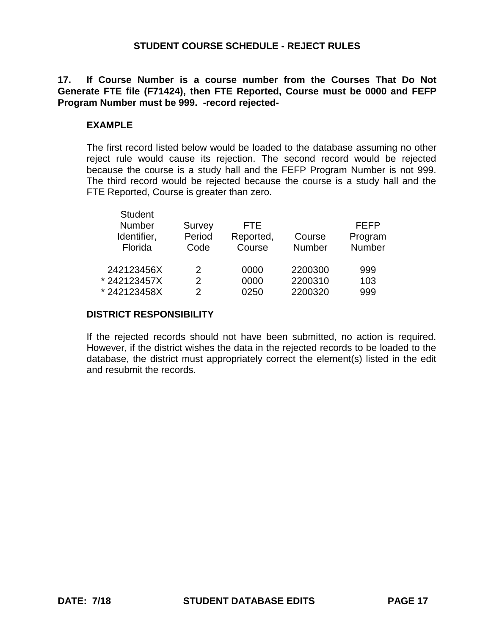## **17. If Course Number is a course number from the Courses That Do Not Generate FTE file (F71424), then FTE Reported, Course must be 0000 and FEFP Program Number must be 999. -record rejected-**

## **EXAMPLE**

The first record listed below would be loaded to the database assuming no other reject rule would cause its rejection. The second record would be rejected because the course is a study hall and the FEFP Program Number is not 999. The third record would be rejected because the course is a study hall and the FTE Reported, Course is greater than zero.

| Student<br><b>Number</b><br>Identifier,<br>Florida | Survey<br>Period<br>Code | FTF.<br>Reported,<br>Course | Course<br><b>Number</b> | FEFP<br>Program<br>Number |
|----------------------------------------------------|--------------------------|-----------------------------|-------------------------|---------------------------|
| 242123456X                                         | 2                        | 0000                        | 2200300                 | 999                       |
| *242123457X                                        | 2                        | 0000                        | 2200310                 | 103                       |
| * 242123458X                                       | 2                        | 0250                        | 2200320                 | 999                       |
|                                                    |                          |                             |                         |                           |

## **DISTRICT RESPONSIBILITY**

Student Student Student

If the rejected records should not have been submitted, no action is required. However, if the district wishes the data in the rejected records to be loaded to the database, the district must appropriately correct the element(s) listed in the edit and resubmit the records.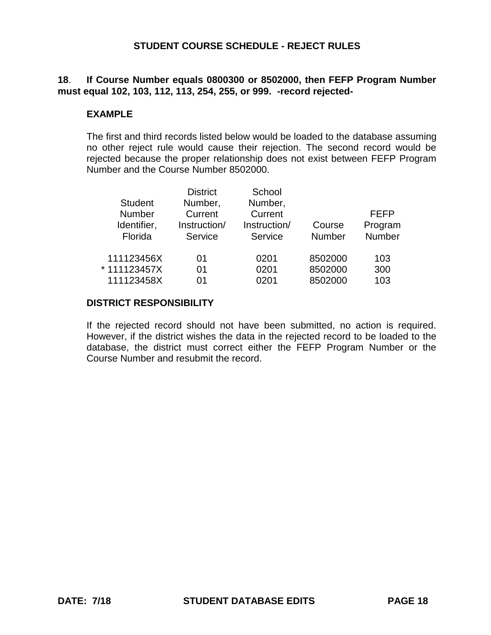## **18**. **If Course Number equals 0800300 or 8502000, then FEFP Program Number must equal 102, 103, 112, 113, 254, 255, or 999. -record rejected-**

### **EXAMPLE**

The first and third records listed below would be loaded to the database assuming no other reject rule would cause their rejection. The second record would be rejected because the proper relationship does not exist between FEFP Program Number and the Course Number 8502000.

|                | <b>District</b> | School       |               |         |
|----------------|-----------------|--------------|---------------|---------|
| <b>Student</b> | Number,         | Number,      |               |         |
| <b>Number</b>  | Current         | Current      |               | FEFP    |
| Identifier,    | Instruction/    | Instruction/ | Course        | Program |
| Florida        | Service         | Service      | <b>Number</b> | Number  |
| 111123456X     | 01              | 0201         | 8502000       | 103     |
| * 111123457X   | 01              | 0201         | 8502000       | 300     |
| 111123458X     | ሰ1              | 0201         | 8502000       | 103     |

#### **DISTRICT RESPONSIBILITY**

If the rejected record should not have been submitted, no action is required. However, if the district wishes the data in the rejected record to be loaded to the database, the district must correct either the FEFP Program Number or the Course Number and resubmit the record.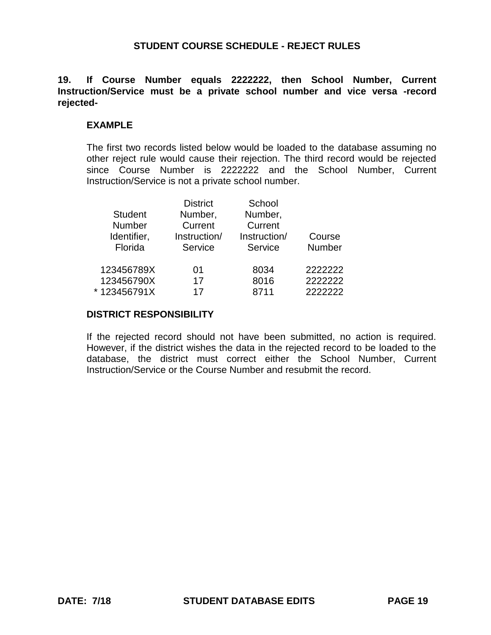### **19. If Course Number equals 2222222, then School Number, Current Instruction/Service must be a private school number and vice versa -record rejected-**

#### **EXAMPLE**

The first two records listed below would be loaded to the database assuming no other reject rule would cause their rejection. The third record would be rejected since Course Number is 2222222 and the School Number, Current Instruction/Service is not a private school number.

|                | <b>District</b> | School       |         |
|----------------|-----------------|--------------|---------|
| <b>Student</b> | Number,         | Number,      |         |
| <b>Number</b>  | Current         | Current      |         |
| Identifier,    | Instruction/    | Instruction/ | Course  |
| Florida        | Service         | Service      | Number  |
| 123456789X     | 01              | 8034         | 2222222 |
| 123456790X     | 17              | 8016         | 2222222 |
| *123456791X    | 17              | 8711         | 2222222 |
|                |                 |              |         |

#### **DISTRICT RESPONSIBILITY**

If the rejected record should not have been submitted, no action is required. However, if the district wishes the data in the rejected record to be loaded to the database, the district must correct either the School Number, Current Instruction/Service or the Course Number and resubmit the record.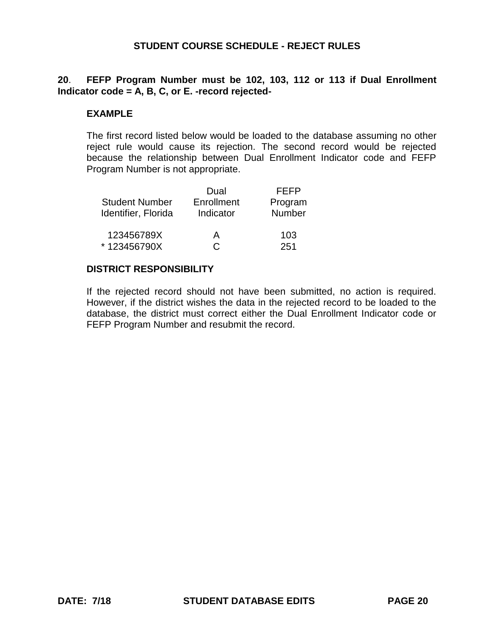**20**. **FEFP Program Number must be 102, 103, 112 or 113 if Dual Enrollment Indicator code = A, B, C, or E. -record rejected-**

#### **EXAMPLE**

The first record listed below would be loaded to the database assuming no other reject rule would cause its rejection. The second record would be rejected because the relationship between Dual Enrollment Indicator code and FEFP Program Number is not appropriate.

|                       | Dual       | <b>FEFP</b>   |
|-----------------------|------------|---------------|
| <b>Student Number</b> | Enrollment | Program       |
| Identifier, Florida   | Indicator  | <b>Number</b> |
| 123456789X            | А          | 103           |
| *123456790X           | C.         | 251           |

#### **DISTRICT RESPONSIBILITY**

If the rejected record should not have been submitted, no action is required. However, if the district wishes the data in the rejected record to be loaded to the database, the district must correct either the Dual Enrollment Indicator code or FEFP Program Number and resubmit the record.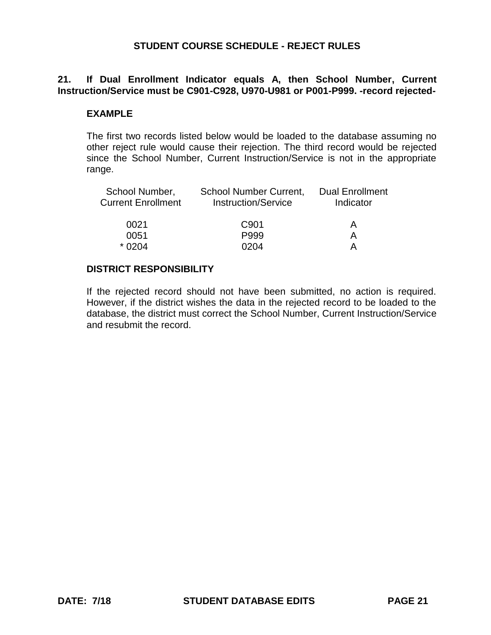## **21. If Dual Enrollment Indicator equals A, then School Number, Current Instruction/Service must be C901-C928, U970-U981 or P001-P999. -record rejected-**

### **EXAMPLE**

The first two records listed below would be loaded to the database assuming no other reject rule would cause their rejection. The third record would be rejected since the School Number, Current Instruction/Service is not in the appropriate range.

| <b>School Number Current,</b><br><b>Instruction/Service</b> | <b>Dual Enrollment</b><br>Indicator |
|-------------------------------------------------------------|-------------------------------------|
| C <sub>901</sub>                                            | А                                   |
| P999                                                        | А                                   |
| 0204                                                        |                                     |
|                                                             |                                     |

#### **DISTRICT RESPONSIBILITY**

If the rejected record should not have been submitted, no action is required. However, if the district wishes the data in the rejected record to be loaded to the database, the district must correct the School Number, Current Instruction/Service and resubmit the record.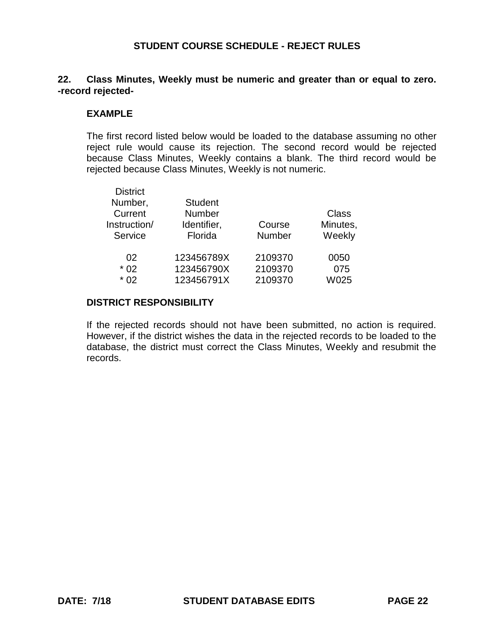### **22. Class Minutes, Weekly must be numeric and greater than or equal to zero. -record rejected-**

#### **EXAMPLE**

The first record listed below would be loaded to the database assuming no other reject rule would cause its rejection. The second record would be rejected because Class Minutes, Weekly contains a blank. The third record would be rejected because Class Minutes, Weekly is not numeric.

| <b>District</b> |                |               |          |
|-----------------|----------------|---------------|----------|
| Number,         | <b>Student</b> |               |          |
| Current         | Number         |               | Class    |
| Instruction/    | Identifier,    | Course        | Minutes, |
| Service         | Florida        | <b>Number</b> | Weekly   |
| 02              | 123456789X     | 2109370       | 0050     |
| $*02$           | 123456790X     | 2109370       | 075      |
| $*02$           | 123456791X     | 2109370       | W025     |

#### **DISTRICT RESPONSIBILITY**

If the rejected records should not have been submitted, no action is required. However, if the district wishes the data in the rejected records to be loaded to the database, the district must correct the Class Minutes, Weekly and resubmit the records.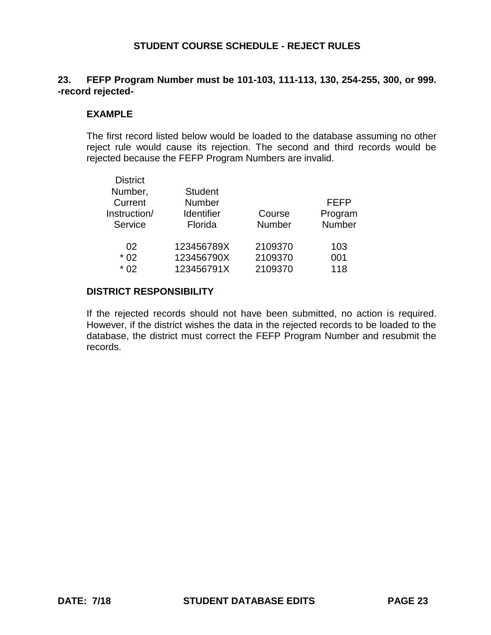## **23. FEFP Program Number must be 101-103, 111-113, 130, 254-255, 300, or 999. -record rejected-**

#### **EXAMPLE**

The first record listed below would be loaded to the database assuming no other reject rule would cause its rejection. The second and third records would be rejected because the FEFP Program Numbers are invalid.

| <b>District</b><br>Number,<br>Current<br>Instruction/<br>Service | <b>Student</b><br><b>Number</b><br><b>Identifier</b><br>Florida | Course<br><b>Number</b> | FEFP<br>Program<br>Number |
|------------------------------------------------------------------|-----------------------------------------------------------------|-------------------------|---------------------------|
| 02                                                               | 123456789X                                                      | 2109370                 | 103                       |
| $*02$                                                            | 123456790X                                                      | 2109370                 | 001                       |
| $*02$                                                            | 123456791X                                                      | 2109370                 | 118                       |

## **DISTRICT RESPONSIBILITY**

If the rejected records should not have been submitted, no action is required. However, if the district wishes the data in the rejected records to be loaded to the database, the district must correct the FEFP Program Number and resubmit the records.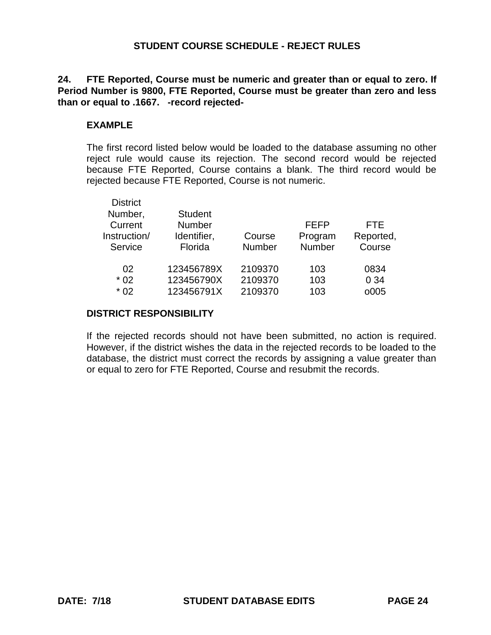**24. FTE Reported, Course must be numeric and greater than or equal to zero. If Period Number is 9800, FTE Reported, Course must be greater than zero and less than or equal to .1667. -record rejected-**

## **EXAMPLE**

The first record listed below would be loaded to the database assuming no other reject rule would cause its rejection. The second record would be rejected because FTE Reported, Course contains a blank. The third record would be rejected because FTE Reported, Course is not numeric.

| <b>District</b> |                |               |             |            |
|-----------------|----------------|---------------|-------------|------------|
| Number,         | <b>Student</b> |               |             |            |
| Current         | <b>Number</b>  |               | <b>FEFP</b> | <b>FTE</b> |
| Instruction/    | Identifier,    | Course        | Program     | Reported,  |
| Service         | Florida        | <b>Number</b> | Number      | Course     |
| 02              | 123456789X     | 2109370       | 103         | 0834       |
| $*02$           | 123456790X     | 2109370       | 103         | 0 34       |
| $*02$           | 123456791X     | 2109370       | 103         | o005       |

#### **DISTRICT RESPONSIBILITY**

If the rejected records should not have been submitted, no action is required. However, if the district wishes the data in the rejected records to be loaded to the database, the district must correct the records by assigning a value greater than or equal to zero for FTE Reported, Course and resubmit the records.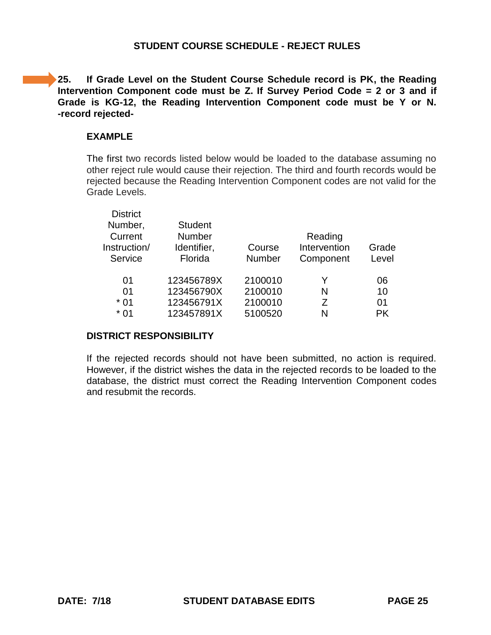**25. If Grade Level on the Student Course Schedule record is PK, the Reading Intervention Component code must be Z. If Survey Period Code = 2 or 3 and if Grade is KG-12, the Reading Intervention Component code must be Y or N. -record rejected-**

### **EXAMPLE**

The first two records listed below would be loaded to the database assuming no other reject rule would cause their rejection. The third and fourth records would be rejected because the Reading Intervention Component codes are not valid for the Grade Levels.

| <b>District</b> |                |               |              |           |
|-----------------|----------------|---------------|--------------|-----------|
| Number,         | <b>Student</b> |               |              |           |
| Current         | Number         |               | Reading      |           |
| Instruction/    | Identifier,    | Course        | Intervention | Grade     |
| Service         | Florida        | <b>Number</b> | Component    | Level     |
|                 |                |               |              |           |
| 01              | 123456789X     | 2100010       | Y            | 06        |
| 01              | 123456790X     | 2100010       | N            | 10        |
| $*01$           | 123456791X     | 2100010       | Ζ            | 01        |
| $*01$           | 123457891X     | 5100520       | N            | <b>PK</b> |
|                 |                |               |              |           |

#### **DISTRICT RESPONSIBILITY**

If the rejected records should not have been submitted, no action is required. However, if the district wishes the data in the rejected records to be loaded to the database, the district must correct the Reading Intervention Component codes and resubmit the records.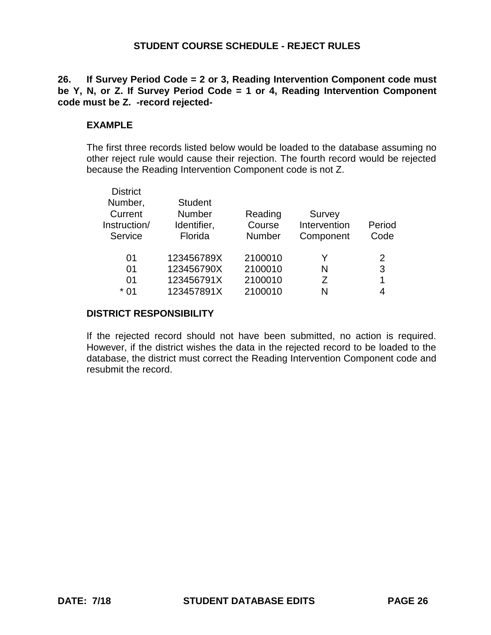## **26. If Survey Period Code = 2 or 3, Reading Intervention Component code must be Y, N, or Z. If Survey Period Code = 1 or 4, Reading Intervention Component code must be Z. -record rejected-**

## **EXAMPLE**

The first three records listed below would be loaded to the database assuming no other reject rule would cause their rejection. The fourth record would be rejected because the Reading Intervention Component code is not Z.

| <b>District</b> |                |               |              |        |
|-----------------|----------------|---------------|--------------|--------|
| Number,         | <b>Student</b> |               |              |        |
| Current         | Number         | Reading       | Survey       |        |
| Instruction/    | Identifier,    | Course        | Intervention | Period |
| Service         | Florida        | <b>Number</b> | Component    | Code   |
|                 |                |               |              |        |
| 01              | 123456789X     | 2100010       | Y            | 2      |
| 01              | 123456790X     | 2100010       | N            | 3      |
| 01              | 123456791X     | 2100010       | 7            | 1      |
| $*01$           | 123457891X     | 2100010       | N            | 4      |
|                 |                |               |              |        |

## **DISTRICT RESPONSIBILITY**

If the rejected record should not have been submitted, no action is required. However, if the district wishes the data in the rejected record to be loaded to the database, the district must correct the Reading Intervention Component code and resubmit the record.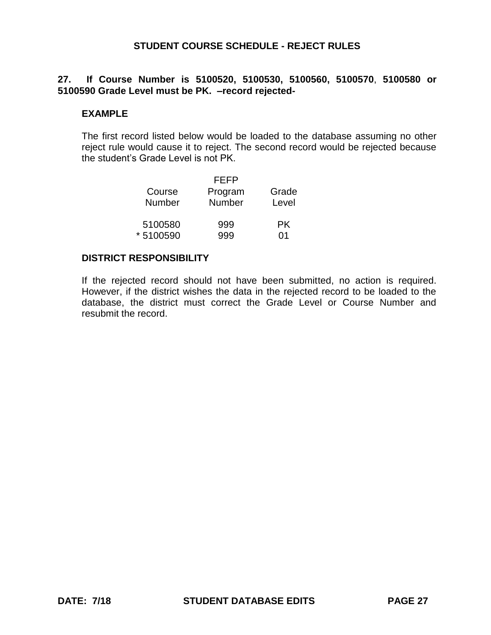## **27. If Course Number is 5100520, 5100530, 5100560, 5100570**, **5100580 or 5100590 Grade Level must be PK. –record rejected-**

#### **EXAMPLE**

The first record listed below would be loaded to the database assuming no other reject rule would cause it to reject. The second record would be rejected because the student's Grade Level is not PK.

|          | FFFP    |       |
|----------|---------|-------|
| Course   | Program | Grade |
| Number   | Number  | Level |
| 5100580  | 999     | PK.   |
| *5100590 |         | ሰ1    |

#### **DISTRICT RESPONSIBILITY**

If the rejected record should not have been submitted, no action is required. However, if the district wishes the data in the rejected record to be loaded to the database, the district must correct the Grade Level or Course Number and resubmit the record.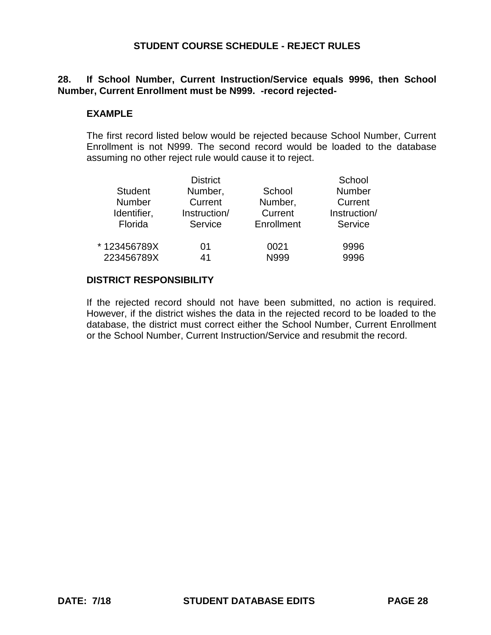## **28. If School Number, Current Instruction/Service equals 9996, then School Number, Current Enrollment must be N999. -record rejected-**

### **EXAMPLE**

The first record listed below would be rejected because School Number, Current Enrollment is not N999. The second record would be loaded to the database assuming no other reject rule would cause it to reject.

|                | <b>District</b> |            | School        |
|----------------|-----------------|------------|---------------|
| <b>Student</b> | Number,         | School     | <b>Number</b> |
| Number         | Current         | Number,    | Current       |
| Identifier,    | Instruction/    | Current    | Instruction/  |
| Florida        | Service         | Enrollment | Service       |
| *123456789X    | 01              | 0021       | 9996          |
| 223456789X     | 41              | N999       | 9996          |
|                |                 |            |               |

#### **DISTRICT RESPONSIBILITY**

If the rejected record should not have been submitted, no action is required. However, if the district wishes the data in the rejected record to be loaded to the database, the district must correct either the School Number, Current Enrollment or the School Number, Current Instruction/Service and resubmit the record.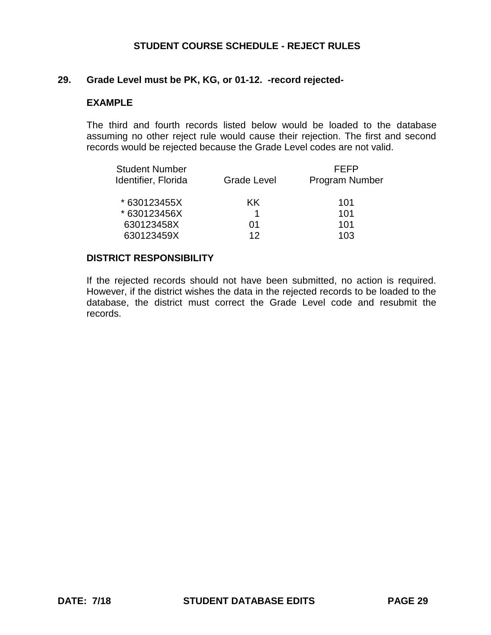#### **29. Grade Level must be PK, KG, or 01-12. -record rejected-**

#### **EXAMPLE**

The third and fourth records listed below would be loaded to the database assuming no other reject rule would cause their rejection. The first and second records would be rejected because the Grade Level codes are not valid.

| FFFP<br><b>Program Number</b> |  |
|-------------------------------|--|
|                               |  |
|                               |  |
|                               |  |
|                               |  |
|                               |  |
|                               |  |

### **DISTRICT RESPONSIBILITY**

If the rejected records should not have been submitted, no action is required. However, if the district wishes the data in the rejected records to be loaded to the database, the district must correct the Grade Level code and resubmit the records.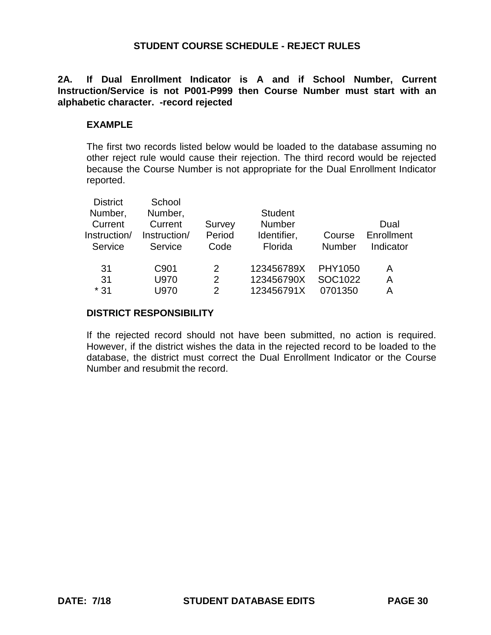## **2A. If Dual Enrollment Indicator is A and if School Number, Current Instruction/Service is not P001-P999 then Course Number must start with an alphabetic character. -record rejected**

### **EXAMPLE**

The first two records listed below would be loaded to the database assuming no other reject rule would cause their rejection. The third record would be rejected because the Course Number is not appropriate for the Dual Enrollment Indicator reported.

| <b>District</b> | School       |               |                |               |            |
|-----------------|--------------|---------------|----------------|---------------|------------|
| Number,         | Number,      |               | <b>Student</b> |               |            |
| Current         | Current      | Survey        | <b>Number</b>  |               | Dual       |
| Instruction/    | Instruction/ | Period        | Identifier,    | Course        | Enrollment |
| Service         | Service      | Code          | Florida        | <b>Number</b> | Indicator  |
|                 |              |               |                |               |            |
| 31              | C901         | 2             | 123456789X     | PHY1050       | A          |
| 31              | U970         | $\mathcal{P}$ | 123456790X     | SOC1022       | A          |
| $*31$           | U970         | 2             | 123456791X     | 0701350       | А          |
|                 |              |               |                |               |            |

#### **DISTRICT RESPONSIBILITY**

If the rejected record should not have been submitted, no action is required. However, if the district wishes the data in the rejected record to be loaded to the database, the district must correct the Dual Enrollment Indicator or the Course Number and resubmit the record.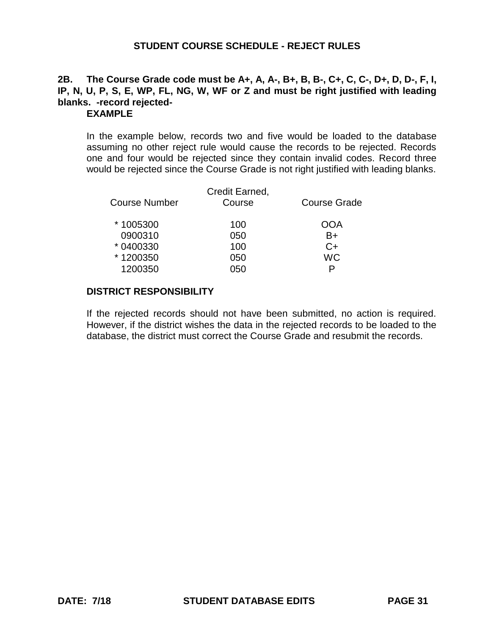# **2B. The Course Grade code must be A+, A, A-, B+, B, B-, C+, C, C-, D+, D, D-, F, I, IP, N, U, P, S, E, WP, FL, NG, W, WF or Z and must be right justified with leading blanks. -record rejected-**

## **EXAMPLE**

In the example below, records two and five would be loaded to the database assuming no other reject rule would cause the records to be rejected. Records one and four would be rejected since they contain invalid codes. Record three would be rejected since the Course Grade is not right justified with leading blanks.

| <b>Course Number</b> | Credit Earned,<br>Course | <b>Course Grade</b> |
|----------------------|--------------------------|---------------------|
| *1005300             | 100                      | OOA                 |
| 0900310              | 050                      | B+                  |
| * 0400330            | 100                      | C+                  |
| *1200350             | 050                      | <b>WC</b>           |
| 1200350              | 050                      | D                   |
|                      |                          |                     |

## **DISTRICT RESPONSIBILITY**

If the rejected records should not have been submitted, no action is required. However, if the district wishes the data in the rejected records to be loaded to the database, the district must correct the Course Grade and resubmit the records.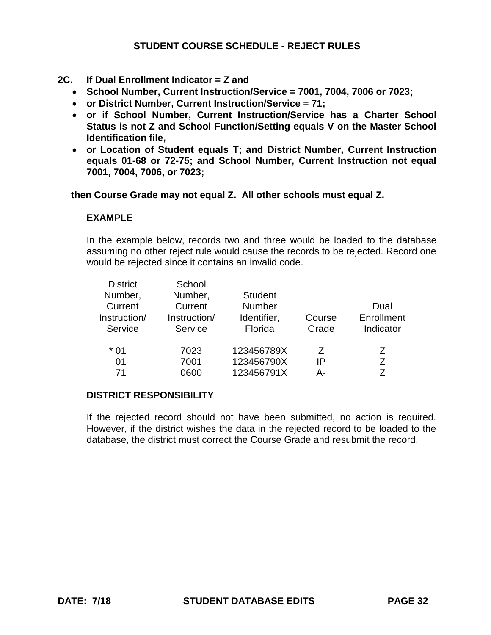- **2C. If Dual Enrollment Indicator = Z and**
	- **School Number, Current Instruction/Service = 7001, 7004, 7006 or 7023;**
	- **or District Number, Current Instruction/Service = 71;**
	- **or if School Number, Current Instruction/Service has a Charter School Status is not Z and School Function/Setting equals V on the Master School Identification file,**
	- **or Location of Student equals T; and District Number, Current Instruction equals 01-68 or 72-75; and School Number, Current Instruction not equal 7001, 7004, 7006, or 7023;**

 **then Course Grade may not equal Z. All other schools must equal Z.** 

#### **EXAMPLE**

In the example below, records two and three would be loaded to the database assuming no other reject rule would cause the records to be rejected. Record one would be rejected since it contains an invalid code.

| <b>District</b> | School       |                |        |            |
|-----------------|--------------|----------------|--------|------------|
| Number,         | Number,      | <b>Student</b> |        |            |
| Current         | Current      | <b>Number</b>  |        | Dual       |
| Instruction/    | Instruction/ | Identifier,    | Course | Enrollment |
| Service         | Service      | Florida        | Grade  | Indicator  |
| * 01            | 7023         | 123456789X     | 7      | 7          |
| 01              | 7001         | 123456790X     | IP     | Ζ          |
| 71              | 0600         | 123456791X     | А-     | 7          |
|                 |              |                |        |            |

#### **DISTRICT RESPONSIBILITY**

If the rejected record should not have been submitted, no action is required. However, if the district wishes the data in the rejected record to be loaded to the database, the district must correct the Course Grade and resubmit the record.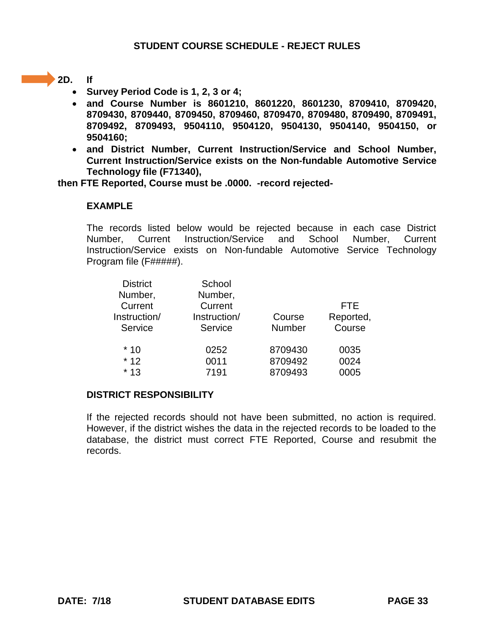## **2D. If**

- **Survey Period Code is 1, 2, 3 or 4;**
- **and Course Number is 8601210, 8601220, 8601230, 8709410, 8709420, 8709430, 8709440, 8709450, 8709460, 8709470, 8709480, 8709490, 8709491, 8709492, 8709493, 9504110, 9504120, 9504130, 9504140, 9504150, or 9504160;**
- **and District Number, Current Instruction/Service and School Number, Current Instruction/Service exists on the Non-fundable Automotive Service Technology file (F71340),**

**then FTE Reported, Course must be .0000. -record rejected-**

## **EXAMPLE**

The records listed below would be rejected because in each case District Number, Current Instruction/Service and School Number, Current Instruction/Service exists on Non-fundable Automotive Service Technology Program file (F#####).

| <b>District</b> | School       |               |            |
|-----------------|--------------|---------------|------------|
| Number,         | Number,      |               |            |
| Current         | Current      |               | <b>FTE</b> |
| Instruction/    | Instruction/ | Course        | Reported,  |
| Service         | Service      | <b>Number</b> | Course     |
| $*10$           | 0252         | 8709430       | 0035       |
| $*12$           | 0011         | 8709492       | 0024       |
| $*13$           | 7191         | 8709493       | 0005       |
|                 |              |               |            |

## **DISTRICT RESPONSIBILITY**

If the rejected records should not have been submitted, no action is required. However, if the district wishes the data in the rejected records to be loaded to the database, the district must correct FTE Reported, Course and resubmit the records.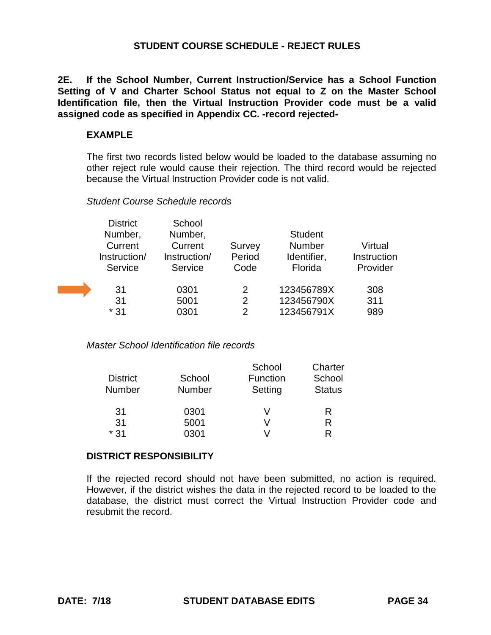**2E. If the School Number, Current Instruction/Service has a School Function Setting of V and Charter School Status not equal to Z on the Master School Identification file, then the Virtual Instruction Provider code must be a valid assigned code as specified in Appendix CC. -record rejected-**

#### **EXAMPLE**

The first two records listed below would be loaded to the database assuming no other reject rule would cause their rejection. The third record would be rejected because the Virtual Instruction Provider code is not valid.

#### *Student Course Schedule records*

| <b>District</b> | School       |        |                |             |
|-----------------|--------------|--------|----------------|-------------|
| Number,         | Number,      |        | <b>Student</b> |             |
| Current         | Current      | Survey | <b>Number</b>  | Virtual     |
| Instruction/    | Instruction/ | Period | Identifier,    | Instruction |
| Service         | Service      | Code   | Florida        | Provider    |
| 31              | 0301         | 2      | 123456789X     | 308         |
| 31              | 5001         | 2      | 123456790X     | 311         |
| * 31            | 0301         | 2      | 123456791X     | 989         |

*Master School Identification file records*

|                 |               | School   | Charter       |
|-----------------|---------------|----------|---------------|
| <b>District</b> | School        | Function | School        |
| <b>Number</b>   | <b>Number</b> | Setting  | <b>Status</b> |
| 31              | 0301          | V        | R             |
| 31              | 5001          | V        | R             |
| $*31$           | 0301          |          | R             |

#### **DISTRICT RESPONSIBILITY**

If the rejected record should not have been submitted, no action is required. However, if the district wishes the data in the rejected record to be loaded to the database, the district must correct the Virtual Instruction Provider code and resubmit the record.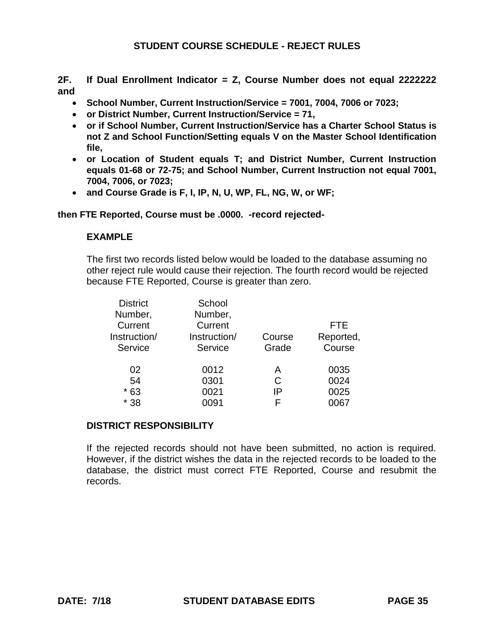**2F. If Dual Enrollment Indicator = Z, Course Number does not equal 2222222 and**

- **School Number, Current Instruction/Service = 7001, 7004, 7006 or 7023;**
- **or District Number, Current Instruction/Service = 71,**
- **or if School Number, Current Instruction/Service has a Charter School Status is not Z and School Function/Setting equals V on the Master School Identification file,**
- **or Location of Student equals T; and District Number, Current Instruction equals 01-68 or 72-75; and School Number, Current Instruction not equal 7001, 7004, 7006, or 7023;**
- **and Course Grade is F, I, IP, N, U, WP, FL, NG, W, or WF;**

#### **then FTE Reported, Course must be .0000. -record rejected-**

#### **EXAMPLE**

The first two records listed below would be loaded to the database assuming no other reject rule would cause their rejection. The fourth record would be rejected because FTE Reported, Course is greater than zero.

| <b>District</b> | School       |        |            |
|-----------------|--------------|--------|------------|
| Number,         | Number,      |        |            |
| Current         | Current      |        | <b>FTE</b> |
| Instruction/    | Instruction/ | Course | Reported,  |
| Service         | Service      | Grade  | Course     |
|                 |              |        |            |
| 02              | 0012         | A      | 0035       |
| 54              | 0301         | С      | 0024       |
| $*63$           | 0021         | IP     | 0025       |
| $*38$           | ን091         | F      |            |
|                 |              |        |            |

#### **DISTRICT RESPONSIBILITY**

If the rejected records should not have been submitted, no action is required. However, if the district wishes the data in the rejected records to be loaded to the database, the district must correct FTE Reported, Course and resubmit the records.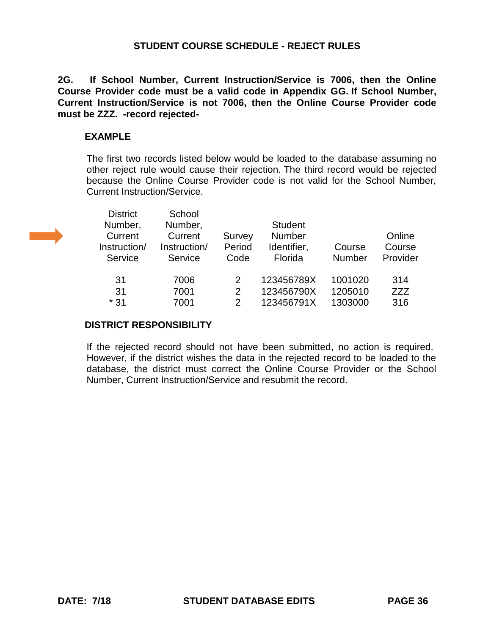**2G. If School Number, Current Instruction/Service is 7006, then the Online Course Provider code must be a valid code in Appendix GG. If School Number, Current Instruction/Service is not 7006, then the Online Course Provider code must be ZZZ. -record rejected-**

#### **EXAMPLE**

The first two records listed below would be loaded to the database assuming no other reject rule would cause their rejection. The third record would be rejected because the Online Course Provider code is not valid for the School Number, Current Instruction/Service.

a a shekara

| <b>District</b><br>Number,<br>Current<br>Instruction/<br>Service | School<br>Number,<br>Current<br>Instruction/<br>Service | Survey<br>Period<br>Code | <b>Student</b><br><b>Number</b><br>Identifier,<br>Florida | Course<br><b>Number</b> | Online<br>Course<br>Provider |
|------------------------------------------------------------------|---------------------------------------------------------|--------------------------|-----------------------------------------------------------|-------------------------|------------------------------|
| 31                                                               | 7006                                                    | 2                        | 123456789X                                                | 1001020                 | 314                          |
| 31                                                               | 7001                                                    | 2                        | 123456790X                                                | 1205010                 | ZZZ                          |
| $*31$                                                            | 7001                                                    | $\overline{2}$           | 123456791X                                                | 1303000                 | 316                          |

#### **DISTRICT RESPONSIBILITY**

If the rejected record should not have been submitted, no action is required. However, if the district wishes the data in the rejected record to be loaded to the database, the district must correct the Online Course Provider or the School Number, Current Instruction/Service and resubmit the record.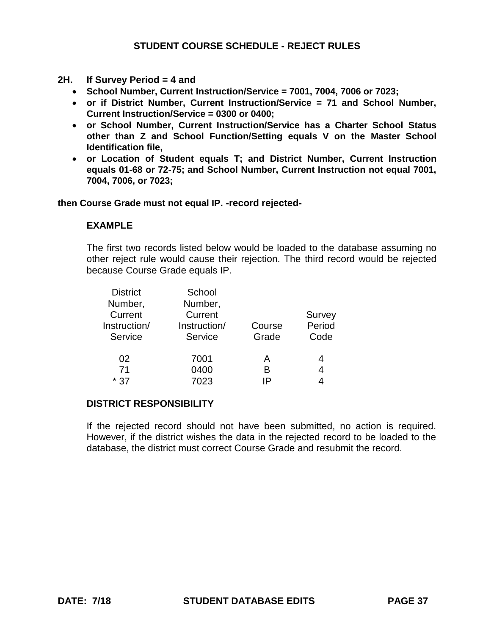- **2H. If Survey Period = 4 and** 
	- **School Number, Current Instruction/Service = 7001, 7004, 7006 or 7023;**
	- **or if District Number, Current Instruction/Service = 71 and School Number, Current Instruction/Service = 0300 or 0400;**
	- **or School Number, Current Instruction/Service has a Charter School Status other than Z and School Function/Setting equals V on the Master School Identification file,**
	- **or Location of Student equals T; and District Number, Current Instruction equals 01-68 or 72-75; and School Number, Current Instruction not equal 7001, 7004, 7006, or 7023;**

**then Course Grade must not equal IP. -record rejected-**

#### **EXAMPLE**

The first two records listed below would be loaded to the database assuming no other reject rule would cause their rejection. The third record would be rejected because Course Grade equals IP.

| <b>District</b> | School       |        |        |
|-----------------|--------------|--------|--------|
| Number,         | Number,      |        |        |
| Current         | Current      |        | Survey |
| Instruction/    | Instruction/ | Course | Period |
| Service         | Service      | Grade  | Code   |
| 02              | 7001         | А      | 4      |
| 71              | 0400         | в      | 4      |
| $*37$           | 7023         | IÞ     | 4      |

#### **DISTRICT RESPONSIBILITY**

If the rejected record should not have been submitted, no action is required. However, if the district wishes the data in the rejected record to be loaded to the database, the district must correct Course Grade and resubmit the record.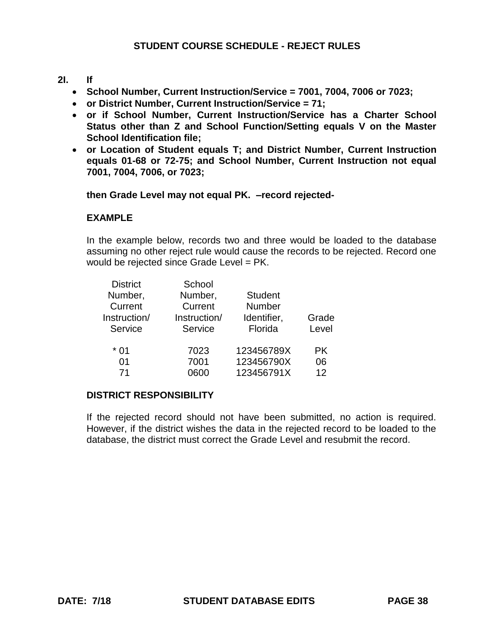### **2I. If**

- **School Number, Current Instruction/Service = 7001, 7004, 7006 or 7023;**
- **or District Number, Current Instruction/Service = 71;**
- **or if School Number, Current Instruction/Service has a Charter School Status other than Z and School Function/Setting equals V on the Master School Identification file;**
- **or Location of Student equals T; and District Number, Current Instruction equals 01-68 or 72-75; and School Number, Current Instruction not equal 7001, 7004, 7006, or 7023;**

**then Grade Level may not equal PK. –record rejected-**

### **EXAMPLE**

In the example below, records two and three would be loaded to the database assuming no other reject rule would cause the records to be rejected. Record one would be rejected since Grade Level = PK.

| <b>District</b> | School       |                |           |
|-----------------|--------------|----------------|-----------|
| Number,         | Number,      | <b>Student</b> |           |
| Current         | Current      | <b>Number</b>  |           |
| Instruction/    | Instruction/ | Identifier,    | Grade     |
| Service         | Service      | Florida        | Level     |
| * 01            | 7023         | 123456789X     | <b>PK</b> |
| 01              | 7001         | 123456790X     | 06        |
| 71              | າດດາ         | 123456791X     | 12        |

### **DISTRICT RESPONSIBILITY**

If the rejected record should not have been submitted, no action is required. However, if the district wishes the data in the rejected record to be loaded to the database, the district must correct the Grade Level and resubmit the record.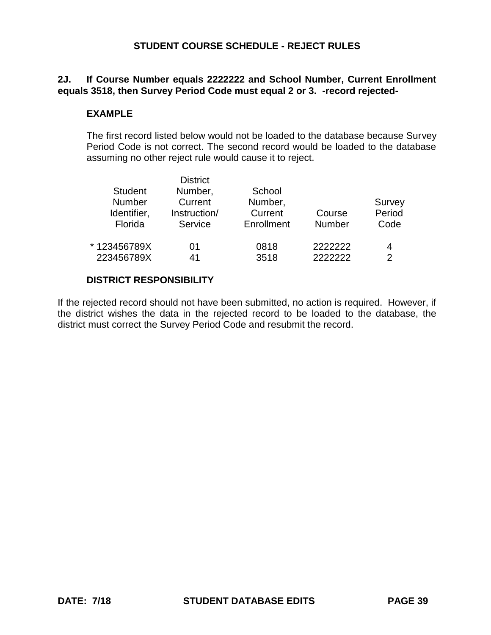### **2J. If Course Number equals 2222222 and School Number, Current Enrollment equals 3518, then Survey Period Code must equal 2 or 3. -record rejected-**

#### **EXAMPLE**

The first record listed below would not be loaded to the database because Survey Period Code is not correct. The second record would be loaded to the database assuming no other reject rule would cause it to reject.

| <b>Student</b><br><b>Number</b><br>Identifier,<br>Florida | District<br>Number,<br>Current<br>Instruction/<br>Service | School<br>Number,<br>Current<br>Enrollment | Course<br><b>Number</b> | Survey<br>Period<br>Code |
|-----------------------------------------------------------|-----------------------------------------------------------|--------------------------------------------|-------------------------|--------------------------|
| *123456789X                                               | 01                                                        | 0818                                       | 2222222                 | 4                        |
| 223456789X                                                | 41                                                        | 3518                                       | 2222222                 | 2                        |

District

#### **DISTRICT RESPONSIBILITY**

If the rejected record should not have been submitted, no action is required. However, if the district wishes the data in the rejected record to be loaded to the database, the district must correct the Survey Period Code and resubmit the record.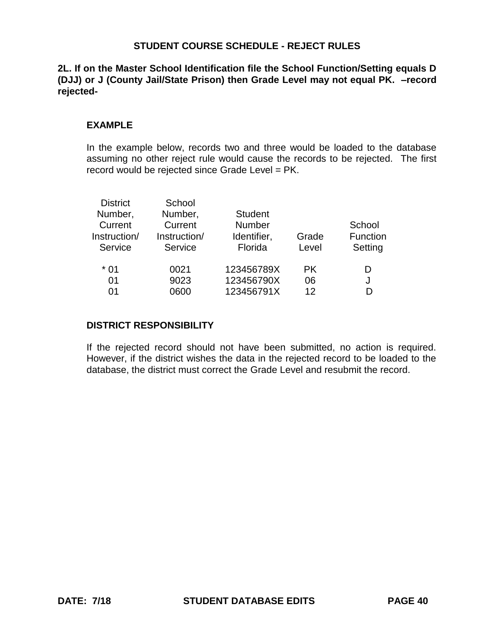**2L. If on the Master School Identification file the School Function/Setting equals D (DJJ) or J (County Jail/State Prison) then Grade Level may not equal PK. –record rejected-**

#### **EXAMPLE**

In the example below, records two and three would be loaded to the database assuming no other reject rule would cause the records to be rejected. The first record would be rejected since Grade Level = PK.

| <b>District</b> | School       |                |       |          |
|-----------------|--------------|----------------|-------|----------|
| Number,         | Number,      | <b>Student</b> |       |          |
| Current         | Current      | <b>Number</b>  |       | School   |
| Instruction/    | Instruction/ | Identifier,    | Grade | Function |
| Service         | Service      | Florida        | Level | Setting  |
| $*01$           | 0021         | 123456789X     | PK.   | D        |
| 01              | 9023         | 123456790X     | 06    | J        |
| 01              | 0600         | 123456791X     | 12    |          |

### **DISTRICT RESPONSIBILITY**

If the rejected record should not have been submitted, no action is required. However, if the district wishes the data in the rejected record to be loaded to the database, the district must correct the Grade Level and resubmit the record.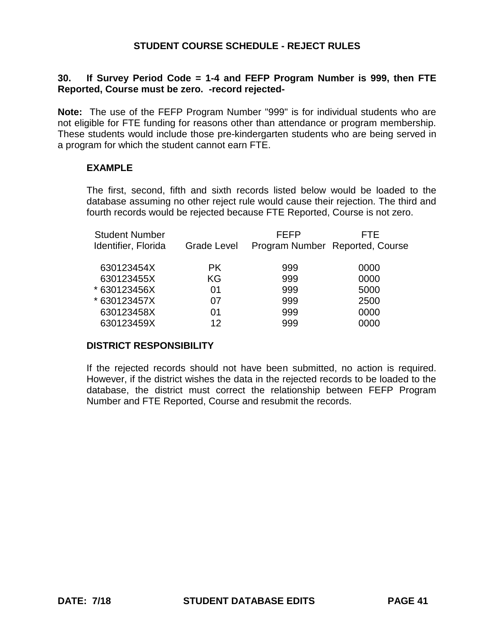### **30. If Survey Period Code = 1-4 and FEFP Program Number is 999, then FTE Reported, Course must be zero. -record rejected-**

**Note:** The use of the FEFP Program Number "999" is for individual students who are not eligible for FTE funding for reasons other than attendance or program membership. These students would include those pre-kindergarten students who are being served in a program for which the student cannot earn FTE.

#### **EXAMPLE**

The first, second, fifth and sixth records listed below would be loaded to the database assuming no other reject rule would cause their rejection. The third and fourth records would be rejected because FTE Reported, Course is not zero.

| <b>Student Number</b><br>Identifier, Florida | <b>Grade Level</b> | <b>FEFP</b> | FTE.<br>Program Number Reported, Course |
|----------------------------------------------|--------------------|-------------|-----------------------------------------|
| 630123454X                                   | PK.                | 999         | 0000                                    |
| 630123455X                                   | KG                 | 999         | 0000                                    |
| * 630123456X                                 | 01                 | 999         | 5000                                    |
| * 630123457X                                 | 07                 | 999         | 2500                                    |
| 630123458X                                   | 01                 | 999         | 0000                                    |
| 630123459X                                   | 12                 | 999         | 0000                                    |

#### **DISTRICT RESPONSIBILITY**

If the rejected records should not have been submitted, no action is required. However, if the district wishes the data in the rejected records to be loaded to the database, the district must correct the relationship between FEFP Program Number and FTE Reported, Course and resubmit the records.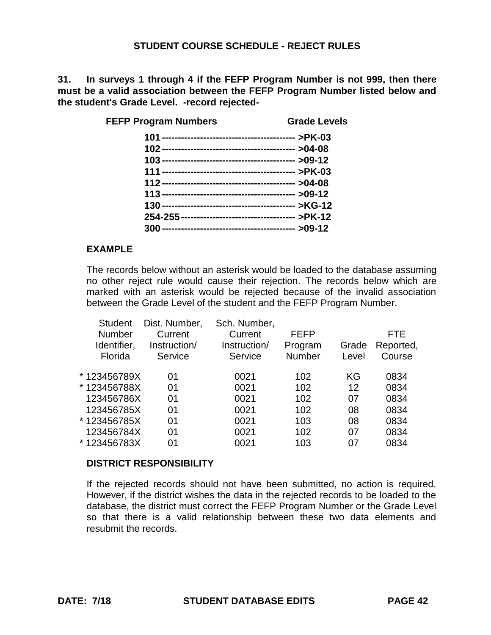**31. In surveys 1 through 4 if the FEFP Program Number is not 999, then there must be a valid association between the FEFP Program Number listed below and the student's Grade Level. -record rejected-**

| <b>FEFP Program Numbers</b> | <b>Grade Levels</b> |
|-----------------------------|---------------------|
|                             |                     |
|                             |                     |
|                             |                     |
|                             |                     |
|                             |                     |
|                             |                     |
|                             |                     |
|                             |                     |
|                             |                     |
|                             |                     |

#### **EXAMPLE**

The records below without an asterisk would be loaded to the database assuming no other reject rule would cause their rejection. The records below which are marked with an asterisk would be rejected because of the invalid association between the Grade Level of the student and the FEFP Program Number.

| <b>Student</b> | Dist. Number, | Sch. Number, |               |       |           |
|----------------|---------------|--------------|---------------|-------|-----------|
| <b>Number</b>  | Current       | Current      | <b>FEFP</b>   |       | FTE       |
| Identifier,    | Instruction/  | Instruction/ | Program       | Grade | Reported, |
| Florida        | Service       | Service      | <b>Number</b> | Level | Course    |
| *123456789X    | 01            | 0021         | 102           | KG    | 0834      |
| *123456788X    | 01            | 0021         | 102           | 12    | 0834      |
| 123456786X     | 01            | 0021         | 102           | 07    | 0834      |
| 123456785X     | 01            | 0021         | 102           | 08    | 0834      |
| *123456785X    | 01            | 0021         | 103           | 08    | 0834      |
| 123456784X     | 01            | 0021         | 102           | 07    | 0834      |
| *123456783X    | 01            | 0021         | 103           | 07    | 0834      |

#### **DISTRICT RESPONSIBILITY**

If the rejected records should not have been submitted, no action is required. However, if the district wishes the data in the rejected records to be loaded to the database, the district must correct the FEFP Program Number or the Grade Level so that there is a valid relationship between these two data elements and resubmit the records.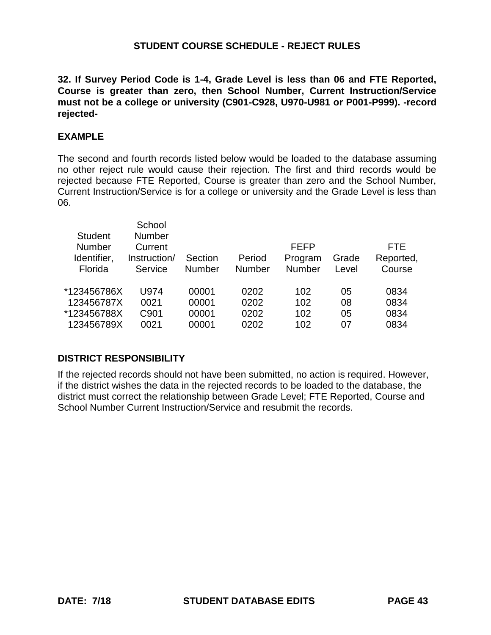**32. If Survey Period Code is 1-4, Grade Level is less than 06 and FTE Reported, Course is greater than zero, then School Number, Current Instruction/Service must not be a college or university (C901-C928, U970-U981 or P001-P999). -record rejected-**

#### **EXAMPLE**

The second and fourth records listed below would be loaded to the database assuming no other reject rule would cause their rejection. The first and third records would be rejected because FTE Reported, Course is greater than zero and the School Number, Current Instruction/Service is for a college or university and the Grade Level is less than 06.

| <b>Student</b><br><b>Number</b><br>Identifier,<br>Florida | School<br><b>Number</b><br>Current<br>Instruction/<br>Service | Section<br><b>Number</b> | Period<br>Number | <b>FEFP</b><br>Program<br><b>Number</b> | Grade<br>Level | FTE.<br>Reported,<br>Course |
|-----------------------------------------------------------|---------------------------------------------------------------|--------------------------|------------------|-----------------------------------------|----------------|-----------------------------|
| *123456786X                                               | U974                                                          | 00001                    | 0202             | 102                                     | 05             | 0834                        |
| 123456787X                                                | 0021                                                          | 00001                    | 0202             | 102                                     | 08             | 0834                        |
| *123456788X                                               | C901                                                          | 00001                    | 0202             | 102                                     | 05             | 0834                        |
| 123456789X                                                | 0021                                                          | 00001                    | 0202             | 102                                     | 07             | 0834                        |
|                                                           |                                                               |                          |                  |                                         |                |                             |

### **DISTRICT RESPONSIBILITY**

If the rejected records should not have been submitted, no action is required. However, if the district wishes the data in the rejected records to be loaded to the database, the district must correct the relationship between Grade Level; FTE Reported, Course and School Number Current Instruction/Service and resubmit the records.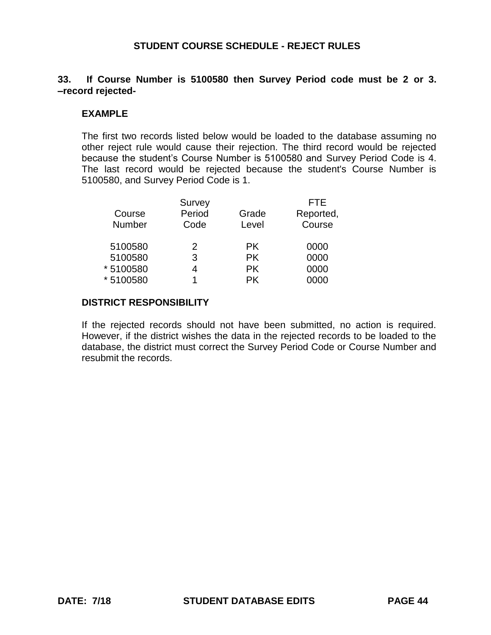#### **33. If Course Number is 5100580 then Survey Period code must be 2 or 3. –record rejected-**

#### **EXAMPLE**

The first two records listed below would be loaded to the database assuming no other reject rule would cause their rejection. The third record would be rejected because the student's Course Number is 5100580 and Survey Period Code is 4. The last record would be rejected because the student's Course Number is 5100580, and Survey Period Code is 1.

|           | Survey        |           | <b>FTE</b> |
|-----------|---------------|-----------|------------|
| Course    | Period        | Grade     | Reported,  |
| Number    | Code          | Level     | Course     |
| 5100580   | $\mathcal{P}$ | PK.       | 0000       |
| 5100580   | 3             | <b>PK</b> | 0000       |
| * 5100580 | 4             | <b>PK</b> | 0000       |
| * 5100580 | 1             | РK        | 0000       |

#### **DISTRICT RESPONSIBILITY**

If the rejected records should not have been submitted, no action is required. However, if the district wishes the data in the rejected records to be loaded to the database, the district must correct the Survey Period Code or Course Number and resubmit the records.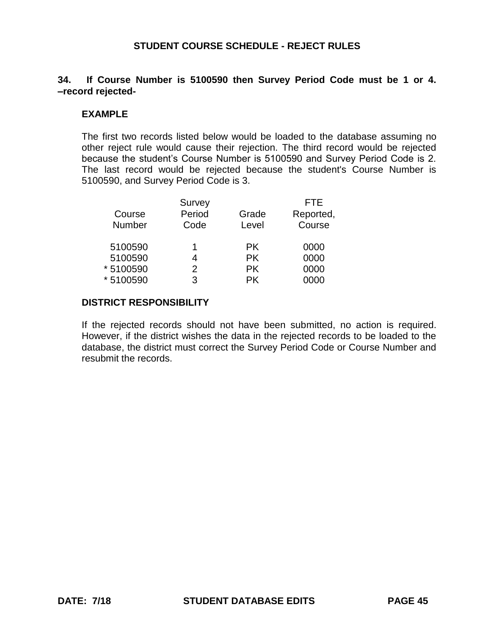#### **34. If Course Number is 5100590 then Survey Period Code must be 1 or 4. –record rejected-**

#### **EXAMPLE**

The first two records listed below would be loaded to the database assuming no other reject rule would cause their rejection. The third record would be rejected because the student's Course Number is 5100590 and Survey Period Code is 2. The last record would be rejected because the student's Course Number is 5100590, and Survey Period Code is 3.

|           | Survey |           | <b>FTE</b> |
|-----------|--------|-----------|------------|
| Course    | Period | Grade     | Reported,  |
| Number    | Code   | Level     | Course     |
| 5100590   | 1      | <b>PK</b> | 0000       |
| 5100590   | 4      | <b>PK</b> | 0000       |
| * 5100590 | 2      | <b>PK</b> | 0000       |
| * 5100590 | 3      | РK        | )000       |

#### **DISTRICT RESPONSIBILITY**

If the rejected records should not have been submitted, no action is required. However, if the district wishes the data in the rejected records to be loaded to the database, the district must correct the Survey Period Code or Course Number and resubmit the records.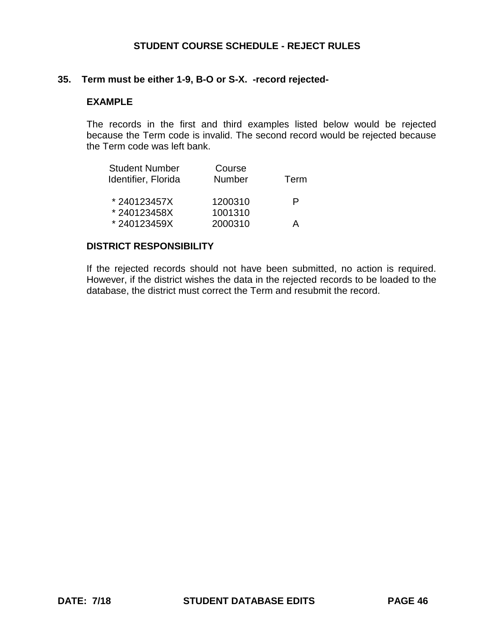#### **35. Term must be either 1-9, B-O or S-X. -record rejected-**

#### **EXAMPLE**

The records in the first and third examples listed below would be rejected because the Term code is invalid. The second record would be rejected because the Term code was left bank.

| <b>Student Number</b><br>Identifier, Florida | Course<br><b>Number</b> | Term |
|----------------------------------------------|-------------------------|------|
| *240123457X                                  | 1200310                 | P    |
| *240123458X                                  | 1001310                 |      |
| *240123459X                                  | 2000310                 | А    |

#### **DISTRICT RESPONSIBILITY**

If the rejected records should not have been submitted, no action is required. However, if the district wishes the data in the rejected records to be loaded to the database, the district must correct the Term and resubmit the record.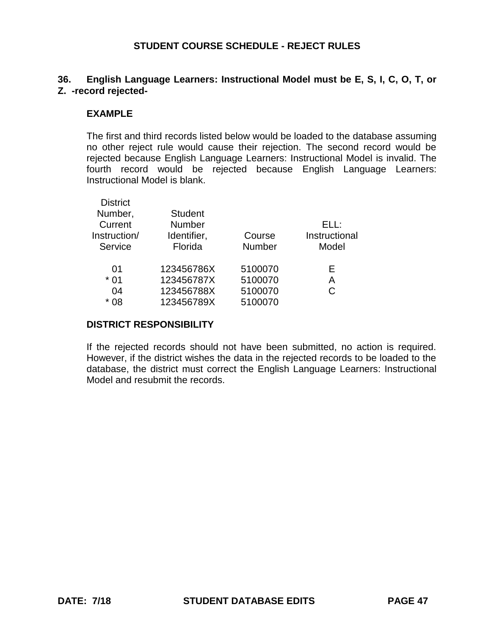# **36. English Language Learners: Instructional Model must be E, S, I, C, O, T, or Z. -record rejected-**

#### **EXAMPLE**

The first and third records listed below would be loaded to the database assuming no other reject rule would cause their rejection. The second record would be rejected because English Language Learners: Instructional Model is invalid. The fourth record would be rejected because English Language Learners: Instructional Model is blank.

| <b>District</b> |                |               |               |
|-----------------|----------------|---------------|---------------|
| Number,         | <b>Student</b> |               |               |
| Current         | <b>Number</b>  |               | ELL:          |
| Instruction/    | Identifier,    | Course        | Instructional |
| Service         | Florida        | <b>Number</b> | Model         |
|                 |                |               |               |
| 01              | 123456786X     | 5100070       | Е             |
| $*01$           | 123456787X     | 5100070       | А             |
| 04              | 123456788X     | 5100070       | C             |
| $*08$           | 123456789X     | 5100070       |               |
|                 |                |               |               |

#### **DISTRICT RESPONSIBILITY**

If the rejected records should not have been submitted, no action is required. However, if the district wishes the data in the rejected records to be loaded to the database, the district must correct the English Language Learners: Instructional Model and resubmit the records.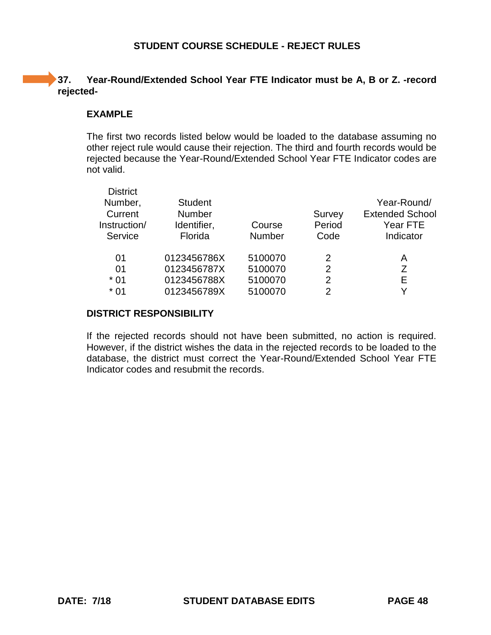# **37. Year-Round/Extended School Year FTE Indicator must be A, B or Z. -record rejected-**

#### **EXAMPLE**

The first two records listed below would be loaded to the database assuming no other reject rule would cause their rejection. The third and fourth records would be rejected because the Year-Round/Extended School Year FTE Indicator codes are not valid.

| <b>District</b><br>Number,<br>Current<br>Instruction/<br>Service | <b>Student</b><br><b>Number</b><br>Identifier,<br>Florida | Course<br><b>Number</b> | Survey<br>Period<br>Code | Year-Round/<br><b>Extended School</b><br>Year FTE<br>Indicator |
|------------------------------------------------------------------|-----------------------------------------------------------|-------------------------|--------------------------|----------------------------------------------------------------|
| 01                                                               | 0123456786X                                               | 5100070                 | 2                        | А                                                              |
| 01                                                               | 0123456787X                                               | 5100070                 | 2                        | Ζ                                                              |
| $*01$                                                            | 0123456788X                                               | 5100070                 | $\overline{2}$           | E                                                              |
| $*01$                                                            | 0123456789X                                               | 5100070                 | 2                        |                                                                |

#### **DISTRICT RESPONSIBILITY**

If the rejected records should not have been submitted, no action is required. However, if the district wishes the data in the rejected records to be loaded to the database, the district must correct the Year-Round/Extended School Year FTE Indicator codes and resubmit the records.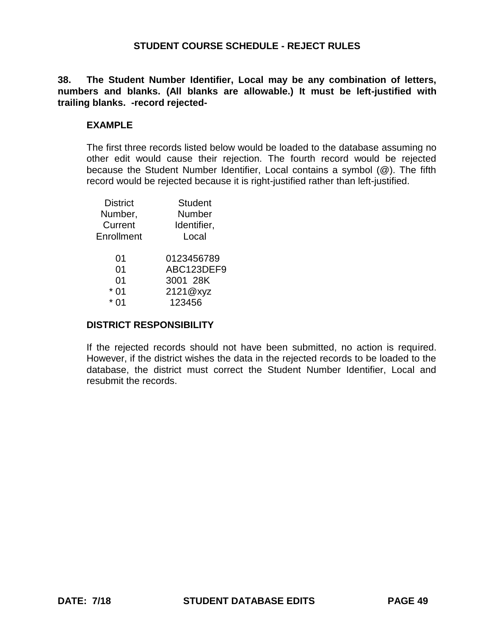**38. The Student Number Identifier, Local may be any combination of letters, numbers and blanks. (All blanks are allowable.) It must be left-justified with trailing blanks. -record rejected-**

#### **EXAMPLE**

The first three records listed below would be loaded to the database assuming no other edit would cause their rejection. The fourth record would be rejected because the Student Number Identifier, Local contains a symbol (@). The fifth record would be rejected because it is right-justified rather than left-justified.

| <b>District</b> | <b>Student</b> |
|-----------------|----------------|
| Number,         | Number         |
| Current         | Identifier,    |
| Enrollment      | Local          |
| 01              | 0123456789     |
| 0 <sub>1</sub>  | ABC123DEF9     |
| 01              | 3001 28K       |
| 0 <sub>1</sub>  | 2121@xyz       |
|                 | 123456         |
|                 |                |

#### **DISTRICT RESPONSIBILITY**

If the rejected records should not have been submitted, no action is required. However, if the district wishes the data in the rejected records to be loaded to the database, the district must correct the Student Number Identifier, Local and resubmit the records.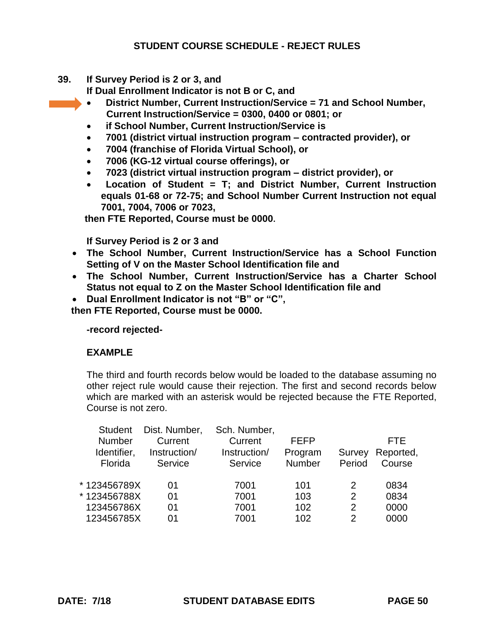**39. If Survey Period is 2 or 3, and**

**If Dual Enrollment Indicator is not B or C, and**

- **District Number, Current Instruction/Service = 71 and School Number, Current Instruction/Service = 0300, 0400 or 0801; or**
- **if School Number, Current Instruction/Service is**
- **7001 (district virtual instruction program contracted provider), or**
- **7004 (franchise of Florida Virtual School), or**
- **7006 (KG-12 virtual course offerings), or**
- **7023 (district virtual instruction program district provider), or**
- **Location of Student = T; and District Number, Current Instruction equals 01-68 or 72-75; and School Number Current Instruction not equal 7001, 7004, 7006 or 7023,**

 **then FTE Reported, Course must be 0000.** 

**If Survey Period is 2 or 3 and** 

- **The School Number, Current Instruction/Service has a School Function Setting of V on the Master School Identification file and**
- **The School Number, Current Instruction/Service has a Charter School Status not equal to Z on the Master School Identification file and**
- **Dual Enrollment Indicator is not "B" or "C",**

 **then FTE Reported, Course must be 0000.** 

**-record rejected-**

### **EXAMPLE**

The third and fourth records below would be loaded to the database assuming no other reject rule would cause their rejection. The first and second records below which are marked with an asterisk would be rejected because the FTE Reported, Course is not zero.

| <b>Student</b> | Dist. Number, | Sch. Number, |             |        |            |
|----------------|---------------|--------------|-------------|--------|------------|
| <b>Number</b>  | Current       | Current      | <b>FEFP</b> |        | <b>FTE</b> |
| Identifier,    | Instruction/  | Instruction/ | Program     | Survey | Reported,  |
| Florida        | Service       | Service      | Number      | Period | Course     |
|                |               |              |             |        |            |
| * 123456789X   | 01            | 7001         | 101         | 2      | 0834       |
| * 123456788X   | 01            | 7001         | 103         | 2      | 0834       |
| 123456786X     | 01            | 7001         | 102         | 2      | 0000       |
| 123456785X     | 01            | 7001         | 102         | 2      | 0000       |
|                |               |              |             |        |            |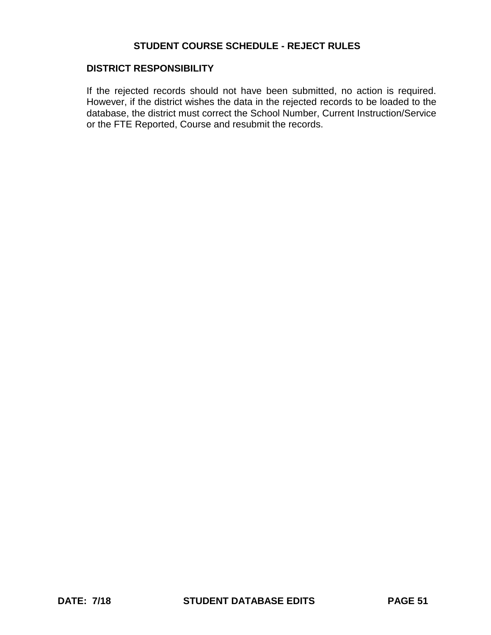#### **DISTRICT RESPONSIBILITY**

If the rejected records should not have been submitted, no action is required. However, if the district wishes the data in the rejected records to be loaded to the database, the district must correct the School Number, Current Instruction/Service or the FTE Reported, Course and resubmit the records.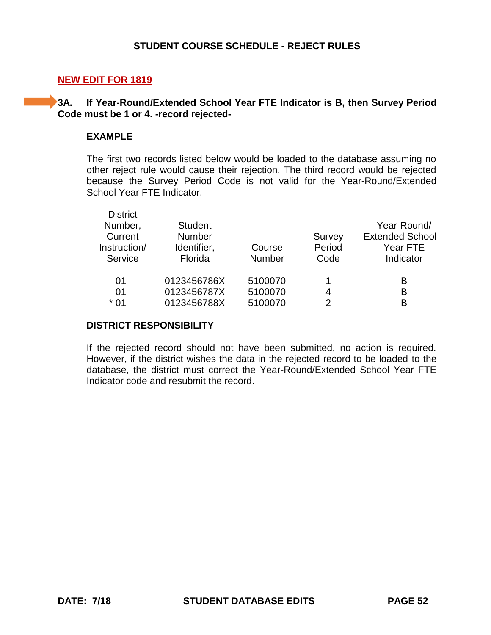#### **NEW EDIT FOR 1819**

#### **3A. If Year-Round/Extended School Year FTE Indicator is B, then Survey Period Code must be 1 or 4. -record rejected-**

#### **EXAMPLE**

The first two records listed below would be loaded to the database assuming no other reject rule would cause their rejection. The third record would be rejected because the Survey Period Code is not valid for the Year-Round/Extended School Year FTE Indicator.

| <b>District</b> |                |               |        |                        |
|-----------------|----------------|---------------|--------|------------------------|
| Number,         | <b>Student</b> |               |        | Year-Round/            |
| Current         | Number         |               | Survey | <b>Extended School</b> |
| Instruction/    | Identifier,    | Course        | Period | Year FTE               |
| Service         | Florida        | <b>Number</b> | Code   | Indicator              |
| 01              | 0123456786X    | 5100070       | 1      | в                      |
| 01              | 0123456787X    | 5100070       | 4      | в                      |
| * 01            | 0123456788X    | 5100070       | 2      | R                      |
|                 |                |               |        |                        |

#### **DISTRICT RESPONSIBILITY**

If the rejected record should not have been submitted, no action is required. However, if the district wishes the data in the rejected record to be loaded to the database, the district must correct the Year-Round/Extended School Year FTE Indicator code and resubmit the record.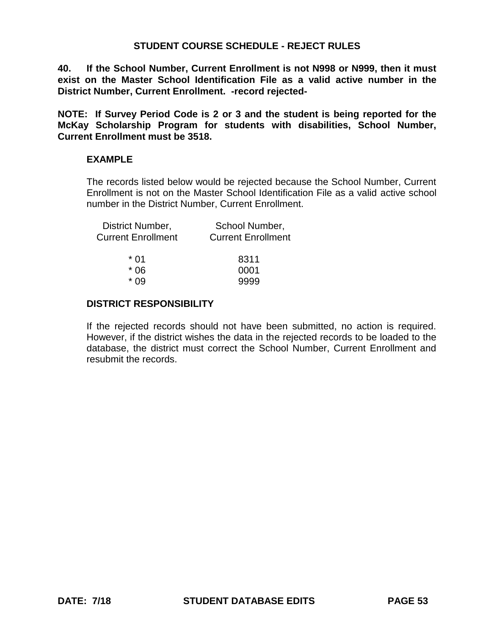**40. If the School Number, Current Enrollment is not N998 or N999, then it must exist on the Master School Identification File as a valid active number in the District Number, Current Enrollment. -record rejected-**

**NOTE: If Survey Period Code is 2 or 3 and the student is being reported for the McKay Scholarship Program for students with disabilities, School Number, Current Enrollment must be 3518.**

#### **EXAMPLE**

The records listed below would be rejected because the School Number, Current Enrollment is not on the Master School Identification File as a valid active school number in the District Number, Current Enrollment.

| District Number,<br><b>Current Enrollment</b> | School Number,<br><b>Current Enrollment</b> |
|-----------------------------------------------|---------------------------------------------|
| * በ1                                          | 8311                                        |
| * 06                                          | 0001                                        |
| $*$ 09                                        | 9999                                        |
|                                               |                                             |

#### **DISTRICT RESPONSIBILITY**

If the rejected records should not have been submitted, no action is required. However, if the district wishes the data in the rejected records to be loaded to the database, the district must correct the School Number, Current Enrollment and resubmit the records.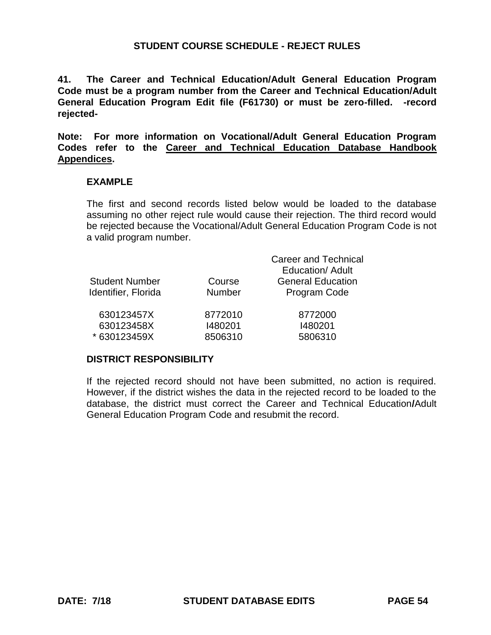**41. The Career and Technical Education/Adult General Education Program Code must be a program number from the Career and Technical Education/Adult General Education Program Edit file (F61730) or must be zero-filled. -record rejected-**

**Note: For more information on Vocational/Adult General Education Program Codes refer to the Career and Technical Education Database Handbook Appendices.**

#### **EXAMPLE**

The first and second records listed below would be loaded to the database assuming no other reject rule would cause their rejection. The third record would be rejected because the Vocational/Adult General Education Program Code is not a valid program number.

|                       |               | <b>Career and Technical</b> |
|-----------------------|---------------|-----------------------------|
|                       |               | <b>Education/ Adult</b>     |
| <b>Student Number</b> | Course        | <b>General Education</b>    |
| Identifier, Florida   | <b>Number</b> | Program Code                |
| 630123457X            | 8772010       | 8772000                     |
| 630123458X            | 1480201       | 1480201                     |
| * 630123459X          | 8506310       | 5806310                     |

#### **DISTRICT RESPONSIBILITY**

If the rejected record should not have been submitted, no action is required. However, if the district wishes the data in the rejected record to be loaded to the database, the district must correct the Career and Technical Education**/**Adult General Education Program Code and resubmit the record.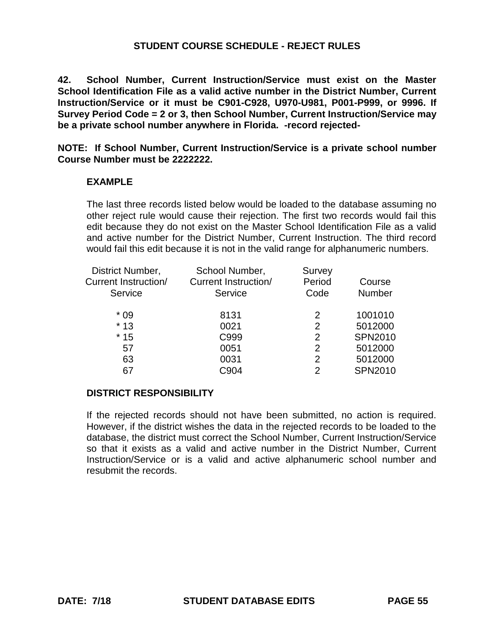**42. School Number, Current Instruction/Service must exist on the Master School Identification File as a valid active number in the District Number, Current Instruction/Service or it must be C901-C928, U970-U981, P001-P999, or 9996. If Survey Period Code = 2 or 3, then School Number, Current Instruction/Service may be a private school number anywhere in Florida. -record rejected-**

**NOTE: If School Number, Current Instruction/Service is a private school number Course Number must be 2222222.**

#### **EXAMPLE**

The last three records listed below would be loaded to the database assuming no other reject rule would cause their rejection. The first two records would fail this edit because they do not exist on the Master School Identification File as a valid and active number for the District Number, Current Instruction. The third record would fail this edit because it is not in the valid range for alphanumeric numbers.

| District Number,     | School Number,              | Survey         |                |
|----------------------|-----------------------------|----------------|----------------|
| Current Instruction/ | <b>Current Instruction/</b> | Period         | Course         |
| Service              | Service                     | Code           | Number         |
| $*09$                | 8131                        | 2              | 1001010        |
| $*13$                | 0021                        | 2              | 5012000        |
| $*15$                | C999                        | 2              | <b>SPN2010</b> |
| 57                   | 0051                        | 2              | 5012000        |
| 63                   | 0031                        | $\overline{2}$ | 5012000        |
| 67                   | C904                        | 2              | <b>SPN2010</b> |
|                      |                             |                |                |

#### **DISTRICT RESPONSIBILITY**

If the rejected records should not have been submitted, no action is required. However, if the district wishes the data in the rejected records to be loaded to the database, the district must correct the School Number, Current Instruction/Service so that it exists as a valid and active number in the District Number, Current Instruction/Service or is a valid and active alphanumeric school number and resubmit the records.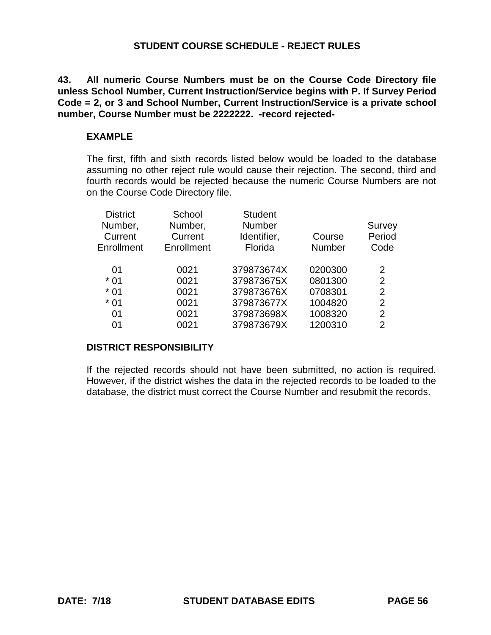**43. All numeric Course Numbers must be on the Course Code Directory file unless School Number, Current Instruction/Service begins with P. If Survey Period Code = 2, or 3 and School Number, Current Instruction/Service is a private school number, Course Number must be 2222222. -record rejected-**

#### **EXAMPLE**

The first, fifth and sixth records listed below would be loaded to the database assuming no other reject rule would cause their rejection. The second, third and fourth records would be rejected because the numeric Course Numbers are not on the Course Code Directory file.

| <b>District</b> | School     | <b>Student</b> |               |                |
|-----------------|------------|----------------|---------------|----------------|
| Number,         | Number,    | <b>Number</b>  |               | Survey         |
| Current         | Current    | Identifier,    | Course        | Period         |
| Enrollment      | Enrollment | Florida        | <b>Number</b> | Code           |
| 01              | 0021       | 379873674X     | 0200300       | 2              |
| $*01$           | 0021       | 379873675X     | 0801300       | 2              |
| $*01$           | 0021       | 379873676X     | 0708301       | $\overline{2}$ |
| $*01$           | 0021       | 379873677X     | 1004820       | $\overline{2}$ |
| 01              | 0021       | 379873698X     | 1008320       | 2              |
| 01              | 0021       | 379873679X     | 1200310       | 2              |
|                 |            |                |               |                |

### **DISTRICT RESPONSIBILITY**

If the rejected records should not have been submitted, no action is required. However, if the district wishes the data in the rejected records to be loaded to the database, the district must correct the Course Number and resubmit the records.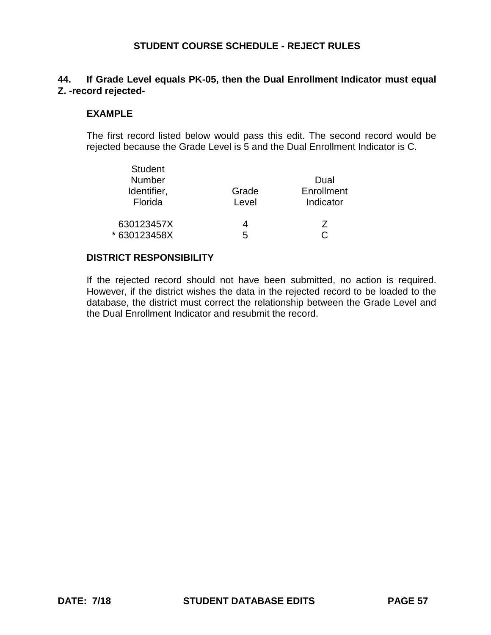## **44. If Grade Level equals PK-05, then the Dual Enrollment Indicator must equal Z. -record rejected-**

#### **EXAMPLE**

The first record listed below would pass this edit. The second record would be rejected because the Grade Level is 5 and the Dual Enrollment Indicator is C.

| <b>Student</b><br><b>Number</b><br>Identifier,<br>Florida | Grade<br>Level | Dual<br>Enrollment<br>Indicator |
|-----------------------------------------------------------|----------------|---------------------------------|
| 630123457X                                                | 4              | 7                               |
| * 630123458X                                              | 5              |                                 |

#### **DISTRICT RESPONSIBILITY**

If the rejected record should not have been submitted, no action is required. However, if the district wishes the data in the rejected record to be loaded to the database, the district must correct the relationship between the Grade Level and the Dual Enrollment Indicator and resubmit the record.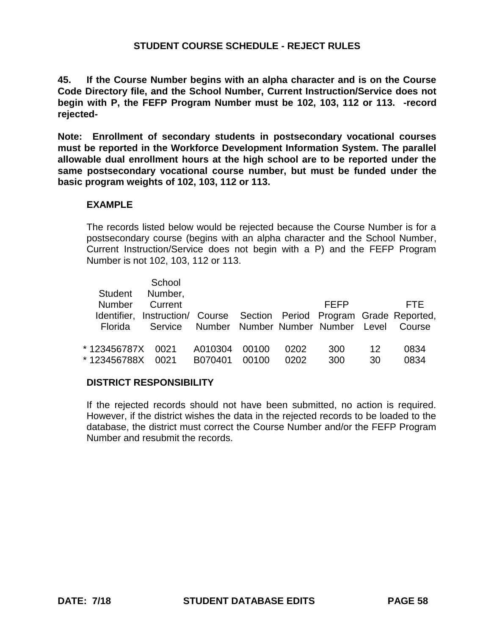**45. If the Course Number begins with an alpha character and is on the Course Code Directory file, and the School Number, Current Instruction/Service does not begin with P, the FEFP Program Number must be 102, 103, 112 or 113. -record rejected-**

**Note: Enrollment of secondary students in postsecondary vocational courses must be reported in the Workforce Development Information System. The parallel allowable dual enrollment hours at the high school are to be reported under the same postsecondary vocational course number, but must be funded under the basic program weights of 102, 103, 112 or 113.**

### **EXAMPLE**

The records listed below would be rejected because the Course Number is for a postsecondary course (begins with an alpha character and the School Number, Current Instruction/Service does not begin with a P) and the FEFP Program Number is not 102, 103, 112 or 113.

|                | School<br>Student Number,                                              |                                           |       |      |      |    |        |
|----------------|------------------------------------------------------------------------|-------------------------------------------|-------|------|------|----|--------|
| Number         | Current                                                                |                                           |       |      | FFFP |    | FTF.   |
|                | Identifier, Instruction/ Course Section Period Program Grade Reported, |                                           |       |      |      |    |        |
| <b>Florida</b> |                                                                        | Service Number Number Number Number Level |       |      |      |    | Course |
|                |                                                                        |                                           |       |      |      |    |        |
| * 123456787X   | 0021                                                                   | A010304                                   | 00100 | 0202 | 300  | 12 | 0834   |
| *123456788X    | 0021                                                                   | B070401                                   | 00100 | 0202 | 300  | 30 | 0834   |

### **DISTRICT RESPONSIBILITY**

If the rejected records should not have been submitted, no action is required. However, if the district wishes the data in the rejected records to be loaded to the database, the district must correct the Course Number and/or the FEFP Program Number and resubmit the records.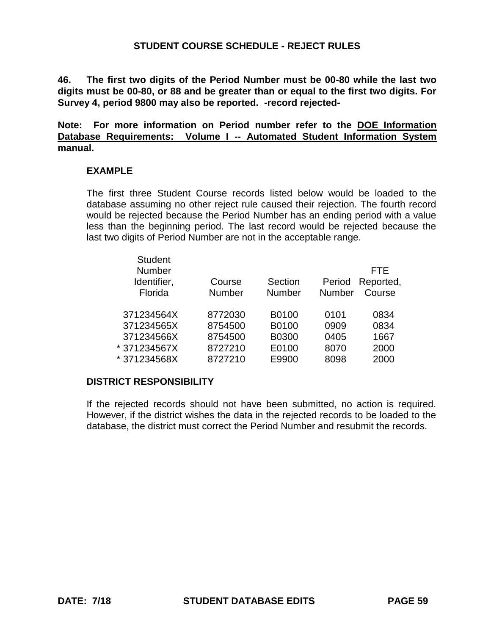**46. The first two digits of the Period Number must be 00-80 while the last two digits must be 00-80, or 88 and be greater than or equal to the first two digits. For Survey 4, period 9800 may also be reported. -record rejected-**

**Note: For more information on Period number refer to the DOE Information Database Requirements: Volume I -- Automated Student Information System manual.**

#### **EXAMPLE**

The first three Student Course records listed below would be loaded to the database assuming no other reject rule caused their rejection. The fourth record would be rejected because the Period Number has an ending period with a value less than the beginning period. The last record would be rejected because the last two digits of Period Number are not in the acceptable range.

| <b>Student</b><br><b>Number</b><br>Identifier,<br>Florida | Course<br><b>Number</b> | Section<br><b>Number</b> | Period<br><b>Number</b> | FTE.<br>Reported,<br>Course |
|-----------------------------------------------------------|-------------------------|--------------------------|-------------------------|-----------------------------|
| 371234564X                                                | 8772030                 | B0100                    | 0101                    | 0834                        |
| 371234565X                                                | 8754500                 | B0100                    | 0909                    | 0834                        |
| 371234566X                                                | 8754500                 | B0300                    | 0405                    | 1667                        |
| *371234567X                                               | 8727210                 | E0100                    | 8070                    | 2000                        |
| *371234568X                                               | 8727210                 | E9900                    | 8098                    | 2000                        |
|                                                           |                         |                          |                         |                             |

#### **DISTRICT RESPONSIBILITY**

If the rejected records should not have been submitted, no action is required. However, if the district wishes the data in the rejected records to be loaded to the database, the district must correct the Period Number and resubmit the records.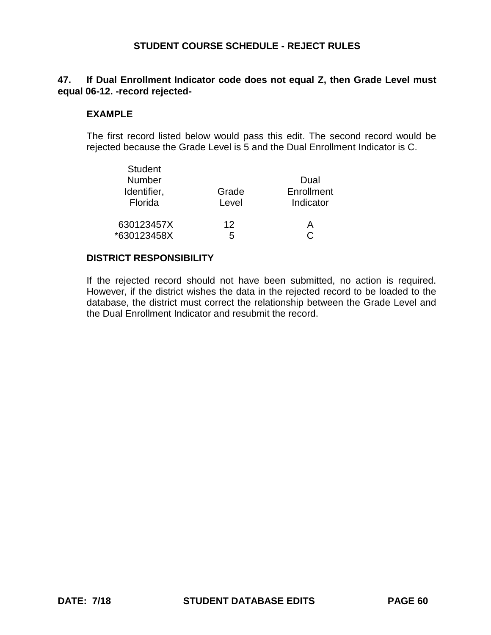### **47. If Dual Enrollment Indicator code does not equal Z, then Grade Level must equal 06-12. -record rejected-**

#### **EXAMPLE**

The first record listed below would pass this edit. The second record would be rejected because the Grade Level is 5 and the Dual Enrollment Indicator is C.

| <b>Student</b><br><b>Number</b><br>Identifier,<br>Florida | Grade<br>Level | Dual<br>Enrollment<br>Indicator |
|-----------------------------------------------------------|----------------|---------------------------------|
| 630123457X                                                | 12             | А                               |
| *630123458X                                               | 5              |                                 |

#### **DISTRICT RESPONSIBILITY**

If the rejected record should not have been submitted, no action is required. However, if the district wishes the data in the rejected record to be loaded to the database, the district must correct the relationship between the Grade Level and the Dual Enrollment Indicator and resubmit the record.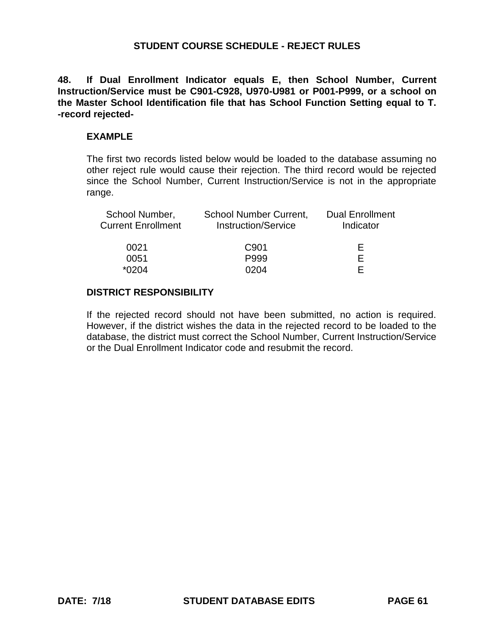**48. If Dual Enrollment Indicator equals E, then School Number, Current Instruction/Service must be C901-C928, U970-U981 or P001-P999, or a school on the Master School Identification file that has School Function Setting equal to T. -record rejected-**

#### **EXAMPLE**

The first two records listed below would be loaded to the database assuming no other reject rule would cause their rejection. The third record would be rejected since the School Number, Current Instruction/Service is not in the appropriate range.

| School Number,<br><b>Current Enrollment</b> | <b>School Number Current,</b><br><b>Instruction/Service</b> | <b>Dual Enrollment</b><br>Indicator |
|---------------------------------------------|-------------------------------------------------------------|-------------------------------------|
| 0021                                        | C <sub>901</sub>                                            | ⊢                                   |
| 0051                                        | P999                                                        | E                                   |
| $*0204$                                     | በ204                                                        |                                     |

### **DISTRICT RESPONSIBILITY**

If the rejected record should not have been submitted, no action is required. However, if the district wishes the data in the rejected record to be loaded to the database, the district must correct the School Number, Current Instruction/Service or the Dual Enrollment Indicator code and resubmit the record.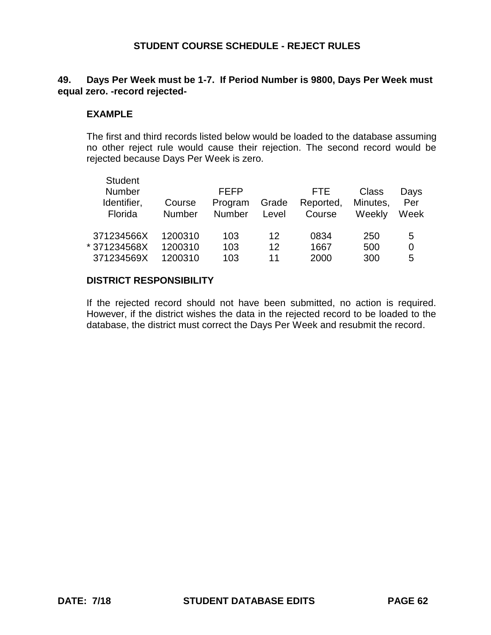### **49. Days Per Week must be 1-7. If Period Number is 9800, Days Per Week must equal zero. -record rejected-**

#### **EXAMPLE**

The first and third records listed below would be loaded to the database assuming no other reject rule would cause their rejection. The second record would be rejected because Days Per Week is zero.

| Per<br>Week |
|-------------|
| 5           |
| 0           |
| 5           |
| Minutes,    |

#### **DISTRICT RESPONSIBILITY**

If the rejected record should not have been submitted, no action is required. However, if the district wishes the data in the rejected record to be loaded to the database, the district must correct the Days Per Week and resubmit the record.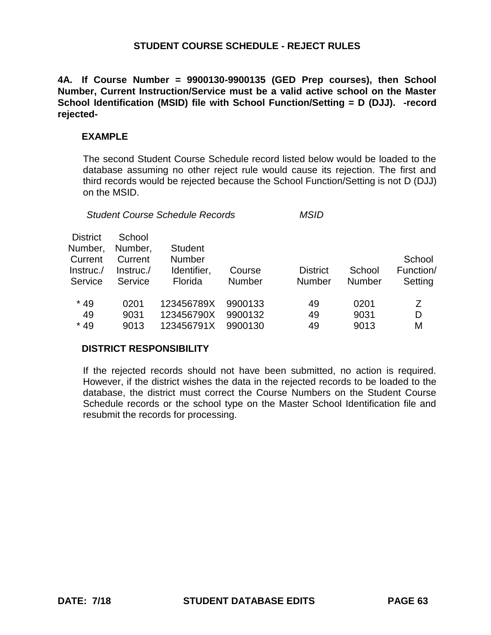**4A. If Course Number = 9900130-9900135 (GED Prep courses), then School Number, Current Instruction/Service must be a valid active school on the Master School Identification (MSID) file with School Function/Setting = D (DJJ). -record rejected-**

#### **EXAMPLE**

The second Student Course Schedule record listed below would be loaded to the database assuming no other reject rule would cause its rejection. The first and third records would be rejected because the School Function/Setting is not D (DJJ) on the MSID.

*Student Course Schedule Records MSID*

| <b>District</b><br>Number,<br>Current<br>Instruc./<br>Service | School<br>Number,<br>Current<br>Instruc.<br>Service | <b>Student</b><br>Number<br>Identifier,<br>Florida | Course<br><b>Number</b> | <b>District</b><br><b>Number</b> | School<br><b>Number</b> | School<br>Function/<br>Setting |
|---------------------------------------------------------------|-----------------------------------------------------|----------------------------------------------------|-------------------------|----------------------------------|-------------------------|--------------------------------|
| $*49$                                                         | 0201                                                | 123456789X                                         | 9900133                 | 49                               | 0201                    | 7                              |
| 49                                                            | 9031                                                | 123456790X                                         | 9900132                 | 49                               | 9031                    | D                              |
| $*49$                                                         | 9013                                                | 123456791X                                         | 9900130                 | 49                               | 9013                    | М                              |

### **DISTRICT RESPONSIBILITY**

If the rejected records should not have been submitted, no action is required. However, if the district wishes the data in the rejected records to be loaded to the database, the district must correct the Course Numbers on the Student Course Schedule records or the school type on the Master School Identification file and resubmit the records for processing.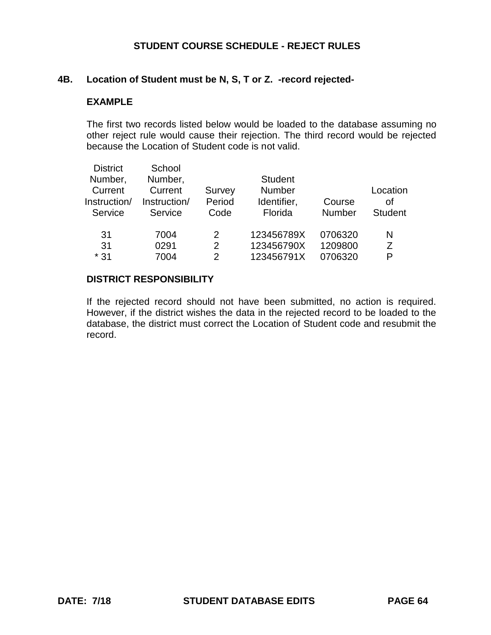#### **4B. Location of Student must be N, S, T or Z. -record rejected-**

#### **EXAMPLE**

The first two records listed below would be loaded to the database assuming no other reject rule would cause their rejection. The third record would be rejected because the Location of Student code is not valid.

| <b>District</b> | School       |        |                |               |                |
|-----------------|--------------|--------|----------------|---------------|----------------|
| Number,         | Number,      |        | <b>Student</b> |               |                |
| Current         | Current      | Survey | <b>Number</b>  |               | Location       |
| Instruction/    | Instruction/ | Period | Identifier,    | Course        | Ωf             |
| Service         | Service      | Code   | Florida        | <b>Number</b> | <b>Student</b> |
|                 |              |        |                |               |                |
| 31              | 7004         | 2      | 123456789X     | 0706320       | N              |
| 31              | 0291         | 2      | 123456790X     | 1209800       | 7              |
| $*31$           | 7004         | 2      | 123456791X     | 0706320       | P              |
|                 |              |        |                |               |                |

#### **DISTRICT RESPONSIBILITY**

If the rejected record should not have been submitted, no action is required. However, if the district wishes the data in the rejected record to be loaded to the database, the district must correct the Location of Student code and resubmit the record.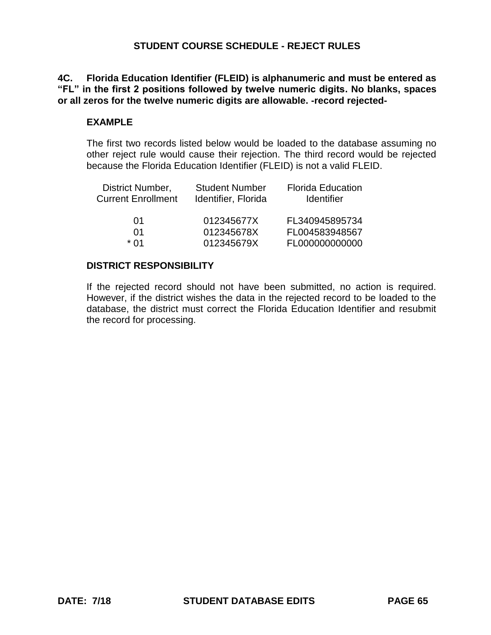**4C. Florida Education Identifier (FLEID) is alphanumeric and must be entered as "FL" in the first 2 positions followed by twelve numeric digits. No blanks, spaces or all zeros for the twelve numeric digits are allowable. -record rejected-**

#### **EXAMPLE**

The first two records listed below would be loaded to the database assuming no other reject rule would cause their rejection. The third record would be rejected because the Florida Education Identifier (FLEID) is not a valid FLEID.

| District Number,<br><b>Current Enrollment</b> | <b>Student Number</b><br>Identifier, Florida | <b>Florida Education</b><br><b>Identifier</b> |
|-----------------------------------------------|----------------------------------------------|-----------------------------------------------|
| 01                                            | 012345677X                                   | FL340945895734                                |
| O1                                            | 012345678X                                   | FL004583948567                                |
| * በ1                                          | 012345679X                                   | FL000000000000                                |

#### **DISTRICT RESPONSIBILITY**

If the rejected record should not have been submitted, no action is required. However, if the district wishes the data in the rejected record to be loaded to the database, the district must correct the Florida Education Identifier and resubmit the record for processing.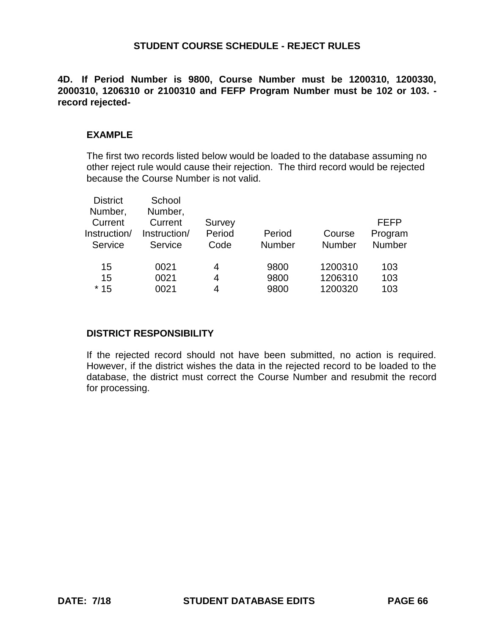**4D. If Period Number is 9800, Course Number must be 1200310, 1200330, 2000310, 1206310 or 2100310 and FEFP Program Number must be 102 or 103. record rejected-**

#### **EXAMPLE**

The first two records listed below would be loaded to the database assuming no other reject rule would cause their rejection. The third record would be rejected because the Course Number is not valid.

| <b>District</b> | School       |        |               |         |               |
|-----------------|--------------|--------|---------------|---------|---------------|
| Number,         | Number,      |        |               |         |               |
| Current         | Current      | Survey |               |         | <b>FEFP</b>   |
| Instruction/    | Instruction/ | Period | Period        | Course  | Program       |
| Service         | Service      | Code   | <b>Number</b> | Number  | <b>Number</b> |
|                 |              |        |               |         |               |
| 15              | 0021         | 4      | 9800          | 1200310 | 103           |
| 15              | 0021         | 4      | 9800          | 1206310 | 103           |
| $*15$           | 0021         | 4      | 9800          | 1200320 | 103           |

#### **DISTRICT RESPONSIBILITY**

If the rejected record should not have been submitted, no action is required. However, if the district wishes the data in the rejected record to be loaded to the database, the district must correct the Course Number and resubmit the record for processing.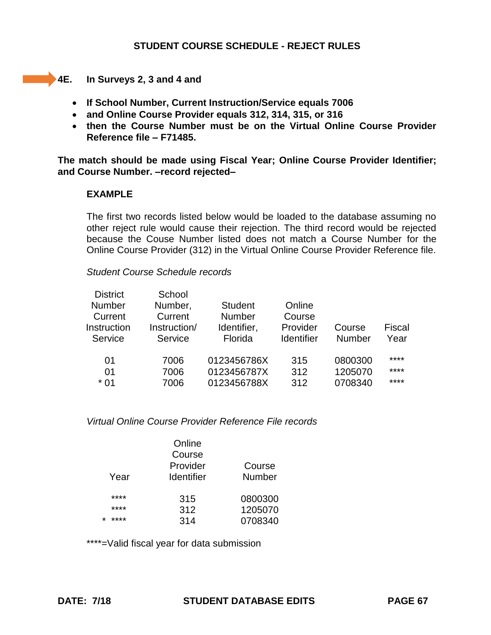**4E.** In Surveys 2, 3 and 4 and

- **If School Number, Current Instruction/Service equals 7006**
- **and Online Course Provider equals 312, 314, 315, or 316**
- **then the Course Number must be on the Virtual Online Course Provider Reference file – F71485.**

**The match should be made using Fiscal Year; Online Course Provider Identifier; and Course Number. –record rejected–**

#### **EXAMPLE**

The first two records listed below would be loaded to the database assuming no other reject rule would cause their rejection. The third record would be rejected because the Couse Number listed does not match a Course Number for the Online Course Provider (312) in the Virtual Online Course Provider Reference file.

#### *Student Course Schedule records*

| <b>District</b> | School       |                |            |         |        |
|-----------------|--------------|----------------|------------|---------|--------|
| <b>Number</b>   | Number,      | <b>Student</b> | Online     |         |        |
| Current         | Current      | <b>Number</b>  | Course     |         |        |
| Instruction     | Instruction/ | Identifier,    | Provider   | Course  | Fiscal |
| Service         | Service      | Florida        | Identifier | Number  | Year   |
| 01              | 7006         | 0123456786X    | 315        | 0800300 | ****   |
| 01              | 7006         | 0123456787X    | 312        | 1205070 | ****   |
| $*01$           | 7006         | 0123456788X    | 312        | 0708340 | ****   |
|                 |              |                |            |         |        |

*Virtual Online Course Provider Reference File records*

| Year            | Online<br>Course<br>Provider<br><b>Identifier</b> | Course<br><b>Number</b> |  |
|-----------------|---------------------------------------------------|-------------------------|--|
| ****            | 315                                               | 0800300                 |  |
| ****            | 312                                               | 1205070                 |  |
| ****<br>$\star$ | 314                                               | 0708340                 |  |

\*\*\*\*=Valid fiscal year for data submission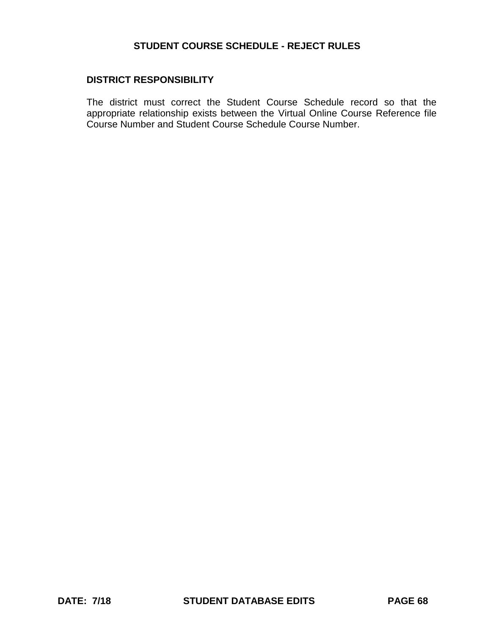#### **DISTRICT RESPONSIBILITY**

The district must correct the Student Course Schedule record so that the appropriate relationship exists between the Virtual Online Course Reference file Course Number and Student Course Schedule Course Number.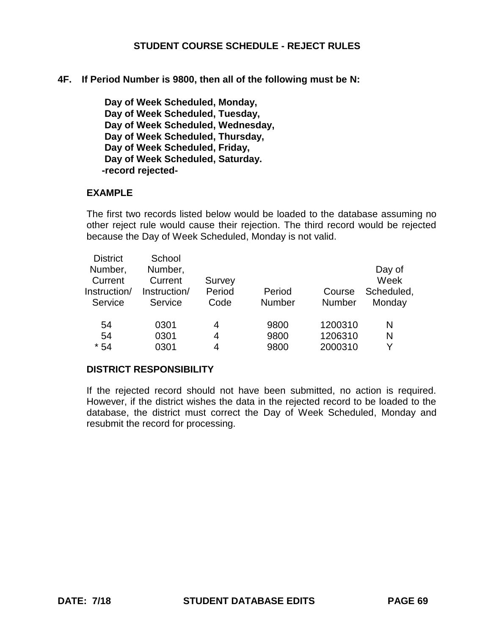#### **4F. If Period Number is 9800, then all of the following must be N:**

 **Day of Week Scheduled, Monday, Day of Week Scheduled, Tuesday, Day of Week Scheduled, Wednesday, Day of Week Scheduled, Thursday, Day of Week Scheduled, Friday, Day of Week Scheduled, Saturday. -record rejected-**

#### **EXAMPLE**

The first two records listed below would be loaded to the database assuming no other reject rule would cause their rejection. The third record would be rejected because the Day of Week Scheduled, Monday is not valid.

| <b>District</b> | School       |        |               |               |            |
|-----------------|--------------|--------|---------------|---------------|------------|
| Number,         | Number,      |        |               |               | Day of     |
| Current         | Current      | Survey |               |               | Week       |
| Instruction/    | Instruction/ | Period | Period        | Course        | Scheduled, |
| Service         | Service      | Code   | <b>Number</b> | <b>Number</b> | Monday     |
|                 |              |        |               |               |            |
| 54              | 0301         | 4      | 9800          | 1200310       | N          |
| 54              | 0301         | 4      | 9800          | 1206310       | N          |
| $*54$           | 0301         | 4      | 9800          | 2000310       | v          |

#### **DISTRICT RESPONSIBILITY**

If the rejected record should not have been submitted, no action is required. However, if the district wishes the data in the rejected record to be loaded to the database, the district must correct the Day of Week Scheduled, Monday and resubmit the record for processing.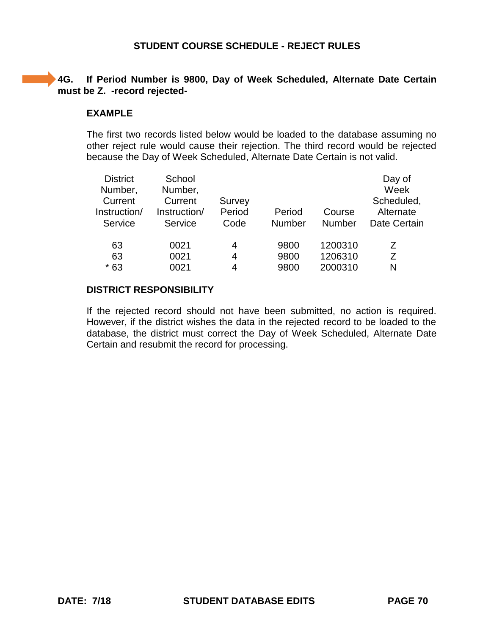### **4G. If Period Number is 9800, Day of Week Scheduled, Alternate Date Certain must be Z. -record rejected-**

#### **EXAMPLE**

The first two records listed below would be loaded to the database assuming no other reject rule would cause their rejection. The third record would be rejected because the Day of Week Scheduled, Alternate Date Certain is not valid.

| <b>District</b><br>Number,<br>Current<br>Instruction/<br>Service | School<br>Number,<br>Current<br>Instruction/<br>Service | Survey<br>Period<br>Code | Period<br>Number | Course<br><b>Number</b> | Day of<br>Week<br>Scheduled,<br>Alternate<br>Date Certain |
|------------------------------------------------------------------|---------------------------------------------------------|--------------------------|------------------|-------------------------|-----------------------------------------------------------|
| 63                                                               | 0021                                                    | 4                        | 9800             | 1200310                 | 7                                                         |
| 63                                                               | 0021                                                    | 4                        | 9800             | 1206310                 | 7                                                         |
| $*63$                                                            | 0021                                                    | 4                        | 9800             | 2000310                 | N                                                         |

#### **DISTRICT RESPONSIBILITY**

If the rejected record should not have been submitted, no action is required. However, if the district wishes the data in the rejected record to be loaded to the database, the district must correct the Day of Week Scheduled, Alternate Date Certain and resubmit the record for processing.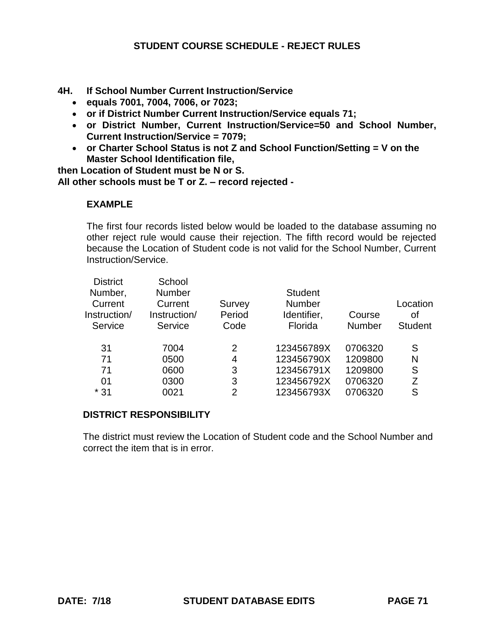- **4H. If School Number Current Instruction/Service** 
	- **equals 7001, 7004, 7006, or 7023;**
	- **or if District Number Current Instruction/Service equals 71;**
	- **or District Number, Current Instruction/Service=50 and School Number, Current Instruction/Service = 7079;**
	- **or Charter School Status is not Z and School Function/Setting = V on the Master School Identification file,**

**then Location of Student must be N or S. All other schools must be T or Z. – record rejected -**

# **EXAMPLE**

The first four records listed below would be loaded to the database assuming no other reject rule would cause their rejection. The fifth record would be rejected because the Location of Student code is not valid for the School Number, Current Instruction/Service.

| <b>District</b> | School        |        |                |               |                |
|-----------------|---------------|--------|----------------|---------------|----------------|
| Number,         | <b>Number</b> |        | <b>Student</b> |               |                |
| Current         | Current       | Survey | <b>Number</b>  |               | Location       |
| Instruction/    | Instruction/  | Period | Identifier,    | Course        | οf             |
| Service         | Service       | Code   | Florida        | <b>Number</b> | <b>Student</b> |
|                 |               |        |                |               |                |
| 31              | 7004          | 2      | 123456789X     | 0706320       | S              |
| 71              | 0500          | 4      | 123456790X     | 1209800       | N              |
| 71              | 0600          | 3      | 123456791X     | 1209800       | S              |
| 01              | 0300          | 3      | 123456792X     | 0706320       | 7              |
| $*31$           | 0021          | 2      | 123456793X     | 0706320       | S              |

### **DISTRICT RESPONSIBILITY**

The district must review the Location of Student code and the School Number and correct the item that is in error.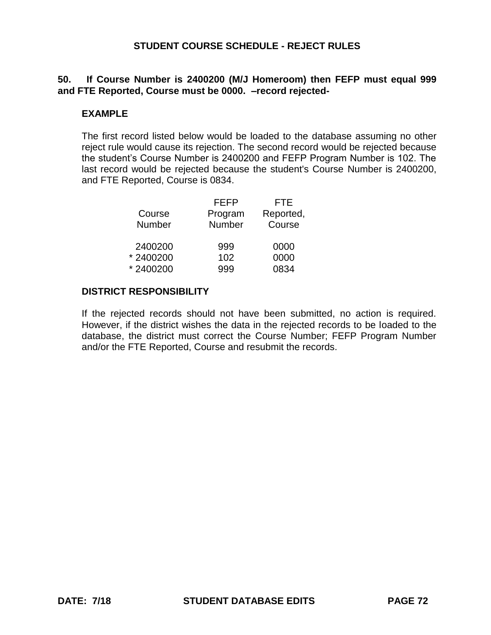### **50. If Course Number is 2400200 (M/J Homeroom) then FEFP must equal 999 and FTE Reported, Course must be 0000. –record rejected-**

#### **EXAMPLE**

The first record listed below would be loaded to the database assuming no other reject rule would cause its rejection. The second record would be rejected because the student's Course Number is 2400200 and FEFP Program Number is 102. The last record would be rejected because the student's Course Number is 2400200, and FTE Reported, Course is 0834.

|          | FEFP    | FTE       |
|----------|---------|-----------|
| Course   | Program | Reported, |
| Number   | Number  | Course    |
| 2400200  | 999     | 0000      |
| *2400200 | 102     | 0000      |
| *2400200 | 999     | 0834      |

### **DISTRICT RESPONSIBILITY**

If the rejected records should not have been submitted, no action is required. However, if the district wishes the data in the rejected records to be loaded to the database, the district must correct the Course Number; FEFP Program Number and/or the FTE Reported, Course and resubmit the records.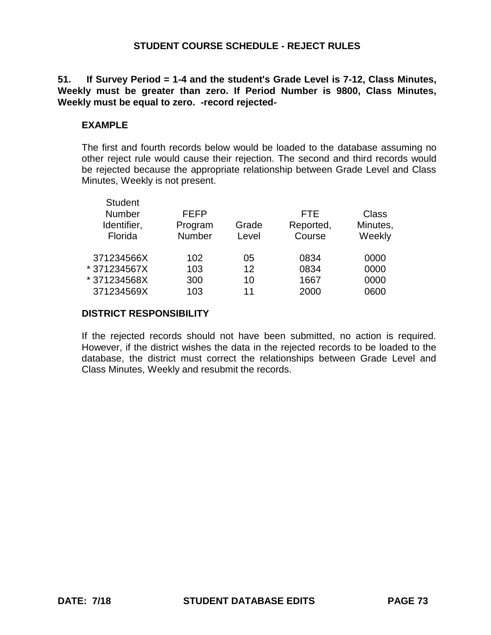# **51. If Survey Period = 1-4 and the student's Grade Level is 7-12, Class Minutes, Weekly must be greater than zero. If Period Number is 9800, Class Minutes, Weekly must be equal to zero. -record rejected-**

## **EXAMPLE**

The first and fourth records below would be loaded to the database assuming no other reject rule would cause their rejection. The second and third records would be rejected because the appropriate relationship between Grade Level and Class Minutes, Weekly is not present.

| <b>Student</b><br>Number<br>Identifier,<br>Florida | <b>FEFP</b><br>Program<br><b>Number</b> | Grade<br>Level    | <b>FTE</b><br>Reported,<br>Course | Class<br>Minutes,<br>Weekly |
|----------------------------------------------------|-----------------------------------------|-------------------|-----------------------------------|-----------------------------|
| 371234566X                                         | 102                                     | 05                | 0834                              | 0000                        |
| * 371234567X                                       | 103                                     | $12 \overline{ }$ | 0834                              | 0000                        |
| * 371234568X                                       | 300                                     | 10                | 1667                              | 0000                        |
| 371234569X                                         | 103                                     | 11                | 2000                              | 0600                        |
|                                                    |                                         |                   |                                   |                             |

## **DISTRICT RESPONSIBILITY**

If the rejected records should not have been submitted, no action is required. However, if the district wishes the data in the rejected records to be loaded to the database, the district must correct the relationships between Grade Level and Class Minutes, Weekly and resubmit the records.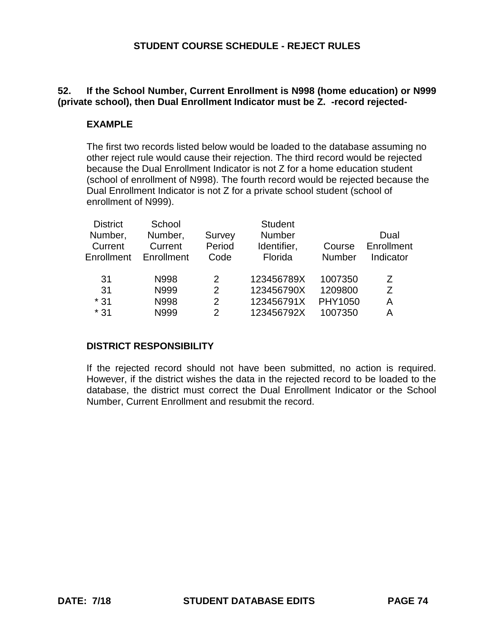# **52. If the School Number, Current Enrollment is N998 (home education) or N999 (private school), then Dual Enrollment Indicator must be Z. -record rejected-**

# **EXAMPLE**

The first two records listed below would be loaded to the database assuming no other reject rule would cause their rejection. The third record would be rejected because the Dual Enrollment Indicator is not Z for a home education student (school of enrollment of N998). The fourth record would be rejected because the Dual Enrollment Indicator is not Z for a private school student (school of enrollment of N999).

| School      |               | <b>Student</b> |               |                |
|-------------|---------------|----------------|---------------|----------------|
| Number,     | Survey        | <b>Number</b>  |               | Dual           |
| Current     | Period        | Identifier,    | Course        | Enrollment     |
| Enrollment  | Code          | Florida        | <b>Number</b> | Indicator      |
|             |               |                |               |                |
| N998        | $\mathcal{P}$ | 123456789X     | 1007350       | Z              |
| N999        | $\mathcal{P}$ | 123456790X     | 1209800       | $\overline{z}$ |
| <b>N998</b> | 2             | 123456791X     | PHY1050       | А              |
| N999        | $\mathcal{P}$ | 123456792X     | 1007350       | А              |
|             |               |                |               |                |

# **DISTRICT RESPONSIBILITY**

If the rejected record should not have been submitted, no action is required. However, if the district wishes the data in the rejected record to be loaded to the database, the district must correct the Dual Enrollment Indicator or the School Number, Current Enrollment and resubmit the record.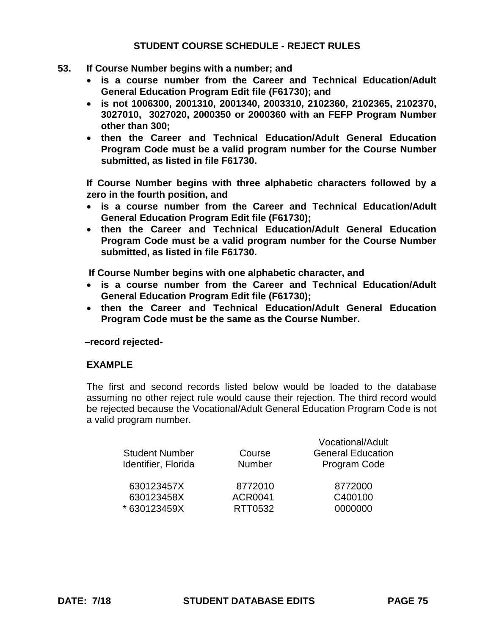- **53. If Course Number begins with a number; and**
	- **is a course number from the Career and Technical Education/Adult General Education Program Edit file (F61730); and**
	- **is not 1006300, 2001310, 2001340, 2003310, 2102360, 2102365, 2102370, 3027010, 3027020, 2000350 or 2000360 with an FEFP Program Number other than 300;**
	- **then the Career and Technical Education/Adult General Education Program Code must be a valid program number for the Course Number submitted, as listed in file F61730.**

**If Course Number begins with three alphabetic characters followed by a zero in the fourth position, and** 

- **is a course number from the Career and Technical Education/Adult General Education Program Edit file (F61730);**
- **then the Career and Technical Education/Adult General Education Program Code must be a valid program number for the Course Number submitted, as listed in file F61730.**

**If Course Number begins with one alphabetic character, and** 

- **is a course number from the Career and Technical Education/Adult General Education Program Edit file (F61730);**
- **then the Career and Technical Education/Adult General Education Program Code must be the same as the Course Number.**

 **–record rejected-**

#### **EXAMPLE**

The first and second records listed below would be loaded to the database assuming no other reject rule would cause their rejection. The third record would be rejected because the Vocational/Adult General Education Program Code is not a valid program number.

| <b>Student Number</b><br>Identifier, Florida | Course<br><b>Number</b> | Vocational/Adult<br><b>General Education</b><br>Program Code |
|----------------------------------------------|-------------------------|--------------------------------------------------------------|
| 630123457X                                   | 8772010                 | 8772000                                                      |
| 630123458X                                   | <b>ACR0041</b>          | C400100                                                      |
| * 630123459X                                 | RTT0532                 | 0000000                                                      |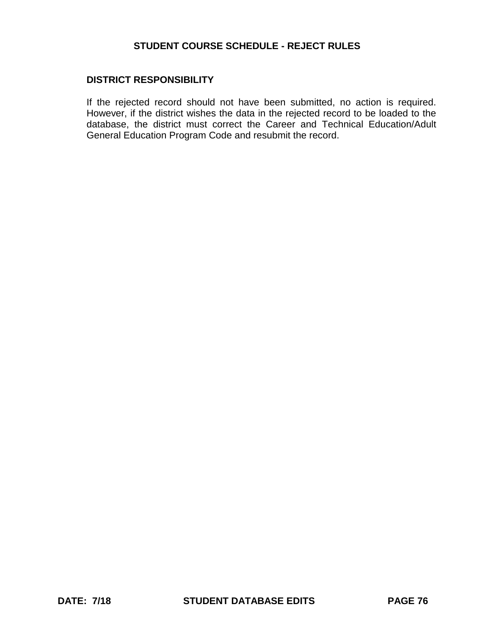### **DISTRICT RESPONSIBILITY**

If the rejected record should not have been submitted, no action is required. However, if the district wishes the data in the rejected record to be loaded to the database, the district must correct the Career and Technical Education/Adult General Education Program Code and resubmit the record.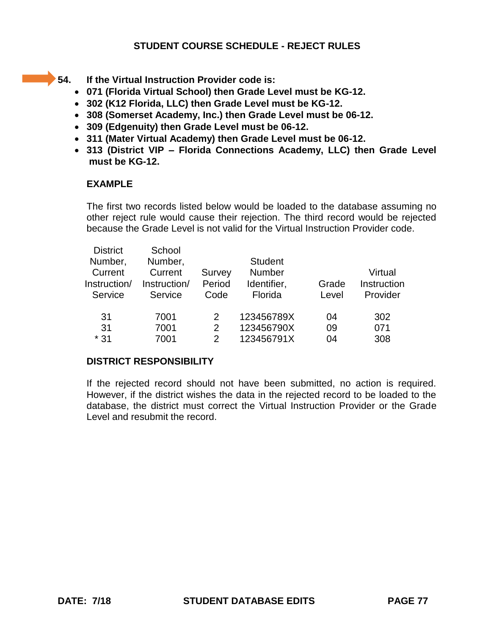- 
- **54. If the Virtual Instruction Provider code is:** 
	- **071 (Florida Virtual School) then Grade Level must be KG-12.**
	- **302 (K12 Florida, LLC) then Grade Level must be KG-12.**
	- **308 (Somerset Academy, Inc.) then Grade Level must be 06-12.**
	- **309 (Edgenuity) then Grade Level must be 06-12.**
	- **311 (Mater Virtual Academy) then Grade Level must be 06-12.**
	- **313 (District VIP – Florida Connections Academy, LLC) then Grade Level must be KG-12.**

# **EXAMPLE**

The first two records listed below would be loaded to the database assuming no other reject rule would cause their rejection. The third record would be rejected because the Grade Level is not valid for the Virtual Instruction Provider code.

| <b>District</b> | School       |        |                |       |             |
|-----------------|--------------|--------|----------------|-------|-------------|
| Number,         | Number,      |        | <b>Student</b> |       |             |
| Current         | Current      | Survey | <b>Number</b>  |       | Virtual     |
| Instruction/    | Instruction/ | Period | Identifier,    | Grade | Instruction |
| Service         | Service      | Code   | Florida        | Level | Provider    |
|                 |              |        |                |       |             |
| 31              | 7001         | 2      | 123456789X     | 04    | 302         |
| 31              | 7001         | 2      | 123456790X     | 09    | 071         |
| $*31$           | 7001         | 2      | 123456791X     | 04    | 308         |
|                 |              |        |                |       |             |

# **DISTRICT RESPONSIBILITY**

If the rejected record should not have been submitted, no action is required. However, if the district wishes the data in the rejected record to be loaded to the database, the district must correct the Virtual Instruction Provider or the Grade Level and resubmit the record.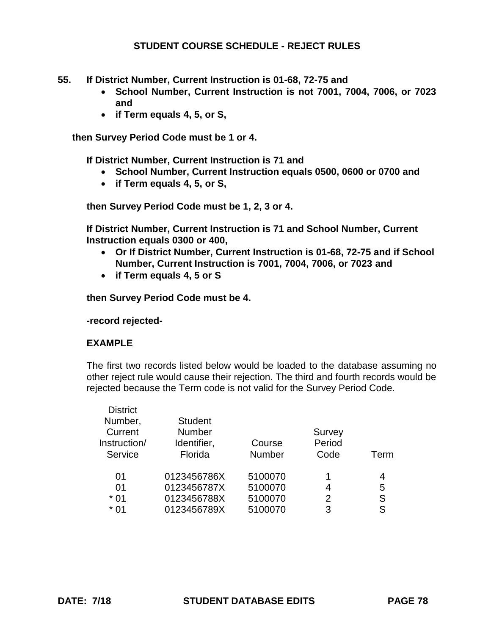- **55. If District Number, Current Instruction is 01-68, 72-75 and** 
	- **School Number, Current Instruction is not 7001, 7004, 7006, or 7023 and**
	- **if Term equals 4, 5, or S,**

**then Survey Period Code must be 1 or 4.**

**If District Number, Current Instruction is 71 and**

- **School Number, Current Instruction equals 0500, 0600 or 0700 and**
- **if Term equals 4, 5, or S,**

**then Survey Period Code must be 1, 2, 3 or 4.**

**If District Number, Current Instruction is 71 and School Number, Current Instruction equals 0300 or 400,**

- **Or If District Number, Current Instruction is 01-68, 72-75 and if School Number, Current Instruction is 7001, 7004, 7006, or 7023 and**
- **if Term equals 4, 5 or S**

**then Survey Period Code must be 4.**

**-record rejected-**

#### **EXAMPLE**

The first two records listed below would be loaded to the database assuming no other reject rule would cause their rejection. The third and fourth records would be rejected because the Term code is not valid for the Survey Period Code.

| <b>District</b> |                |               |        |      |
|-----------------|----------------|---------------|--------|------|
| Number,         | <b>Student</b> |               |        |      |
| Current         | <b>Number</b>  |               | Survey |      |
| Instruction/    | Identifier,    | Course        | Period |      |
| Service         | Florida        | <b>Number</b> | Code   | Term |
| 01              | 0123456786X    | 5100070       | 1      | 4    |
| 01              | 0123456787X    | 5100070       | 4      | 5    |
| $*01$           | 0123456788X    | 5100070       | 2      | S    |
| * 01            | 0123456789X    | 5100070       | 3      | S    |
|                 |                |               |        |      |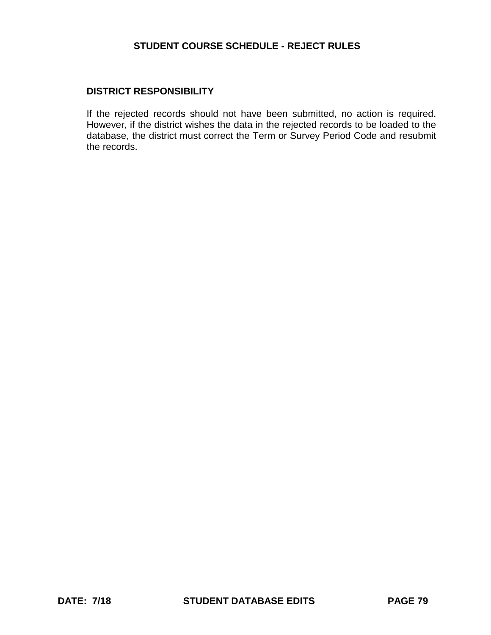## **DISTRICT RESPONSIBILITY**

If the rejected records should not have been submitted, no action is required. However, if the district wishes the data in the rejected records to be loaded to the database, the district must correct the Term or Survey Period Code and resubmit the records.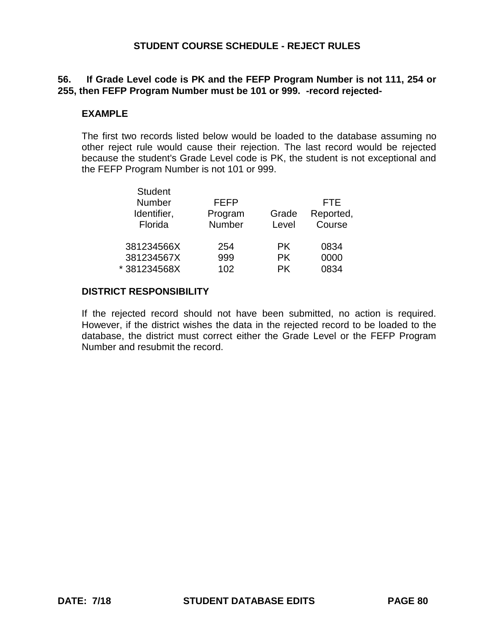# **56. If Grade Level code is PK and the FEFP Program Number is not 111, 254 or 255, then FEFP Program Number must be 101 or 999. -record rejected-**

## **EXAMPLE**

The first two records listed below would be loaded to the database assuming no other reject rule would cause their rejection. The last record would be rejected because the student's Grade Level code is PK, the student is not exceptional and the FEFP Program Number is not 101 or 999.

| <b>Student</b><br><b>Number</b><br>Identifier,<br>Florida | <b>FEFP</b><br>Program<br>Number | Grade<br>Level | FTE<br>Reported,<br>Course |
|-----------------------------------------------------------|----------------------------------|----------------|----------------------------|
| 381234566X                                                | 254                              | PK.            | 0834                       |
| 381234567X                                                | 999                              | <b>PK</b>      | 0000                       |
| *381234568X                                               | 102                              | <b>PK</b>      | 0834                       |

## **DISTRICT RESPONSIBILITY**

If the rejected record should not have been submitted, no action is required. However, if the district wishes the data in the rejected record to be loaded to the database, the district must correct either the Grade Level or the FEFP Program Number and resubmit the record.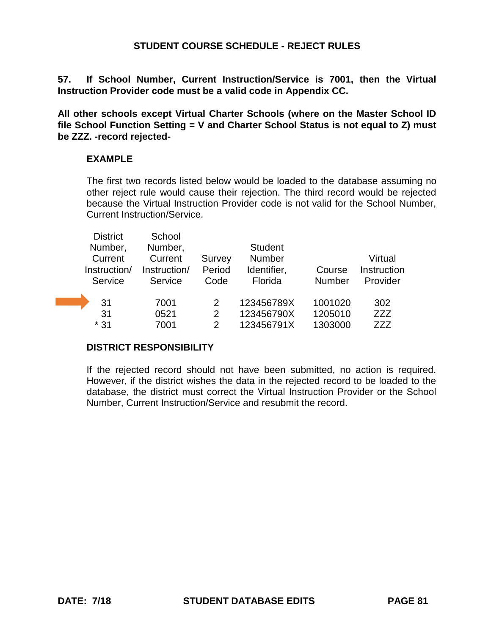**57. If School Number, Current Instruction/Service is 7001, then the Virtual Instruction Provider code must be a valid code in Appendix CC.** 

**All other schools except Virtual Charter Schools (where on the Master School ID file School Function Setting = V and Charter School Status is not equal to Z) must be ZZZ. -record rejected-**

# **EXAMPLE**

The first two records listed below would be loaded to the database assuming no other reject rule would cause their rejection. The third record would be rejected because the Virtual Instruction Provider code is not valid for the School Number, Current Instruction/Service.

| <b>District</b> | School       |                |                |               |             |
|-----------------|--------------|----------------|----------------|---------------|-------------|
| Number,         | Number,      |                | <b>Student</b> |               |             |
| Current         | Current      | Survey         | Number         |               | Virtual     |
| Instruction/    | Instruction/ | Period         | Identifier,    | Course        | Instruction |
| Service         | Service      | Code           | Florida        | <b>Number</b> | Provider    |
|                 |              |                |                |               |             |
| 31              | 7001         | 2              | 123456789X     | 1001020       | 302         |
| 31              | 0521         | $\overline{2}$ | 123456790X     | 1205010       | ZZZ         |
| $*31$           | 7001         | 2              | 123456791X     | 1303000       | 777         |

# **DISTRICT RESPONSIBILITY**

If the rejected record should not have been submitted, no action is required. However, if the district wishes the data in the rejected record to be loaded to the database, the district must correct the Virtual Instruction Provider or the School Number, Current Instruction/Service and resubmit the record.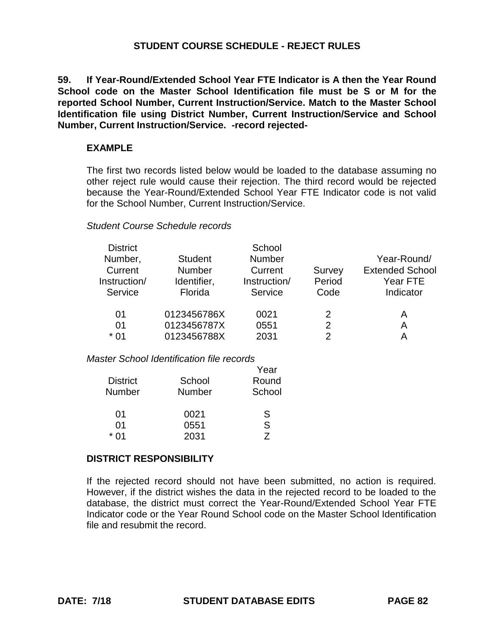**59. If Year-Round/Extended School Year FTE Indicator is A then the Year Round School code on the Master School Identification file must be S or M for the reported School Number, Current Instruction/Service. Match to the Master School Identification file using District Number, Current Instruction/Service and School Number, Current Instruction/Service. -record rejected-**

## **EXAMPLE**

The first two records listed below would be loaded to the database assuming no other reject rule would cause their rejection. The third record would be rejected because the Year-Round/Extended School Year FTE Indicator code is not valid for the School Number, Current Instruction/Service.

## *Student Course Schedule records*

| <b>District</b> |                | School        |        |                        |
|-----------------|----------------|---------------|--------|------------------------|
| Number,         | <b>Student</b> | <b>Number</b> |        | Year-Round/            |
| Current         | <b>Number</b>  | Current       | Survey | <b>Extended School</b> |
| Instruction/    | Identifier,    | Instruction/  | Period | Year FTE               |
| Service         | Florida        | Service       | Code   | Indicator              |
| 01              | 0123456786X    | 0021          | 2      | A                      |
| 01              | 0123456787X    | 0551          | 2      | А                      |
| * 01            | 0123456788X    | 2031          | 2      | А                      |

*Master School Identification file records*

|                 |        | Year   |
|-----------------|--------|--------|
| <b>District</b> | School | Round  |
| <b>Number</b>   | Number | School |
| 01              | 0021   | S      |
| 01              | 0551   | S      |
| * በ1            | 2031   | 7      |

# **DISTRICT RESPONSIBILITY**

If the rejected record should not have been submitted, no action is required. However, if the district wishes the data in the rejected record to be loaded to the database, the district must correct the Year-Round/Extended School Year FTE Indicator code or the Year Round School code on the Master School Identification file and resubmit the record.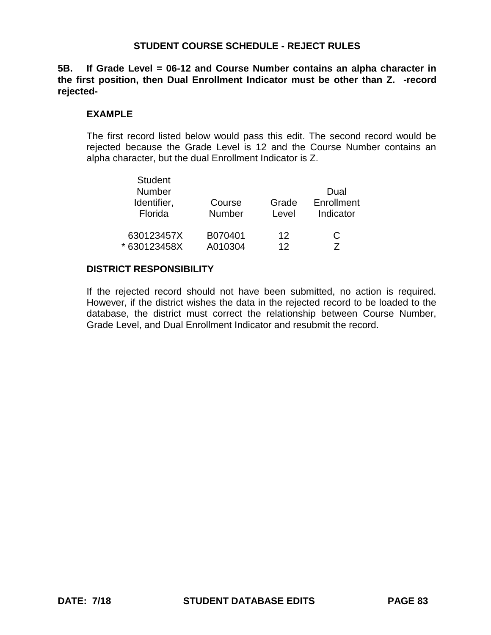**5B. If Grade Level = 06-12 and Course Number contains an alpha character in the first position, then Dual Enrollment Indicator must be other than Z. -record rejected-**

## **EXAMPLE**

The first record listed below would pass this edit. The second record would be rejected because the Grade Level is 12 and the Course Number contains an alpha character, but the dual Enrollment Indicator is Z.

| <b>Student</b><br>Number<br>Identifier,<br>Florida | Course<br><b>Number</b> | Grade<br>Level | Dual<br>Enrollment<br>Indicator |
|----------------------------------------------------|-------------------------|----------------|---------------------------------|
| 630123457X                                         | B070401                 | 12             | C                               |
| * 630123458X                                       | A010304                 | 12             | 7                               |

## **DISTRICT RESPONSIBILITY**

If the rejected record should not have been submitted, no action is required. However, if the district wishes the data in the rejected record to be loaded to the database, the district must correct the relationship between Course Number, Grade Level, and Dual Enrollment Indicator and resubmit the record.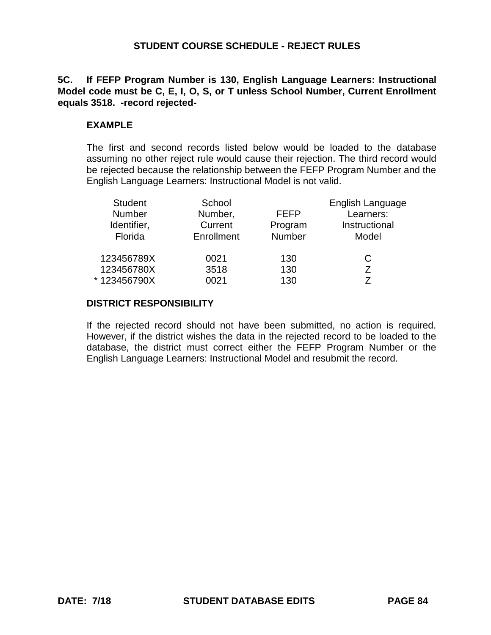**5C. If FEFP Program Number is 130, English Language Learners: Instructional Model code must be C, E, I, O, S, or T unless School Number, Current Enrollment equals 3518. -record rejected-**

## **EXAMPLE**

The first and second records listed below would be loaded to the database assuming no other reject rule would cause their rejection. The third record would be rejected because the relationship between the FEFP Program Number and the English Language Learners: Instructional Model is not valid.

| <b>Student</b><br>Number<br>Identifier,<br>Florida | School<br>Number,<br>Current<br>Enrollment | <b>FEFP</b><br>Program<br><b>Number</b> | English Language<br>Learners:<br>Instructional<br>Model |
|----------------------------------------------------|--------------------------------------------|-----------------------------------------|---------------------------------------------------------|
| 123456789X<br>123456780X                           | 0021<br>3518                               | 130<br>130                              | С                                                       |
| * 123456790X                                       | 0021                                       | 130                                     |                                                         |

## **DISTRICT RESPONSIBILITY**

If the rejected record should not have been submitted, no action is required. However, if the district wishes the data in the rejected record to be loaded to the database, the district must correct either the FEFP Program Number or the English Language Learners: Instructional Model and resubmit the record.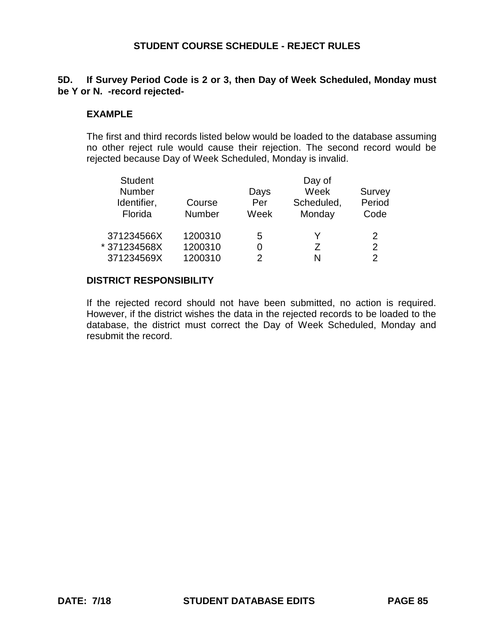# **5D. If Survey Period Code is 2 or 3, then Day of Week Scheduled, Monday must be Y or N. -record rejected-**

### **EXAMPLE**

The first and third records listed below would be loaded to the database assuming no other reject rule would cause their rejection. The second record would be rejected because Day of Week Scheduled, Monday is invalid.

| <b>Student</b> |         |      | Day of     |        |
|----------------|---------|------|------------|--------|
| Number         |         | Days | Week       | Survey |
| Identifier,    | Course  | Per  | Scheduled, | Period |
| Florida        | Number  | Week | Monday     | Code   |
| 371234566X     | 1200310 | 5    | Y          | 2      |
| * 371234568X   | 1200310 |      | 7          | 2      |
| 371234569X     | 1200310 | っ    | N          | 2      |

#### **DISTRICT RESPONSIBILITY**

If the rejected record should not have been submitted, no action is required. However, if the district wishes the data in the rejected records to be loaded to the database, the district must correct the Day of Week Scheduled, Monday and resubmit the record.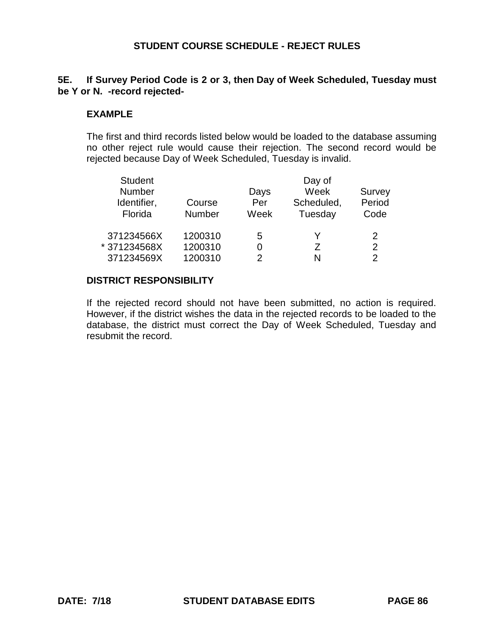# **5E. If Survey Period Code is 2 or 3, then Day of Week Scheduled, Tuesday must be Y or N. -record rejected-**

### **EXAMPLE**

The first and third records listed below would be loaded to the database assuming no other reject rule would cause their rejection. The second record would be rejected because Day of Week Scheduled, Tuesday is invalid.

| <b>Student</b> |         |      | Day of     |        |
|----------------|---------|------|------------|--------|
| Number         |         | Days | Week       | Survey |
| Identifier,    | Course  | Per  | Scheduled, | Period |
| Florida        | Number  | Week | Tuesday    | Code   |
| 371234566X     | 1200310 | 5    | Y          | 2      |
| * 371234568X   | 1200310 |      | 7          | 2      |
| 371234569X     | 1200310 | っ    | N          | 2      |

#### **DISTRICT RESPONSIBILITY**

If the rejected record should not have been submitted, no action is required. However, if the district wishes the data in the rejected records to be loaded to the database, the district must correct the Day of Week Scheduled, Tuesday and resubmit the record.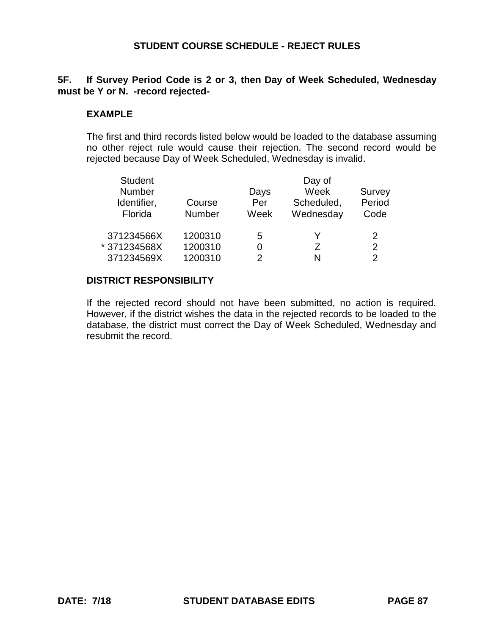# **5F. If Survey Period Code is 2 or 3, then Day of Week Scheduled, Wednesday must be Y or N. -record rejected-**

### **EXAMPLE**

The first and third records listed below would be loaded to the database assuming no other reject rule would cause their rejection. The second record would be rejected because Day of Week Scheduled, Wednesday is invalid.

| <b>Student</b> |         | Day of |            |        |  |
|----------------|---------|--------|------------|--------|--|
| Number         |         | Days   | Week       | Survey |  |
| Identifier,    | Course  | Per    | Scheduled, | Period |  |
| Florida        | Number  | Week   | Wednesday  | Code   |  |
| 371234566X     | 1200310 | 5      | Y          | 2      |  |
| * 371234568X   | 1200310 |        | 7          | 2      |  |
| 371234569X     | 1200310 | 2      | N          | 2      |  |

#### **DISTRICT RESPONSIBILITY**

If the rejected record should not have been submitted, no action is required. However, if the district wishes the data in the rejected records to be loaded to the database, the district must correct the Day of Week Scheduled, Wednesday and resubmit the record.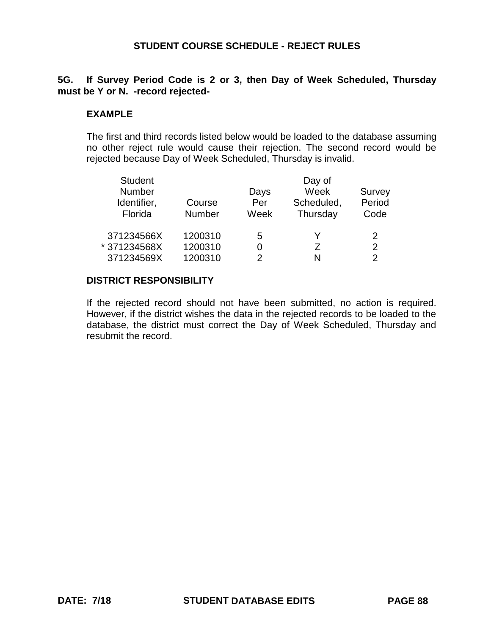# **5G. If Survey Period Code is 2 or 3, then Day of Week Scheduled, Thursday must be Y or N. -record rejected-**

#### **EXAMPLE**

The first and third records listed below would be loaded to the database assuming no other reject rule would cause their rejection. The second record would be rejected because Day of Week Scheduled, Thursday is invalid.

| <b>Student</b> |               |      | Day of     |        |
|----------------|---------------|------|------------|--------|
| Number         |               | Days | Week       | Survey |
| Identifier,    | Course        | Per  | Scheduled, | Period |
| Florida        | <b>Number</b> | Week | Thursday   | Code   |
|                |               |      |            |        |
| 371234566X     | 1200310       | 5    | v          | 2      |
| *371234568X    | 1200310       |      | 7          | 2      |
| 371234569X     | 1200310       |      | N          | 2      |

#### **DISTRICT RESPONSIBILITY**

If the rejected record should not have been submitted, no action is required. However, if the district wishes the data in the rejected records to be loaded to the database, the district must correct the Day of Week Scheduled, Thursday and resubmit the record.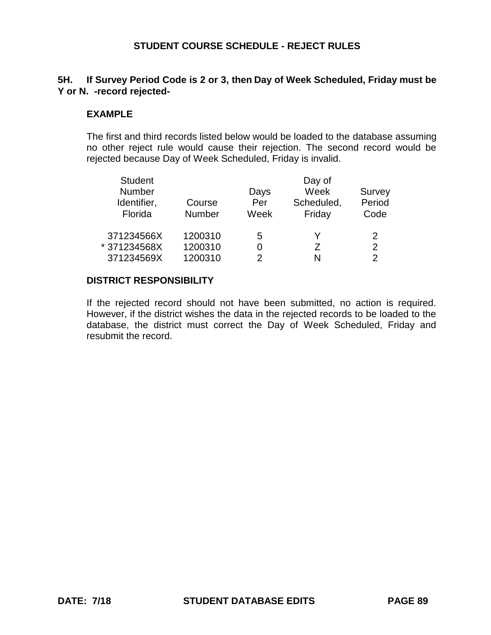# **5H. If Survey Period Code is 2 or 3, then Day of Week Scheduled, Friday must be Y or N. -record rejected-**

## **EXAMPLE**

The first and third records listed below would be loaded to the database assuming no other reject rule would cause their rejection. The second record would be rejected because Day of Week Scheduled, Friday is invalid.

| <b>Student</b> |         |      | Day of     |        |
|----------------|---------|------|------------|--------|
| Number         |         | Days | Week       | Survey |
| Identifier,    | Course  | Per  | Scheduled, | Period |
| Florida        | Number  | Week | Friday     | Code   |
| 371234566X     | 1200310 | 5    | Y          | 2      |
| * 371234568X   | 1200310 |      | 7          | 2      |
| 371234569X     | 1200310 | っ    | N          | 2      |

#### **DISTRICT RESPONSIBILITY**

If the rejected record should not have been submitted, no action is required. However, if the district wishes the data in the rejected records to be loaded to the database, the district must correct the Day of Week Scheduled, Friday and resubmit the record.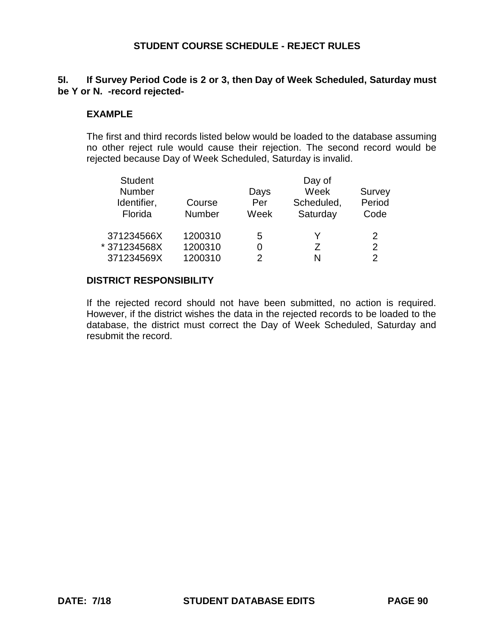# **5I. If Survey Period Code is 2 or 3, then Day of Week Scheduled, Saturday must be Y or N. -record rejected-**

### **EXAMPLE**

The first and third records listed below would be loaded to the database assuming no other reject rule would cause their rejection. The second record would be rejected because Day of Week Scheduled, Saturday is invalid.

| <b>Student</b> |         | Day of |            |        |  |
|----------------|---------|--------|------------|--------|--|
| Number         |         | Days   | Week       | Survey |  |
| Identifier,    | Course  | Per    | Scheduled, | Period |  |
| Florida        | Number  | Week   | Saturday   | Code   |  |
| 371234566X     | 1200310 | 5      | Y          | 2      |  |
| * 371234568X   | 1200310 |        | 7          | 2      |  |
| 371234569X     | 1200310 | 2      | N          | 2      |  |

#### **DISTRICT RESPONSIBILITY**

If the rejected record should not have been submitted, no action is required. However, if the district wishes the data in the rejected records to be loaded to the database, the district must correct the Day of Week Scheduled, Saturday and resubmit the record.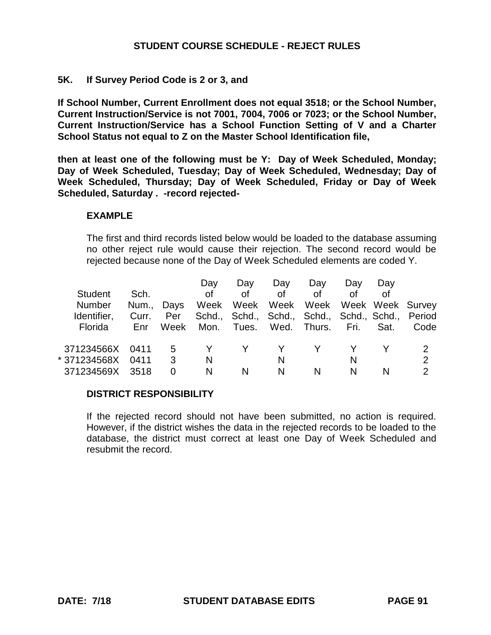## **5K. If Survey Period Code is 2 or 3, and**

**If School Number, Current Enrollment does not equal 3518; or the School Number, Current Instruction/Service is not 7001, 7004, 7006 or 7023; or the School Number, Current Instruction/Service has a School Function Setting of V and a Charter School Status not equal to Z on the Master School Identification file,** 

**then at least one of the following must be Y: Day of Week Scheduled, Monday; Day of Week Scheduled, Tuesday; Day of Week Scheduled, Wednesday; Day of Week Scheduled, Thursday; Day of Week Scheduled, Friday or Day of Week Scheduled, Saturday . -record rejected-**

#### **EXAMPLE**

The first and third records listed below would be loaded to the database assuming no other reject rule would cause their rejection. The second record would be rejected because none of the Day of Week Scheduled elements are coded Y.

|                |       |        | Day  | Day   | Day  | Day                                              | Day  | Day  |                  |
|----------------|-------|--------|------|-------|------|--------------------------------------------------|------|------|------------------|
| <b>Student</b> | Sch.  |        | οf   | Ωf    | Ωf   | Ωf                                               | Ωf   | Ωf   |                  |
| <b>Number</b>  | Num., | Days   | Week | Week  | Week | Week                                             |      |      | Week Week Survey |
| Identifier.    | Curr. | Per    |      |       |      | Schd., Schd., Schd., Schd., Schd., Schd., Period |      |      |                  |
| Florida        | Enr   | Week   | Mon. | Tues. |      | Wed. Thurs.                                      | Fri. | Sat. | Code             |
| 371234566X     |       |        |      |       |      |                                                  |      |      |                  |
| * 371234568X   | 0411  | 5<br>3 |      |       |      |                                                  |      |      | 2                |
|                | 0411  |        | N    |       | N.   |                                                  | N    |      |                  |
| 371234569X     | 3518  | 0      | N    | N     | N.   | N                                                | N    | N    | 2                |

## **DISTRICT RESPONSIBILITY**

If the rejected record should not have been submitted, no action is required. However, if the district wishes the data in the rejected records to be loaded to the database, the district must correct at least one Day of Week Scheduled and resubmit the record.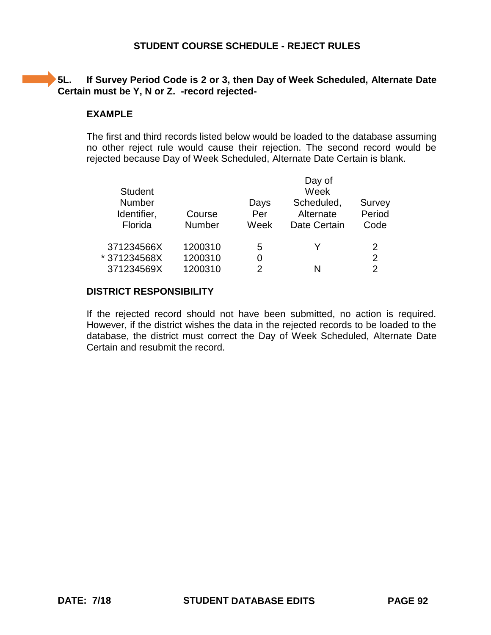# **5L.** If Survey Period Code is 2 or 3, then Day of Week Scheduled, Alternate Date **Certain must be Y, N or Z. -record rejected-**

### **EXAMPLE**

The first and third records listed below would be loaded to the database assuming no other reject rule would cause their rejection. The second record would be rejected because Day of Week Scheduled, Alternate Date Certain is blank.

| <b>Student</b><br><b>Number</b> |                         | Days        | Day of<br>Week<br>Scheduled, | Survey         |
|---------------------------------|-------------------------|-------------|------------------------------|----------------|
| Identifier,<br>Florida          | Course<br><b>Number</b> | Per<br>Week | Alternate<br>Date Certain    | Period<br>Code |
| 371234566X                      | 1200310                 | 5           |                              | 2              |
| *371234568X                     | 1200310                 | 0           |                              | 2              |
| 371234569X                      | 1200310                 |             | N                            | 2              |

# **DISTRICT RESPONSIBILITY**

If the rejected record should not have been submitted, no action is required. However, if the district wishes the data in the rejected records to be loaded to the database, the district must correct the Day of Week Scheduled, Alternate Date Certain and resubmit the record.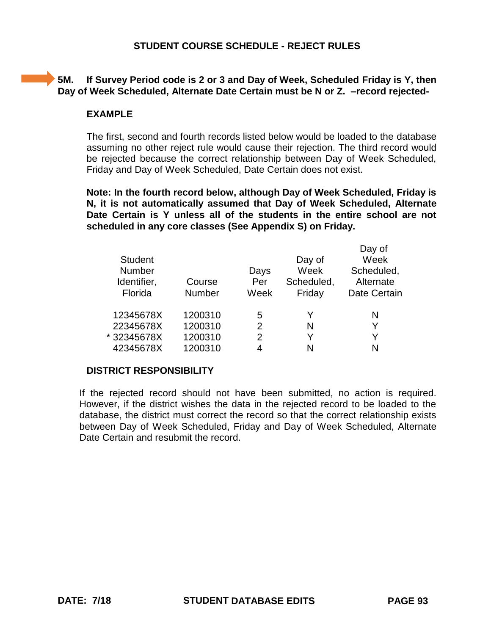# **5M. If Survey Period code is 2 or 3 and Day of Week, Scheduled Friday is Y, then Day of Week Scheduled, Alternate Date Certain must be N or Z. –record rejected-**

## **EXAMPLE**

The first, second and fourth records listed below would be loaded to the database assuming no other reject rule would cause their rejection. The third record would be rejected because the correct relationship between Day of Week Scheduled, Friday and Day of Week Scheduled, Date Certain does not exist.

**Note: In the fourth record below, although Day of Week Scheduled, Friday is N, it is not automatically assumed that Day of Week Scheduled, Alternate Date Certain is Y unless all of the students in the entire school are not scheduled in any core classes (See Appendix S) on Friday.** 

|                |         |                |            | Day of       |
|----------------|---------|----------------|------------|--------------|
| <b>Student</b> |         |                | Day of     | Week         |
| Number         |         | Days           | Week       | Scheduled,   |
| Identifier,    | Course  | Per            | Scheduled, | Alternate    |
| Florida        | Number  | Week           | Friday     | Date Certain |
|                |         |                |            |              |
| 12345678X      | 1200310 | 5              | Y          | N            |
| 22345678X      | 1200310 | $\overline{2}$ | N          | Y            |
| *32345678X     | 1200310 | 2              | Y          | Y            |
| 42345678X      | 1200310 | 4              | N          | N            |
|                |         |                |            |              |

#### **DISTRICT RESPONSIBILITY**

If the rejected record should not have been submitted, no action is required. However, if the district wishes the data in the rejected record to be loaded to the database, the district must correct the record so that the correct relationship exists between Day of Week Scheduled, Friday and Day of Week Scheduled, Alternate Date Certain and resubmit the record.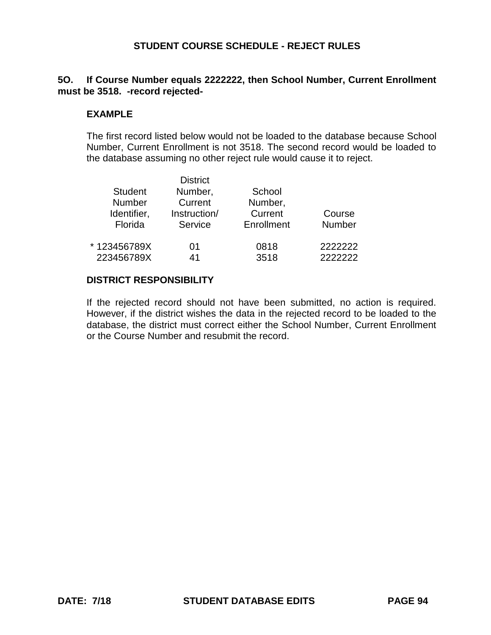# **5O. If Course Number equals 2222222, then School Number, Current Enrollment must be 3518. -record rejected-**

## **EXAMPLE**

The first record listed below would not be loaded to the database because School Number, Current Enrollment is not 3518. The second record would be loaded to the database assuming no other reject rule would cause it to reject.

|                | <b>District</b> |            |         |
|----------------|-----------------|------------|---------|
| <b>Student</b> | Number,         | School     |         |
| <b>Number</b>  | Current         | Number,    |         |
| Identifier,    | Instruction/    | Current    | Course  |
| Florida        | Service         | Enrollment | Number  |
| *123456789X    | 01              | 0818       | 2222222 |
| 223456789X     | 41              | 3518       | 2222222 |

#### **DISTRICT RESPONSIBILITY**

If the rejected record should not have been submitted, no action is required. However, if the district wishes the data in the rejected record to be loaded to the database, the district must correct either the School Number, Current Enrollment or the Course Number and resubmit the record.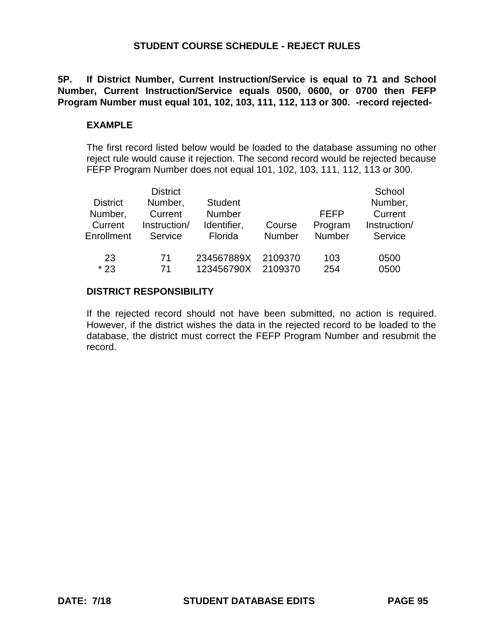**5P. If District Number, Current Instruction/Service is equal to 71 and School Number, Current Instruction/Service equals 0500, 0600, or 0700 then FEFP Program Number must equal 101, 102, 103, 111, 112, 113 or 300. -record rejected-**

### **EXAMPLE**

The first record listed below would be loaded to the database assuming no other reject rule would cause it rejection. The second record would be rejected because FEFP Program Number does not equal 101, 102, 103, 111, 112, 113 or 300.

| <b>District</b><br>Number,<br>Current<br>Enrollment | <b>District</b><br>Number,<br>Current<br>Instruction/<br>Service | <b>Student</b><br><b>Number</b><br>Identifier,<br>Florida | Course<br><b>Number</b> | <b>FEFP</b><br>Program<br><b>Number</b> | School<br>Number,<br>Current<br>Instruction/<br>Service |
|-----------------------------------------------------|------------------------------------------------------------------|-----------------------------------------------------------|-------------------------|-----------------------------------------|---------------------------------------------------------|
| 23                                                  | 71                                                               | 234567889X                                                | 2109370                 | 103                                     | 0500                                                    |
| $*23$                                               | 71                                                               | 123456790X                                                | 2109370                 | 254                                     | 0500                                                    |

## **DISTRICT RESPONSIBILITY**

If the rejected record should not have been submitted, no action is required. However, if the district wishes the data in the rejected record to be loaded to the database, the district must correct the FEFP Program Number and resubmit the record.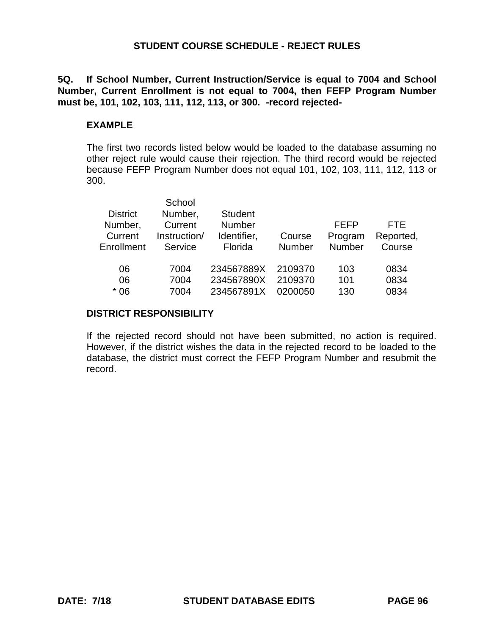**5Q. If School Number, Current Instruction/Service is equal to 7004 and School Number, Current Enrollment is not equal to 7004, then FEFP Program Number must be, 101, 102, 103, 111, 112, 113, or 300. -record rejected-**

## **EXAMPLE**

The first two records listed below would be loaded to the database assuming no other reject rule would cause their rejection. The third record would be rejected because FEFP Program Number does not equal 101, 102, 103, 111, 112, 113 or 300.

|                 | School       |                |               |               |           |
|-----------------|--------------|----------------|---------------|---------------|-----------|
| <b>District</b> | Number,      | <b>Student</b> |               |               |           |
| Number,         | Current      | <b>Number</b>  |               | FEFP          | FTF.      |
| Current         | Instruction/ | Identifier,    | Course        | Program       | Reported, |
| Enrollment      | Service      | Florida        | <b>Number</b> | <b>Number</b> | Course    |
|                 |              |                |               |               |           |
| 06              | 7004         | 234567889X     | 2109370       | 103           | 0834      |
| 06              | 7004         | 234567890X     | 2109370       | 101           | 0834      |
| $*06$           | 7004         | 234567891X     | 0200050       | 130           | 0834      |
|                 |              |                |               |               |           |

#### **DISTRICT RESPONSIBILITY**

If the rejected record should not have been submitted, no action is required. However, if the district wishes the data in the rejected record to be loaded to the database, the district must correct the FEFP Program Number and resubmit the record.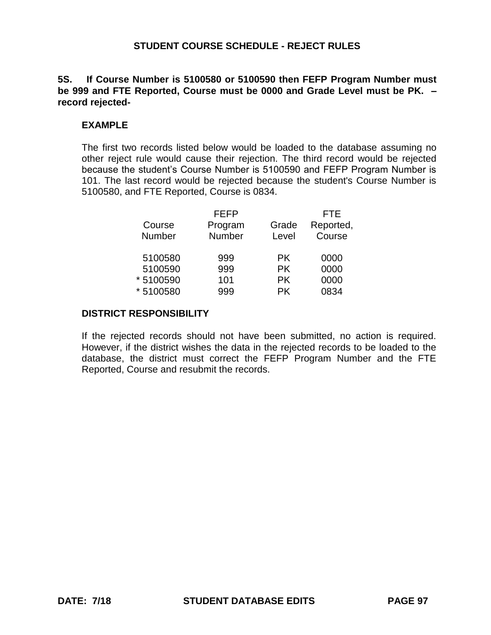## **5S. If Course Number is 5100580 or 5100590 then FEFP Program Number must be 999 and FTE Reported, Course must be 0000 and Grade Level must be PK. – record rejected-**

## **EXAMPLE**

The first two records listed below would be loaded to the database assuming no other reject rule would cause their rejection. The third record would be rejected because the student's Course Number is 5100590 and FEFP Program Number is 101. The last record would be rejected because the student's Course Number is 5100580, and FTE Reported, Course is 0834.

|           | <b>FEFP</b> |           | FTE       |
|-----------|-------------|-----------|-----------|
| Course    | Program     | Grade     | Reported, |
| Number    | Number      | Level     | Course    |
|           |             |           |           |
| 5100580   | 999         | <b>PK</b> | 0000      |
| 5100590   | 999         | <b>PK</b> | 0000      |
| * 5100590 | 101         | <b>PK</b> | 0000      |
| *5100580  | 999         | <b>PK</b> | 0834      |

## **DISTRICT RESPONSIBILITY**

If the rejected records should not have been submitted, no action is required. However, if the district wishes the data in the rejected records to be loaded to the database, the district must correct the FEFP Program Number and the FTE Reported, Course and resubmit the records.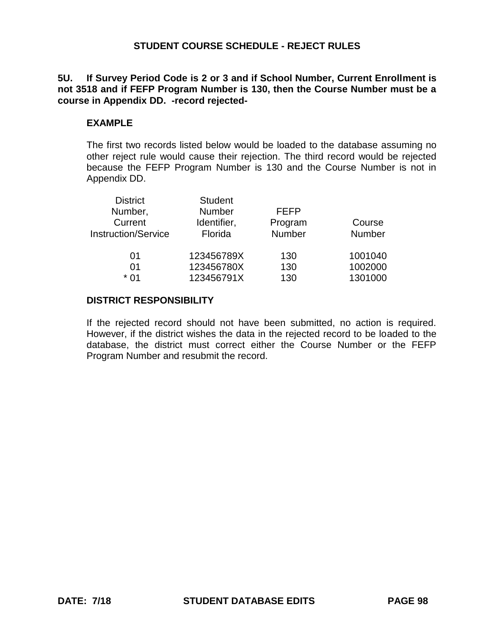**5U. If Survey Period Code is 2 or 3 and if School Number, Current Enrollment is not 3518 and if FEFP Program Number is 130, then the Course Number must be a course in Appendix DD. -record rejected-**

### **EXAMPLE**

The first two records listed below would be loaded to the database assuming no other reject rule would cause their rejection. The third record would be rejected because the FEFP Program Number is 130 and the Course Number is not in Appendix DD.

| <b>District</b>            | <b>Student</b> |             |         |
|----------------------------|----------------|-------------|---------|
| Number,                    | <b>Number</b>  | <b>FEFP</b> |         |
| Current                    | Identifier,    | Program     | Course  |
| <b>Instruction/Service</b> | Florida        | Number      | Number  |
|                            |                |             |         |
| 01                         | 123456789X     | 130         | 1001040 |
| 01                         | 123456780X     | 130         | 1002000 |
| * በ1                       | 123456791X     | 130         | 1301000 |

## **DISTRICT RESPONSIBILITY**

If the rejected record should not have been submitted, no action is required. However, if the district wishes the data in the rejected record to be loaded to the database, the district must correct either the Course Number or the FEFP Program Number and resubmit the record.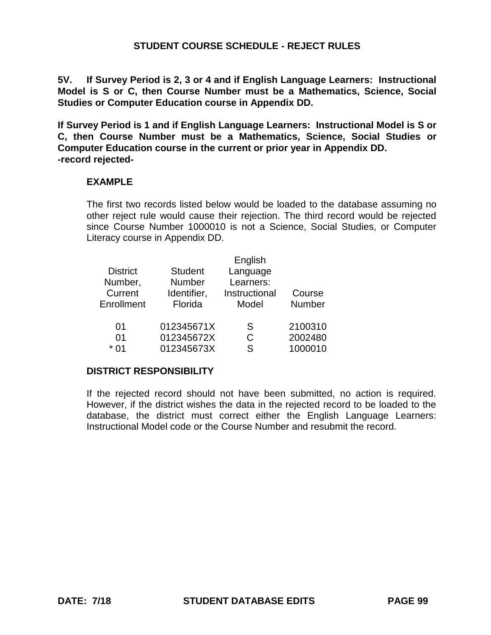**5V. If Survey Period is 2, 3 or 4 and if English Language Learners: Instructional Model is S or C, then Course Number must be a Mathematics, Science, Social Studies or Computer Education course in Appendix DD.**

**If Survey Period is 1 and if English Language Learners: Instructional Model is S or C, then Course Number must be a Mathematics, Science, Social Studies or Computer Education course in the current or prior year in Appendix DD. -record rejected-**

## **EXAMPLE**

The first two records listed below would be loaded to the database assuming no other reject rule would cause their rejection. The third record would be rejected since Course Number 1000010 is not a Science, Social Studies, or Computer Literacy course in Appendix DD.

|                | English       |         |
|----------------|---------------|---------|
| <b>Student</b> | Language      |         |
| Number         | Learners:     |         |
| Identifier,    | Instructional | Course  |
| Florida        | Model         | Number  |
| 012345671X     | S             | 2100310 |
| 012345672X     | C             | 2002480 |
| 012345673X     | ς             | 1000010 |
|                |               |         |

#### **DISTRICT RESPONSIBILITY**

If the rejected record should not have been submitted, no action is required. However, if the district wishes the data in the rejected record to be loaded to the database, the district must correct either the English Language Learners: Instructional Model code or the Course Number and resubmit the record.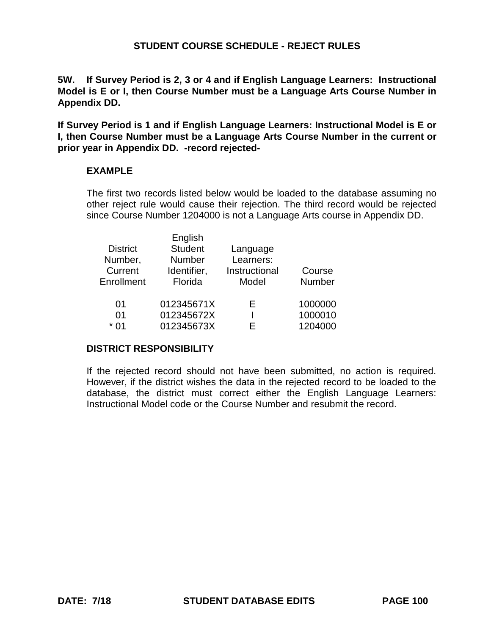**5W. If Survey Period is 2, 3 or 4 and if English Language Learners: Instructional Model is E or I, then Course Number must be a Language Arts Course Number in Appendix DD.** 

**If Survey Period is 1 and if English Language Learners: Instructional Model is E or I, then Course Number must be a Language Arts Course Number in the current or prior year in Appendix DD. -record rejected-**

## **EXAMPLE**

The first two records listed below would be loaded to the database assuming no other reject rule would cause their rejection. The third record would be rejected since Course Number 1204000 is not a Language Arts course in Appendix DD.

|                 | English        |               |               |
|-----------------|----------------|---------------|---------------|
| <b>District</b> | <b>Student</b> | Language      |               |
| Number,         | <b>Number</b>  | Learners:     |               |
| Current         | Identifier,    | Instructional | Course        |
| Enrollment      | Florida        | Model         | <b>Number</b> |
| 01              | 012345671X     | F             | 1000000       |
| 01              | 012345672X     |               | 1000010       |
| * በ1            | 012345673X     | F             | 1204000       |

#### **DISTRICT RESPONSIBILITY**

If the rejected record should not have been submitted, no action is required. However, if the district wishes the data in the rejected record to be loaded to the database, the district must correct either the English Language Learners: Instructional Model code or the Course Number and resubmit the record.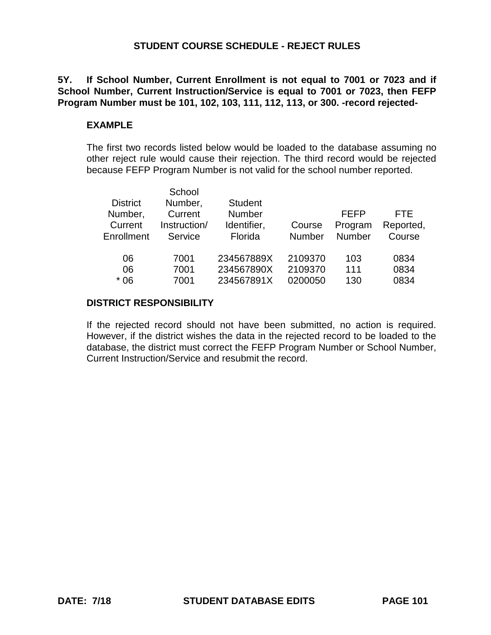**5Y. If School Number, Current Enrollment is not equal to 7001 or 7023 and if School Number, Current Instruction/Service is equal to 7001 or 7023, then FEFP Program Number must be 101, 102, 103, 111, 112, 113, or 300. -record rejected-**

### **EXAMPLE**

The first two records listed below would be loaded to the database assuming no other reject rule would cause their rejection. The third record would be rejected because FEFP Program Number is not valid for the school number reported.

|                 | School       |                |               |               |           |
|-----------------|--------------|----------------|---------------|---------------|-----------|
| <b>District</b> | Number,      | <b>Student</b> |               |               |           |
| Number,         | Current      | <b>Number</b>  |               | <b>FEFP</b>   | FTF       |
| Current         | Instruction/ | Identifier,    | Course        | Program       | Reported, |
| Enrollment      | Service      | Florida        | <b>Number</b> | <b>Number</b> | Course    |
|                 |              |                |               |               |           |
| 06              | 7001         | 234567889X     | 2109370       | 103           | 0834      |
| 06              | 7001         | 234567890X     | 2109370       | 111           | 0834      |
| $*06$           | 7001         | 234567891X     | 0200050       | 130           | 0834      |
|                 |              |                |               |               |           |

#### **DISTRICT RESPONSIBILITY**

If the rejected record should not have been submitted, no action is required. However, if the district wishes the data in the rejected record to be loaded to the database, the district must correct the FEFP Program Number or School Number, Current Instruction/Service and resubmit the record.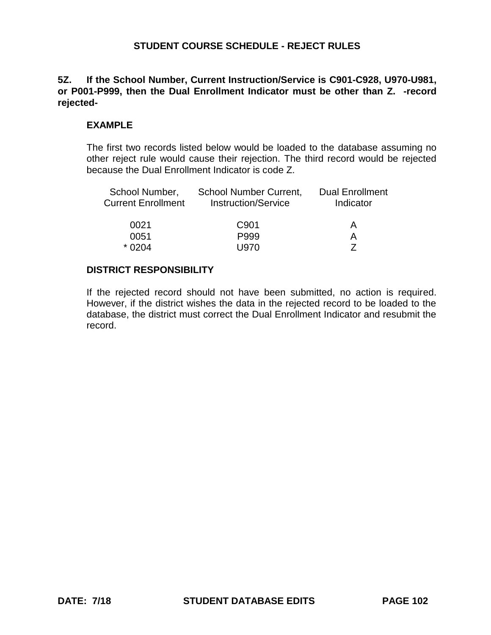## **5Z. If the School Number, Current Instruction/Service is C901-C928, U970-U981, or P001-P999, then the Dual Enrollment Indicator must be other than Z. -record rejected-**

## **EXAMPLE**

The first two records listed below would be loaded to the database assuming no other reject rule would cause their rejection. The third record would be rejected because the Dual Enrollment Indicator is code Z.

| School Number,<br><b>Current Enrollment</b> | <b>School Number Current,</b><br><b>Instruction/Service</b> | <b>Dual Enrollment</b><br>Indicator |  |  |
|---------------------------------------------|-------------------------------------------------------------|-------------------------------------|--|--|
| 0021                                        | C <sub>901</sub>                                            | A                                   |  |  |
| 0051                                        | P999                                                        |                                     |  |  |
| $*0204$                                     | U970.                                                       |                                     |  |  |

#### **DISTRICT RESPONSIBILITY**

If the rejected record should not have been submitted, no action is required. However, if the district wishes the data in the rejected record to be loaded to the database, the district must correct the Dual Enrollment Indicator and resubmit the record.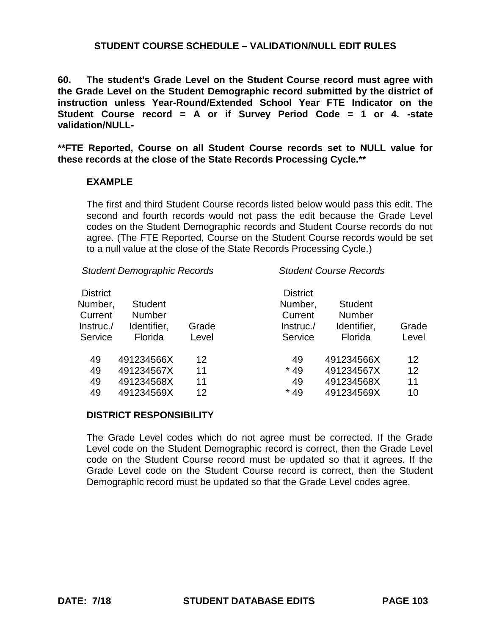**60. The student's Grade Level on the Student Course record must agree with the Grade Level on the Student Demographic record submitted by the district of instruction unless Year-Round/Extended School Year FTE Indicator on the Student Course record = A or if Survey Period Code = 1 or 4. -state validation/NULL-**

**\*\*FTE Reported, Course on all Student Course records set to NULL value for these records at the close of the State Records Processing Cycle.\*\***

## **EXAMPLE**

The first and third Student Course records listed below would pass this edit. The second and fourth records would not pass the edit because the Grade Level codes on the Student Demographic records and Student Course records do not agree. (The FTE Reported, Course on the Student Course records would be set to a null value at the close of the State Records Processing Cycle.)

*Student Demographic Records Student Course Records*

| <b>District</b><br>Number,<br>Current<br>Instruc./<br>Service | <b>Student</b><br><b>Number</b><br>Identifier,<br>Florida | Grade<br>Level | <b>District</b><br>Number,<br>Current<br>Instruc./<br>Service | <b>Student</b><br><b>Number</b><br>Identifier,<br>Florida | Grade<br>Level |
|---------------------------------------------------------------|-----------------------------------------------------------|----------------|---------------------------------------------------------------|-----------------------------------------------------------|----------------|
| 49                                                            | 491234566X                                                | 12             | 49                                                            | 491234566X                                                | 12             |
| 49                                                            | 491234567X                                                | 11             | $*49$                                                         | 491234567X                                                | 12             |
| 49                                                            | 491234568X                                                | 11             | 49                                                            | 491234568X                                                | 11             |
| 49                                                            | 491234569X                                                | 12             | $*49$                                                         | 491234569X                                                | 10             |

#### **DISTRICT RESPONSIBILITY**

The Grade Level codes which do not agree must be corrected. If the Grade Level code on the Student Demographic record is correct, then the Grade Level code on the Student Course record must be updated so that it agrees. If the Grade Level code on the Student Course record is correct, then the Student Demographic record must be updated so that the Grade Level codes agree.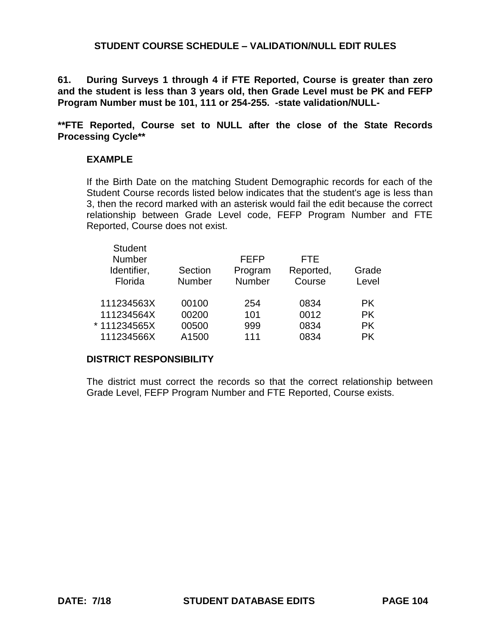**61. During Surveys 1 through 4 if FTE Reported, Course is greater than zero and the student is less than 3 years old, then Grade Level must be PK and FEFP Program Number must be 101, 111 or 254-255. -state validation/NULL-**

**\*\*FTE Reported, Course set to NULL after the close of the State Records Processing Cycle\*\***

## **EXAMPLE**

Student

If the Birth Date on the matching Student Demographic records for each of the Student Course records listed below indicates that the student's age is less than 3, then the record marked with an asterisk would fail the edit because the correct relationship between Grade Level code, FEFP Program Number and FTE Reported, Course does not exist.

| Student<br>Number<br>Identifier,<br>Florida | Section<br><b>Number</b> | <b>FEFP</b><br>Program<br>Number | <b>FTE</b><br>Reported,<br>Course | Grade<br>Level |
|---------------------------------------------|--------------------------|----------------------------------|-----------------------------------|----------------|
| 111234563X                                  | 00100                    | 254                              | 0834                              | PK.            |
| 111234564X                                  | 00200                    | 101                              | 0012                              | <b>PK</b>      |
| * 111234565X                                | 00500                    | 999                              | 0834                              | <b>PK</b>      |
| 111234566X                                  | A1500                    | 111                              | 0834                              | <b>PK</b>      |
|                                             |                          |                                  |                                   |                |

#### **DISTRICT RESPONSIBILITY**

The district must correct the records so that the correct relationship between Grade Level, FEFP Program Number and FTE Reported, Course exists.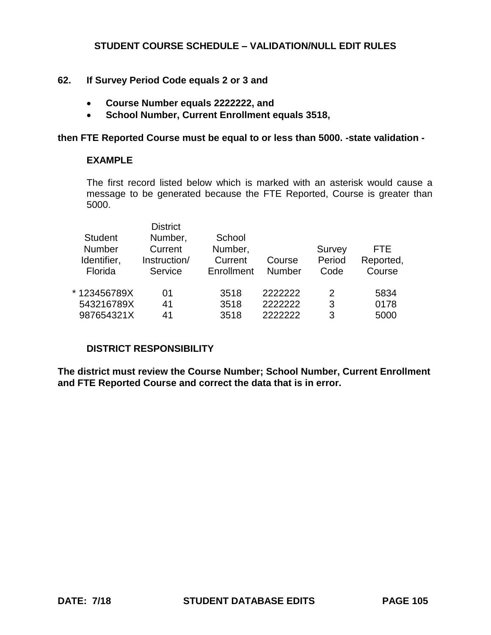# **62. If Survey Period Code equals 2 or 3 and**

- **Course Number equals 2222222, and**
- **School Number, Current Enrollment equals 3518,**

#### **then FTE Reported Course must be equal to or less than 5000. -state validation -**

## **EXAMPLE**

The first record listed below which is marked with an asterisk would cause a message to be generated because the FTE Reported, Course is greater than 5000.

|                | <b>District</b> |            |         |               |           |
|----------------|-----------------|------------|---------|---------------|-----------|
| <b>Student</b> | Number,         | School     |         |               |           |
| <b>Number</b>  | Current         | Number,    |         | Survey        | FTE       |
| Identifier,    | Instruction/    | Current    | Course  | Period        | Reported, |
| Florida        | Service         | Enrollment | Number  | Code          | Course    |
|                |                 |            |         |               |           |
| *123456789X    | 01              | 3518       | 2222222 | $\mathcal{P}$ | 5834      |
| 543216789X     | 41              | 3518       | 2222222 | 3             | 0178      |
| 987654321X     | 41              | 3518       | 222222  | 3             | 5000      |
|                |                 |            |         |               |           |

# **DISTRICT RESPONSIBILITY**

**The district must review the Course Number; School Number, Current Enrollment and FTE Reported Course and correct the data that is in error.**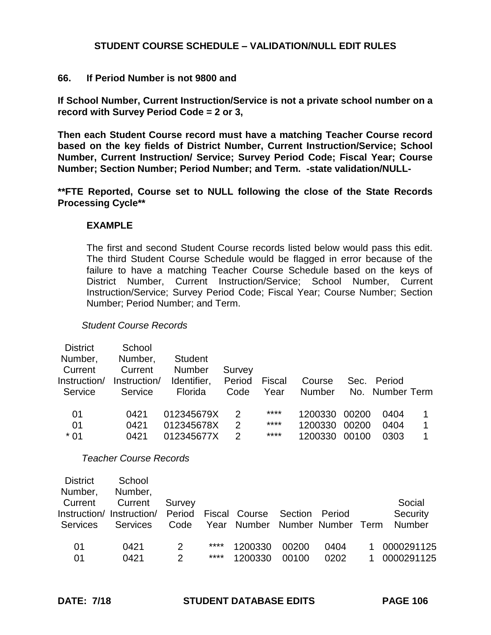### **66. If Period Number is not 9800 and**

**If School Number, Current Instruction/Service is not a private school number on a record with Survey Period Code = 2 or 3,** 

**Then each Student Course record must have a matching Teacher Course record based on the key fields of District Number, Current Instruction/Service; School Number, Current Instruction/ Service; Survey Period Code; Fiscal Year; Course Number; Section Number; Period Number; and Term. -state validation/NULL-**

**\*\*FTE Reported, Course set to NULL following the close of the State Records Processing Cycle\*\***

#### **EXAMPLE**

The first and second Student Course records listed below would pass this edit. The third Student Course Schedule would be flagged in error because of the failure to have a matching Teacher Course Schedule based on the keys of District Number, Current Instruction/Service; School Number, Current Instruction/Service; Survey Period Code; Fiscal Year; Course Number; Section Number; Period Number; and Term.

#### *Student Course Records*

| <b>District</b> | School       |                |        |        |         |       |                 |  |
|-----------------|--------------|----------------|--------|--------|---------|-------|-----------------|--|
| Number,         | Number,      | <b>Student</b> |        |        |         |       |                 |  |
| Current         | Current      | <b>Number</b>  | Survey |        |         |       |                 |  |
| Instruction/    | Instruction/ | Identifier,    | Period | Fiscal | Course  | Sec.  | Period          |  |
| Service         | Service      | Florida        | Code   | Year   | Number  |       | No. Number Term |  |
|                 |              |                |        |        |         |       |                 |  |
| 01              | 0421         | 012345679X     | 2      | ****   | 1200330 | 00200 | 0404            |  |
| 01              | 0421         | 012345678X     | 2      | ****   | 1200330 | 00200 | 0404            |  |
| $*01$           | 0421         | 012345677X     | 2      | ****   | 1200330 | 00100 | 0303            |  |
|                 |              |                |        |        |         |       |                 |  |

*Teacher Course Records*

| <b>District</b><br>Number,<br>Current<br>Services | School<br>Number,<br>Current<br>Instruction/ Instruction/<br>Services | Survey<br>Period<br>Code |      | Fiscal Course<br>Year Number Number Number | Section | Period | Term | Social<br>Security<br><b>Number</b> |
|---------------------------------------------------|-----------------------------------------------------------------------|--------------------------|------|--------------------------------------------|---------|--------|------|-------------------------------------|
| 01                                                | 0421                                                                  | 2                        | **** | 1200330                                    | 00200   | 0404   |      | 0000291125                          |
| 01                                                | 0421                                                                  | $\mathcal{P}$            | **** | 1200330                                    | 00100   | 0202   |      | 0000291125                          |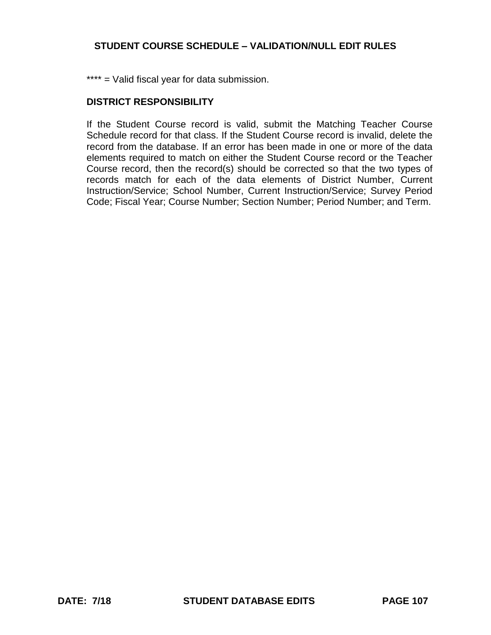\*\*\*\* = Valid fiscal year for data submission.

## **DISTRICT RESPONSIBILITY**

If the Student Course record is valid, submit the Matching Teacher Course Schedule record for that class. If the Student Course record is invalid, delete the record from the database. If an error has been made in one or more of the data elements required to match on either the Student Course record or the Teacher Course record, then the record(s) should be corrected so that the two types of records match for each of the data elements of District Number, Current Instruction/Service; School Number, Current Instruction/Service; Survey Period Code; Fiscal Year; Course Number; Section Number; Period Number; and Term.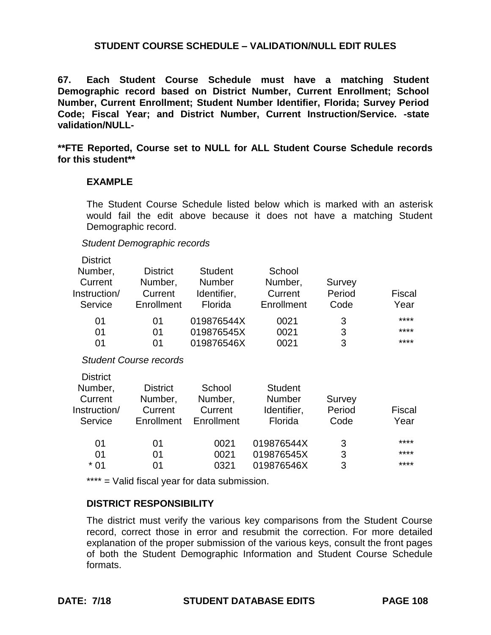**67. Each Student Course Schedule must have a matching Student Demographic record based on District Number, Current Enrollment; School Number, Current Enrollment; Student Number Identifier, Florida; Survey Period Code; Fiscal Year; and District Number, Current Instruction/Service. -state validation/NULL-**

**\*\*FTE Reported, Course set to NULL for ALL Student Course Schedule records for this student\*\***

## **EXAMPLE**

The Student Course Schedule listed below which is marked with an asterisk would fail the edit above because it does not have a matching Student Demographic record.

#### *Student Demographic records*

| <b>District</b><br>Number,<br>Current<br>Instruction/<br>Service | <b>District</b><br>Number,<br>Current<br>Enrollment | <b>Student</b><br><b>Number</b><br>Identifier,<br>Florida | School<br>Number,<br>Current<br>Enrollment                | Survey<br>Period<br>Code | <b>Fiscal</b><br>Year |
|------------------------------------------------------------------|-----------------------------------------------------|-----------------------------------------------------------|-----------------------------------------------------------|--------------------------|-----------------------|
| 01<br>01<br>01                                                   | 01<br>01<br>01                                      | 019876544X<br>019876545X<br>019876546X                    | 0021<br>0021<br>0021                                      | 3<br>3<br>3              | ****<br>****<br>****  |
|                                                                  | <b>Student Course records</b>                       |                                                           |                                                           |                          |                       |
| <b>District</b><br>Number,<br>Current<br>Instruction/<br>Service | <b>District</b><br>Number,<br>Current<br>Enrollment | School<br>Number,<br>Current<br>Enrollment                | <b>Student</b><br><b>Number</b><br>Identifier,<br>Florida | Survey<br>Period<br>Code | Fiscal<br>Year        |
| 01<br>01<br>$*01$                                                | 01<br>01<br>01                                      | 0021<br>0021<br>0321                                      | 019876544X<br>019876545X<br>019876546X                    | 3<br>3<br>3              | ****<br>****<br>****  |

\*\*\*\* = Valid fiscal year for data submission.

## **DISTRICT RESPONSIBILITY**

The district must verify the various key comparisons from the Student Course record, correct those in error and resubmit the correction. For more detailed explanation of the proper submission of the various keys, consult the front pages of both the Student Demographic Information and Student Course Schedule formats.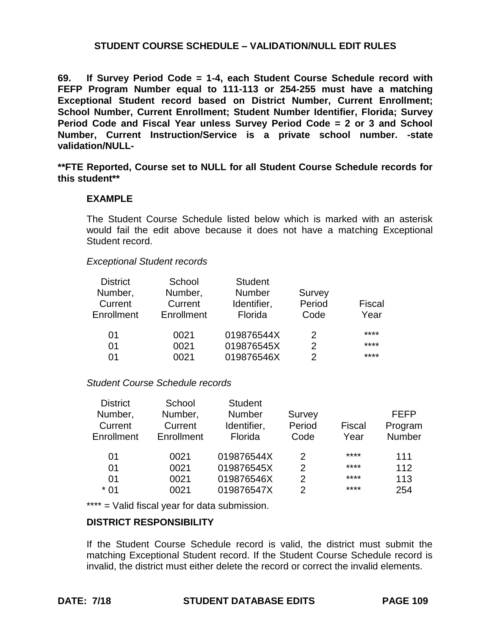**69. If Survey Period Code = 1-4, each Student Course Schedule record with FEFP Program Number equal to 111-113 or 254-255 must have a matching Exceptional Student record based on District Number, Current Enrollment; School Number, Current Enrollment; Student Number Identifier, Florida; Survey Period Code and Fiscal Year unless Survey Period Code = 2 or 3 and School Number, Current Instruction/Service is a private school number. -state validation/NULL-**

**\*\*FTE Reported, Course set to NULL for all Student Course Schedule records for this student\*\***

## **EXAMPLE**

The Student Course Schedule listed below which is marked with an asterisk would fail the edit above because it does not have a matching Exceptional Student record.

### *Exceptional Student records*

| School<br>Number,<br>Current<br>Enrollment | <b>Student</b><br><b>Number</b><br>Identifier,<br>Florida | Survey<br>Period<br>Code | Fiscal<br>Year |
|--------------------------------------------|-----------------------------------------------------------|--------------------------|----------------|
| 0021                                       | 019876544X                                                | 2                        | ****           |
| 0021                                       | 019876545X                                                | 2                        | ****           |
| 0021                                       | 019876546X                                                | 2                        | ****           |
|                                            |                                                           |                          |                |

### *Student Course Schedule records*

| <b>District</b> | School     | <b>Student</b> |               |        |             |
|-----------------|------------|----------------|---------------|--------|-------------|
| Number,         | Number,    | <b>Number</b>  | Survey        |        | <b>FEFP</b> |
| Current         | Current    | Identifier,    | Period        | Fiscal | Program     |
| Enrollment      | Enrollment | Florida        | Code          | Year   | Number      |
| 01              | 0021       | 019876544X     | $\mathcal{P}$ | ****   | 111         |
| 01              | 0021       | 019876545X     | 2             | ****   | 112         |
| 01              | 0021       | 019876546X     | 2             | ****   | 113         |
| $*01$           | 0021       | 019876547X     | $\mathcal{P}$ | ****   | 254         |

\*\*\*\* = Valid fiscal year for data submission.

### **DISTRICT RESPONSIBILITY**

If the Student Course Schedule record is valid, the district must submit the matching Exceptional Student record. If the Student Course Schedule record is invalid, the district must either delete the record or correct the invalid elements.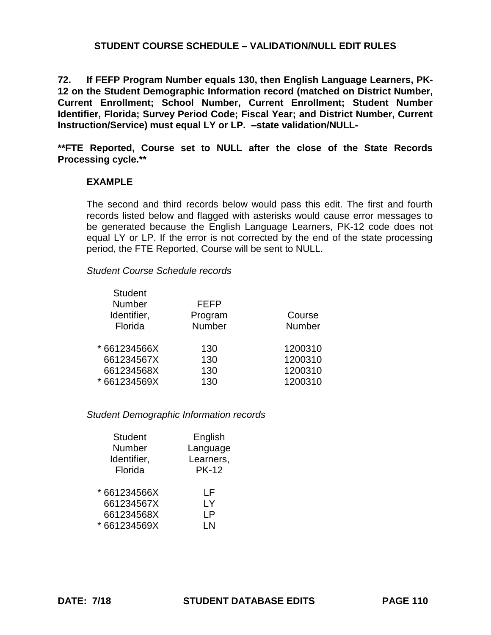**72. If FEFP Program Number equals 130, then English Language Learners, PK-12 on the Student Demographic Information record (matched on District Number, Current Enrollment; School Number, Current Enrollment; Student Number Identifier, Florida; Survey Period Code; Fiscal Year; and District Number, Current Instruction/Service) must equal LY or LP. –state validation/NULL-**

**\*\*FTE Reported, Course set to NULL after the close of the State Records Processing cycle.\*\*** 

## **EXAMPLE**

The second and third records below would pass this edit. The first and fourth records listed below and flagged with asterisks would cause error messages to be generated because the English Language Learners, PK-12 code does not equal LY or LP. If the error is not corrected by the end of the state processing period, the FTE Reported, Course will be sent to NULL.

*Student Course Schedule records*

Student Student Student

| Student       |         |               |
|---------------|---------|---------------|
| <b>Number</b> | FEFP    |               |
| Identifier,   | Program | Course        |
| Florida       | Number  | <b>Number</b> |
| * 661234566X  | 130     | 1200310       |
| 661234567X    | 130     | 1200310       |
| 661234568X    | 130     | 1200310       |
| * 661234569X  | 130     | 1200310       |

### *Student Demographic Information records*

| <b>Student</b> | English      |
|----------------|--------------|
| Number         | Language     |
| Identifier,    | Learners,    |
| Florida        | <b>PK-12</b> |
| * 661234566X   | l F          |
| 661234567X     | LY           |
| 661234568X     | ΙP           |
| * 661234569X   | I N          |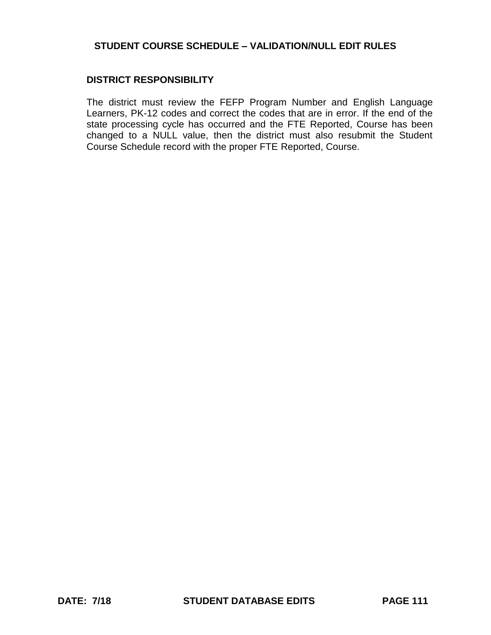## **DISTRICT RESPONSIBILITY**

The district must review the FEFP Program Number and English Language Learners, PK-12 codes and correct the codes that are in error. If the end of the state processing cycle has occurred and the FTE Reported, Course has been changed to a NULL value, then the district must also resubmit the Student Course Schedule record with the proper FTE Reported, Course.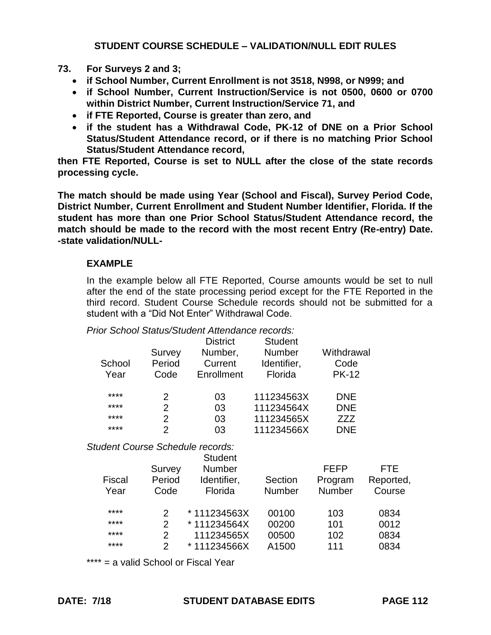# **73. For Surveys 2 and 3;**

- **if School Number, Current Enrollment is not 3518, N998, or N999; and**
- **if School Number, Current Instruction/Service is not 0500, 0600 or 0700 within District Number, Current Instruction/Service 71, and**
- **if FTE Reported, Course is greater than zero, and**
- **if the student has a Withdrawal Code, PK-12 of DNE on a Prior School Status/Student Attendance record, or if there is no matching Prior School Status/Student Attendance record,**

**then FTE Reported, Course is set to NULL after the close of the state records processing cycle.** 

**The match should be made using Year (School and Fiscal), Survey Period Code, District Number, Current Enrollment and Student Number Identifier, Florida. If the student has more than one Prior School Status/Student Attendance record, the match should be made to the record with the most recent Entry (Re-entry) Date. -state validation/NULL-**

# **EXAMPLE**

In the example below all FTE Reported, Course amounts would be set to null after the end of the state processing period except for the FTE Reported in the third record. Student Course Schedule records should not be submitted for a student with a "Did Not Enter" Withdrawal Code.

### *Prior School Status/Student Attendance records:*

|                                         |                | <b>District</b> | <b>Student</b><br><b>Number</b> | Withdrawal    |           |
|-----------------------------------------|----------------|-----------------|---------------------------------|---------------|-----------|
|                                         | Survey         | Number,         |                                 |               |           |
| School                                  | Period         | Current         | Identifier,                     | Code          |           |
| Year                                    | Code           | Enrollment      | Florida                         | <b>PK-12</b>  |           |
| ****                                    | $\overline{2}$ | 03              | 111234563X                      | <b>DNE</b>    |           |
| ****                                    | $\overline{2}$ | 03              | 111234564X                      | <b>DNE</b>    |           |
| ****                                    | $\overline{2}$ | 03              | 111234565X                      | ZZZ           |           |
| ****                                    | $\overline{2}$ | 03              | 111234566X                      | <b>DNE</b>    |           |
| <b>Student Course Schedule records:</b> |                |                 |                                 |               |           |
|                                         |                | <b>Student</b>  |                                 |               |           |
|                                         | Survey         | <b>Number</b>   |                                 | <b>FEFP</b>   | FTE       |
| Fiscal                                  | Period         | Identifier,     | Section                         | Program       | Reported, |
| Year                                    | Code           | Florida         | <b>Number</b>                   | <b>Number</b> | Course    |
| ****                                    | 2              | *111234563X     | 00100                           | 103           | 0834      |
| ****                                    | $\overline{2}$ | * 111234564X    | 00200                           | 101           | 0012      |
| ****                                    | $\overline{2}$ | 111234565X      | 00500                           | 102           | 0834      |
| ****                                    | $\overline{2}$ | *111234566X     | A1500                           | 111           | 0834      |
|                                         |                |                 |                                 |               |           |

\*\*\*\* = a valid School or Fiscal Year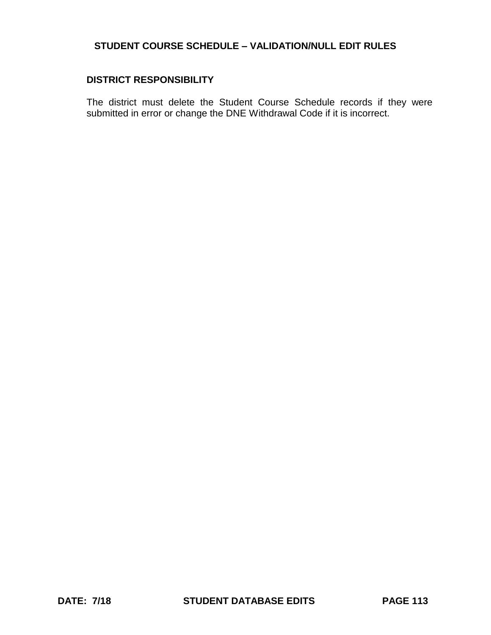## **DISTRICT RESPONSIBILITY**

The district must delete the Student Course Schedule records if they were submitted in error or change the DNE Withdrawal Code if it is incorrect.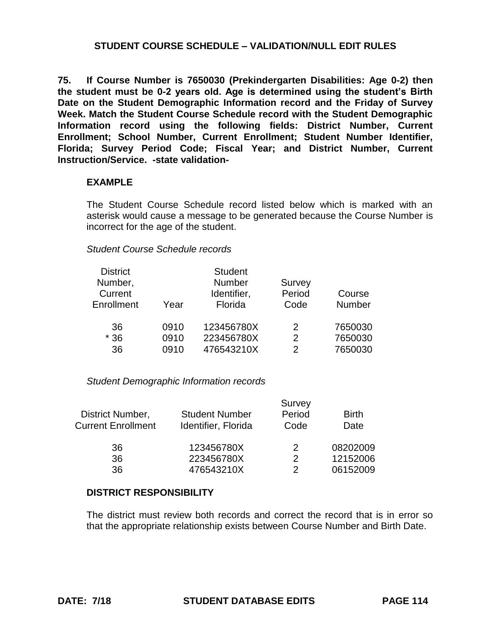**75. If Course Number is 7650030 (Prekindergarten Disabilities: Age 0-2) then the student must be 0-2 years old. Age is determined using the student's Birth Date on the Student Demographic Information record and the Friday of Survey Week. Match the Student Course Schedule record with the Student Demographic Information record using the following fields: District Number, Current Enrollment; School Number, Current Enrollment; Student Number Identifier, Florida; Survey Period Code; Fiscal Year; and District Number, Current Instruction/Service. -state validation-**

## **EXAMPLE**

The Student Course Schedule record listed below which is marked with an asterisk would cause a message to be generated because the Course Number is incorrect for the age of the student.

### *Student Course Schedule records*

|      | <b>Student</b> |        |         |
|------|----------------|--------|---------|
|      | Number         | Survey |         |
|      | Identifier,    | Period | Course  |
| Year | Florida        | Code   | Number  |
| 0910 | 123456780X     | 2      | 7650030 |
| 0910 | 223456780X     | 2      | 7650030 |
| 0910 | 476543210X     | 2      | 7650030 |
|      |                |        |         |

### *Student Demographic Information records*

|                           |                       | Survey        |              |
|---------------------------|-----------------------|---------------|--------------|
| District Number,          | <b>Student Number</b> | Period        | <b>Birth</b> |
| <b>Current Enrollment</b> | Identifier, Florida   | Code          | Date         |
| 36                        | 123456780X            | 2             | 08202009     |
| 36                        | 223456780X            | $\mathcal{P}$ | 12152006     |
| 36                        | 476543210X            | 2             | 06152009     |

### **DISTRICT RESPONSIBILITY**

The district must review both records and correct the record that is in error so that the appropriate relationship exists between Course Number and Birth Date.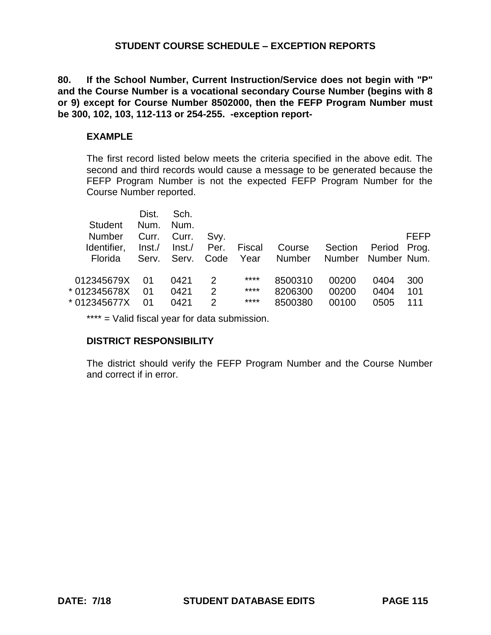**80. If the School Number, Current Instruction/Service does not begin with "P" and the Course Number is a vocational secondary Course Number (begins with 8 or 9) except for Course Number 8502000, then the FEFP Program Number must be 300, 102, 103, 112-113 or 254-255. -exception report-**

## **EXAMPLE**

The first record listed below meets the criteria specified in the above edit. The second and third records would cause a message to be generated because the FEFP Program Number is not the expected FEFP Program Number for the Course Number reported.

| <b>Student</b> | Dist.<br>Num. | Sch.<br>Num. |                |               |               |               |             |             |
|----------------|---------------|--------------|----------------|---------------|---------------|---------------|-------------|-------------|
| Number         | Curr.         | Curr.        | Svy.           |               |               |               |             | <b>FEFP</b> |
| Identifier,    | $\ln$ st./    | Inst./       | Per.           | <b>Fiscal</b> | Course        | Section       | Period      | Prog.       |
| Florida        | Serv.         | Serv.        | Code           | Year          | <b>Number</b> | <b>Number</b> | Number Num. |             |
|                |               |              |                | ****          |               |               |             |             |
| 012345679X     | 01            | 0421         | 2              |               | 8500310       | 00200         | 0404        | 300         |
| * 012345678X   | 01            | 0421         | $\overline{2}$ | ****          | 8206300       | 00200         | 0404        | 101         |
| * 012345677X   | 01            | 0421         | 2              | ****          | 8500380       | 00100         | 0505        | 111         |
|                |               |              |                |               |               |               |             |             |

\*\*\*\* = Valid fiscal year for data submission.

# **DISTRICT RESPONSIBILITY**

The district should verify the FEFP Program Number and the Course Number and correct if in error.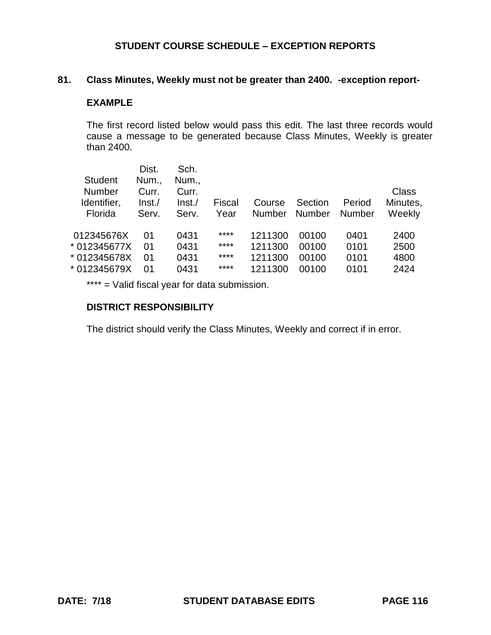## **81. Class Minutes, Weekly must not be greater than 2400. -exception report-**

#### **EXAMPLE**

The first record listed below would pass this edit. The last three records would cause a message to be generated because Class Minutes, Weekly is greater than 2400.

|                | Dist.  | Sch.   |        |               |               |               |          |
|----------------|--------|--------|--------|---------------|---------------|---------------|----------|
| <b>Student</b> | Num.,  | Num.,  |        |               |               |               |          |
| <b>Number</b>  | Curr.  | Curr.  |        |               |               |               | Class    |
| Identifier,    | Inst./ | Inst./ | Fiscal | Course        | Section       | Period        | Minutes, |
| Florida        | Serv.  | Serv.  | Year   | <b>Number</b> | <b>Number</b> | <b>Number</b> | Weekly   |
|                |        |        |        |               |               |               |          |
| 012345676X     | 01     | 0431   | ****   | 1211300       | 00100         | 0401          | 2400     |
| * 012345677X   | 01     | 0431   | ****   | 1211300       | 00100         | 0101          | 2500     |
| * 012345678X   | 01     | 0431   | ****   | 1211300       | 00100         | 0101          | 4800     |
| * 012345679X   | 01     | 0431   | ****   | 1211300       | 00100         | 0101          | 2424     |
|                |        |        |        |               |               |               |          |

\*\*\*\* = Valid fiscal year for data submission.

## **DISTRICT RESPONSIBILITY**

The district should verify the Class Minutes, Weekly and correct if in error.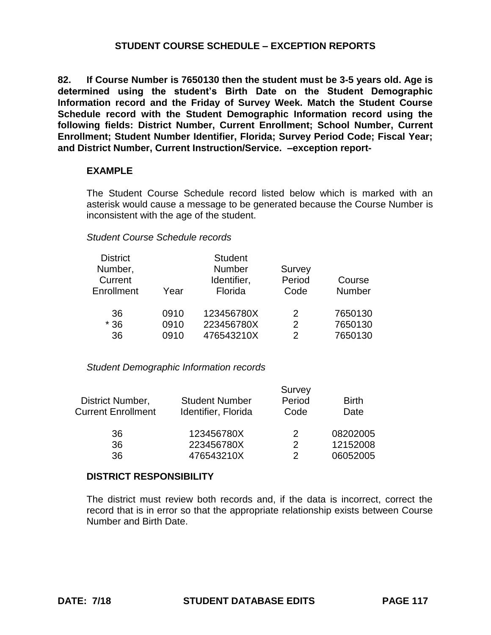**82. If Course Number is 7650130 then the student must be 3-5 years old. Age is determined using the student's Birth Date on the Student Demographic Information record and the Friday of Survey Week. Match the Student Course Schedule record with the Student Demographic Information record using the following fields: District Number, Current Enrollment; School Number, Current Enrollment; Student Number Identifier, Florida; Survey Period Code; Fiscal Year; and District Number, Current Instruction/Service. –exception report-**

### **EXAMPLE**

The Student Course Schedule record listed below which is marked with an asterisk would cause a message to be generated because the Course Number is inconsistent with the age of the student.

### *Student Course Schedule records*

| <b>District</b>   |      | <b>Student</b> |               |         |
|-------------------|------|----------------|---------------|---------|
| Number,           |      | <b>Number</b>  | Survey        |         |
| Current           |      | Identifier,    | Period        | Course  |
| <b>Enrollment</b> | Year | Florida        | Code          | Number  |
| 36                | 0910 | 123456780X     | $\mathcal{P}$ | 7650130 |
| $*36$             | 0910 | 223456780X     | 2             | 7650130 |
| 36                | 0910 | 476543210X     | 2             | 7650130 |

### *Student Demographic Information records*

|                           |                       | Survey |              |
|---------------------------|-----------------------|--------|--------------|
| District Number,          | <b>Student Number</b> | Period | <b>Birth</b> |
| <b>Current Enrollment</b> | Identifier, Florida   | Code   | Date         |
| 36                        | 123456780X            | 2      | 08202005     |
| 36                        | 223456780X            | 2      | 12152008     |
| 36                        | 476543210X            | າ      | 06052005     |

## **DISTRICT RESPONSIBILITY**

The district must review both records and, if the data is incorrect, correct the record that is in error so that the appropriate relationship exists between Course Number and Birth Date.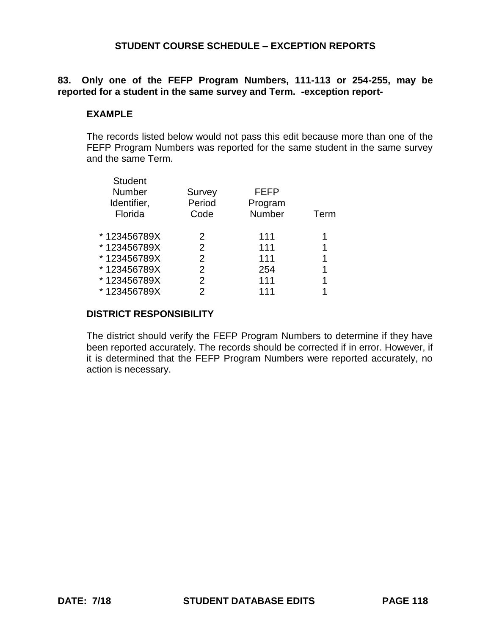# **83. Only one of the FEFP Program Numbers, 111-113 or 254-255, may be reported for a student in the same survey and Term. -exception report-**

## **EXAMPLE**

The records listed below would not pass this edit because more than one of the FEFP Program Numbers was reported for the same student in the same survey and the same Term.

| <b>Student</b> |                |             |      |
|----------------|----------------|-------------|------|
| Number         | <b>Survey</b>  | <b>FEFP</b> |      |
| Identifier,    | Period         | Program     |      |
| Florida        | Code           | Number      | Term |
| *123456789X    | 2              | 111         |      |
| *123456789X    | 2              | 111         | 1    |
| *123456789X    | 2              | 111         | 1    |
| *123456789X    | $\overline{2}$ | 254         | 1    |
| *123456789X    | 2              | 111         | 1    |
| *123456789X    | 2              | 111         |      |
|                |                |             |      |

# **DISTRICT RESPONSIBILITY**

The district should verify the FEFP Program Numbers to determine if they have been reported accurately. The records should be corrected if in error. However, if it is determined that the FEFP Program Numbers were reported accurately, no action is necessary.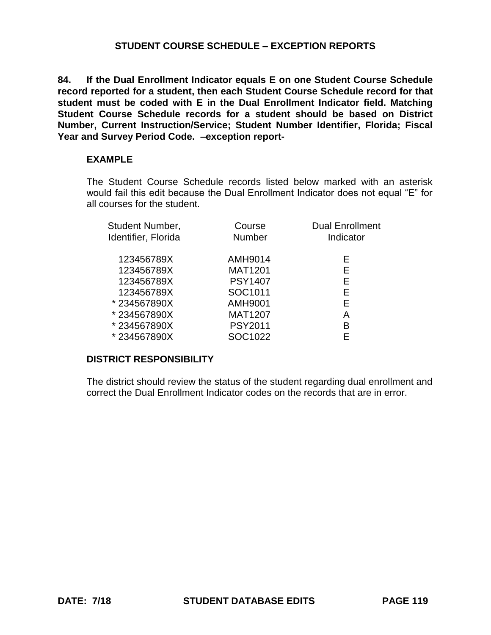**84. If the Dual Enrollment Indicator equals E on one Student Course Schedule record reported for a student, then each Student Course Schedule record for that student must be coded with E in the Dual Enrollment Indicator field. Matching Student Course Schedule records for a student should be based on District Number, Current Instruction/Service; Student Number Identifier, Florida; Fiscal Year and Survey Period Code. –exception report-**

## **EXAMPLE**

The Student Course Schedule records listed below marked with an asterisk would fail this edit because the Dual Enrollment Indicator does not equal "E" for all courses for the student.

| <b>Student Number,</b><br>Identifier, Florida | Course<br><b>Number</b> | <b>Dual Enrollment</b><br>Indicator |  |
|-----------------------------------------------|-------------------------|-------------------------------------|--|
| 123456789X                                    | AMH9014                 | E.                                  |  |
| 123456789X                                    | <b>MAT1201</b>          | Е                                   |  |
| 123456789X                                    | <b>PSY1407</b>          | Е                                   |  |
| 123456789X                                    | SOC1011                 | F.                                  |  |
| *234567890X                                   | AMH9001                 | Е                                   |  |
| *234567890X                                   | <b>MAT1207</b>          | A                                   |  |
| *234567890X                                   | <b>PSY2011</b>          | В                                   |  |
| *234567890X                                   | SOC1022                 |                                     |  |

# **DISTRICT RESPONSIBILITY**

The district should review the status of the student regarding dual enrollment and correct the Dual Enrollment Indicator codes on the records that are in error.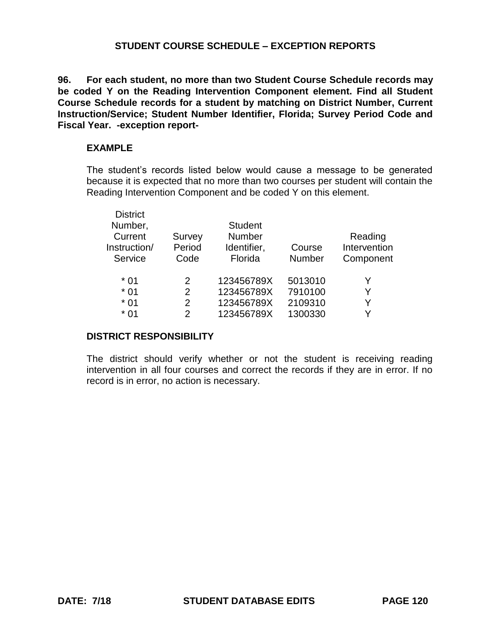**96. For each student, no more than two Student Course Schedule records may be coded Y on the Reading Intervention Component element. Find all Student Course Schedule records for a student by matching on District Number, Current Instruction/Service; Student Number Identifier, Florida; Survey Period Code and Fiscal Year. -exception report-**

## **EXAMPLE**

The student's records listed below would cause a message to be generated because it is expected that no more than two courses per student will contain the Reading Intervention Component and be coded Y on this element.

| <b>District</b> |               |                |               |              |
|-----------------|---------------|----------------|---------------|--------------|
| Number,         |               | <b>Student</b> |               |              |
| Current         | Survey        | <b>Number</b>  |               | Reading      |
| Instruction/    | Period        | Identifier,    | Course        | Intervention |
| Service         | Code          | Florida        | <b>Number</b> | Component    |
|                 |               |                |               |              |
| $*01$           | $\mathcal{P}$ | 123456789X     | 5013010       | Y            |
| $*01$           | 2             | 123456789X     | 7910100       | Y            |
| $*01$           | 2             | 123456789X     | 2109310       | Y            |
| $*01$           | 2             | 123456789X     | 1300330       | v            |
|                 |               |                |               |              |

# **DISTRICT RESPONSIBILITY**

The district should verify whether or not the student is receiving reading intervention in all four courses and correct the records if they are in error. If no record is in error, no action is necessary.